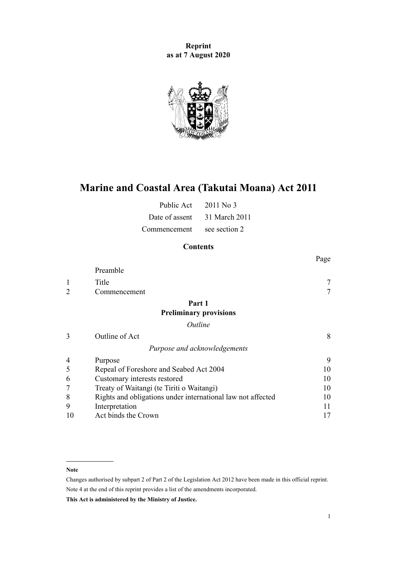**Reprint as at 7 August 2020**



# **Marine and Coastal Area (Takutai Moana) Act 2011**

| Public Act     | $2011$ No 3   |
|----------------|---------------|
| Date of assent | 31 March 2011 |
| Commencement   | see section 2 |

# **Contents**

|                |                                                             | Page   |
|----------------|-------------------------------------------------------------|--------|
|                | Preamble                                                    |        |
| 1              | Title                                                       |        |
| $\overline{2}$ | Commencement                                                | $\tau$ |
|                | Part 1                                                      |        |
|                | <b>Preliminary provisions</b>                               |        |
|                | Outline                                                     |        |
| 3              | Outline of Act                                              | 8      |
|                | Purpose and acknowledgements                                |        |
| 4              | Purpose                                                     | 9      |
| 5              | Repeal of Foreshore and Seabed Act 2004                     | 10     |
| 6              | Customary interests restored                                | 10     |
|                | Treaty of Waitangi (te Tiriti o Waitangi)                   | 10     |
| 8              | Rights and obligations under international law not affected | 10     |
| 9              | Interpretation                                              | 11     |
| 10             | Act binds the Crown                                         | 17     |

#### **Note**

Changes authorised by [subpart 2](http://legislation.govt.nz/pdflink.aspx?id=DLM2998524) of Part 2 of the Legislation Act 2012 have been made in this official reprint. Note 4 at the end of this reprint provides a list of the amendments incorporated.

**This Act is administered by the Ministry of Justice.**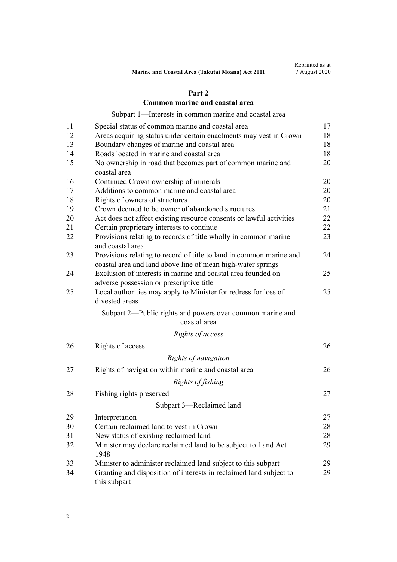## **[Part 2](#page-16-0)**

## **[Common marine and coastal area](#page-16-0)**

[Subpart 1—Interests in common marine and coastal area](#page-16-0)

| 11 | Special status of common marine and coastal area                                                                                   | 17 |
|----|------------------------------------------------------------------------------------------------------------------------------------|----|
| 12 | Areas acquiring status under certain enactments may vest in Crown                                                                  | 18 |
| 13 | Boundary changes of marine and coastal area                                                                                        | 18 |
| 14 | Roads located in marine and coastal area                                                                                           | 18 |
| 15 | No ownership in road that becomes part of common marine and<br>coastal area                                                        | 20 |
| 16 | Continued Crown ownership of minerals                                                                                              | 20 |
| 17 | Additions to common marine and coastal area                                                                                        | 20 |
| 18 | Rights of owners of structures                                                                                                     | 20 |
| 19 | Crown deemed to be owner of abandoned structures                                                                                   | 21 |
| 20 | Act does not affect existing resource consents or lawful activities                                                                | 22 |
| 21 | Certain proprietary interests to continue                                                                                          | 22 |
| 22 | Provisions relating to records of title wholly in common marine<br>and coastal area                                                | 23 |
| 23 | Provisions relating to record of title to land in common marine and<br>coastal area and land above line of mean high-water springs | 24 |
| 24 | Exclusion of interests in marine and coastal area founded on<br>adverse possession or prescriptive title                           | 25 |
| 25 | Local authorities may apply to Minister for redress for loss of<br>divested areas                                                  | 25 |
|    | Subpart 2—Public rights and powers over common marine and<br>coastal area                                                          |    |
|    | Rights of access                                                                                                                   |    |
| 26 | Rights of access                                                                                                                   | 26 |
|    | Rights of navigation                                                                                                               |    |
| 27 | Rights of navigation within marine and coastal area                                                                                | 26 |
|    | Rights of fishing                                                                                                                  |    |
| 28 | Fishing rights preserved                                                                                                           | 27 |
|    | Subpart 3-Reclaimed land                                                                                                           |    |
| 29 | Interpretation                                                                                                                     | 27 |
| 30 | Certain reclaimed land to vest in Crown                                                                                            | 28 |
| 31 | New status of existing reclaimed land                                                                                              | 28 |
| 32 | Minister may declare reclaimed land to be subject to Land Act<br>1948                                                              | 29 |
| 33 | Minister to administer reclaimed land subject to this subpart                                                                      | 29 |
| 34 | Granting and disposition of interests in reclaimed land subject to<br>this subpart                                                 | 29 |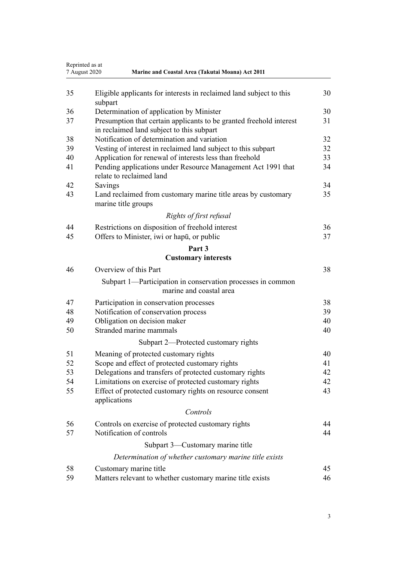|    | Reprinted as at<br>7 August 2020<br>Marine and Coastal Area (Takutai Moana) Act 2011                             |    |  |
|----|------------------------------------------------------------------------------------------------------------------|----|--|
| 35 | Eligible applicants for interests in reclaimed land subject to this<br>subpart                                   | 30 |  |
| 36 | Determination of application by Minister                                                                         | 30 |  |
| 37 | Presumption that certain applicants to be granted freehold interest<br>in reclaimed land subject to this subpart | 31 |  |
| 38 | Notification of determination and variation                                                                      | 32 |  |
| 39 | Vesting of interest in reclaimed land subject to this subpart                                                    | 32 |  |
| 40 | Application for renewal of interests less than freehold                                                          | 33 |  |
| 41 | Pending applications under Resource Management Act 1991 that<br>relate to reclaimed land                         | 34 |  |
| 42 | Savings                                                                                                          | 34 |  |
| 43 | Land reclaimed from customary marine title areas by customary<br>marine title groups                             | 35 |  |
|    | Rights of first refusal                                                                                          |    |  |
| 44 | Restrictions on disposition of freehold interest                                                                 | 36 |  |
| 45 | Offers to Minister, iwi or hapu, or public                                                                       | 37 |  |
|    | Part 3                                                                                                           |    |  |
|    | <b>Customary interests</b>                                                                                       |    |  |
| 46 | Overview of this Part                                                                                            | 38 |  |
|    | Subpart 1—Participation in conservation processes in common<br>marine and coastal area                           |    |  |
| 47 | Participation in conservation processes                                                                          | 38 |  |
| 48 | Notification of conservation process                                                                             | 39 |  |
| 49 | Obligation on decision maker                                                                                     | 40 |  |
| 50 | Stranded marine mammals                                                                                          | 40 |  |
|    | Subpart 2—Protected customary rights                                                                             |    |  |
| 51 | Meaning of protected customary rights                                                                            | 40 |  |
| 52 | Scope and effect of protected customary rights                                                                   | 41 |  |
| 53 | Delegations and transfers of protected customary rights                                                          | 42 |  |
| 54 | Limitations on exercise of protected customary rights                                                            | 42 |  |
| 55 | Effect of protected customary rights on resource consent<br>applications                                         | 43 |  |
|    | Controls                                                                                                         |    |  |
| 56 | Controls on exercise of protected customary rights                                                               | 44 |  |
| 57 | Notification of controls                                                                                         | 44 |  |
|    | Subpart 3—Customary marine title                                                                                 |    |  |
|    | Determination of whether customary marine title exists                                                           |    |  |
| 58 | Customary marine title                                                                                           | 45 |  |
| 59 | Matters relevant to whether customary marine title exists                                                        | 46 |  |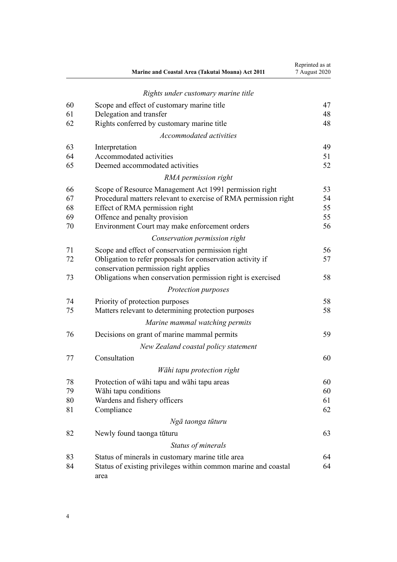|    | Marine and Coastal Area (Takutai Moana) Act 2011                                                    | Reprinted as at<br>7 August 2020 |
|----|-----------------------------------------------------------------------------------------------------|----------------------------------|
|    | Rights under customary marine title                                                                 |                                  |
| 60 | Scope and effect of customary marine title                                                          | 47                               |
| 61 | Delegation and transfer                                                                             | 48                               |
| 62 | Rights conferred by customary marine title                                                          | 48                               |
|    | Accommodated activities                                                                             |                                  |
| 63 | Interpretation                                                                                      | 49                               |
| 64 | Accommodated activities                                                                             | 51                               |
| 65 | Deemed accommodated activities                                                                      | 52                               |
|    | RMA permission right                                                                                |                                  |
| 66 | Scope of Resource Management Act 1991 permission right                                              | 53                               |
| 67 | Procedural matters relevant to exercise of RMA permission right                                     | 54                               |
| 68 | Effect of RMA permission right                                                                      | 55                               |
| 69 | Offence and penalty provision                                                                       | 55                               |
| 70 | Environment Court may make enforcement orders                                                       | 56                               |
|    | Conservation permission right                                                                       |                                  |
| 71 | Scope and effect of conservation permission right                                                   | 56                               |
| 72 | Obligation to refer proposals for conservation activity if<br>conservation permission right applies | 57                               |
| 73 | Obligations when conservation permission right is exercised                                         | 58                               |
|    | Protection purposes                                                                                 |                                  |
| 74 | Priority of protection purposes                                                                     | 58                               |
| 75 | Matters relevant to determining protection purposes                                                 | 58                               |
|    | Marine mammal watching permits                                                                      |                                  |
| 76 | Decisions on grant of marine mammal permits                                                         | 59                               |
|    | New Zealand coastal policy statement                                                                |                                  |
| 77 | Consultation                                                                                        | 60                               |
|    | Wāhi tapu protection right                                                                          |                                  |
| 78 | Protection of wahi tapu and wahi tapu areas                                                         | 60                               |
| 79 | Wāhi tapu conditions                                                                                | 60                               |
| 80 | Wardens and fishery officers                                                                        | 61                               |
| 81 | Compliance                                                                                          | 62                               |
|    | Ngā taonga tūturu                                                                                   |                                  |
| 82 | Newly found taonga tūturu                                                                           | 63                               |
|    | Status of minerals                                                                                  |                                  |
| 83 | Status of minerals in customary marine title area                                                   | 64                               |
| 84 | Status of existing privileges within common marine and coastal<br>area                              | 64                               |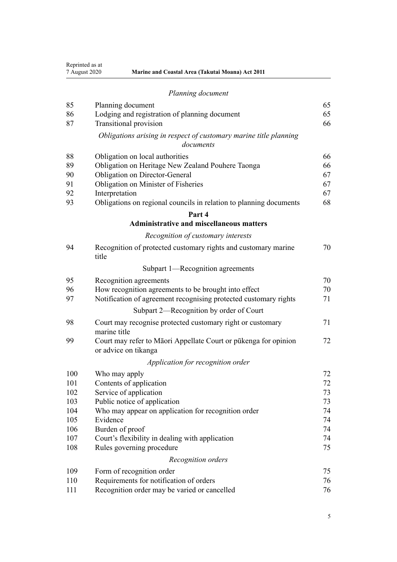Reprinted as at

| <i>respective up at</i> |                                                         |
|-------------------------|---------------------------------------------------------|
| 7 August 2020           | <b>Marine and Coastal Area (Takutai Moana) Act 2011</b> |

| Planning document |  |  |
|-------------------|--|--|
|                   |  |  |

| 85  | Planning document                                                                       | 65 |
|-----|-----------------------------------------------------------------------------------------|----|
| 86  | Lodging and registration of planning document                                           | 65 |
| 87  | <b>Transitional provision</b>                                                           | 66 |
|     | Obligations arising in respect of customary marine title planning<br>documents          |    |
| 88  | Obligation on local authorities                                                         | 66 |
| 89  | Obligation on Heritage New Zealand Pouhere Taonga                                       | 66 |
| 90  | Obligation on Director-General                                                          | 67 |
| 91  | Obligation on Minister of Fisheries                                                     | 67 |
| 92  | Interpretation                                                                          | 67 |
| 93  | Obligations on regional councils in relation to planning documents                      | 68 |
|     | Part 4                                                                                  |    |
|     | <b>Administrative and miscellaneous matters</b>                                         |    |
|     | Recognition of customary interests                                                      |    |
| 94  | Recognition of protected customary rights and customary marine<br>title                 | 70 |
|     | Subpart 1—Recognition agreements                                                        |    |
| 95  | Recognition agreements                                                                  | 70 |
| 96  | How recognition agreements to be brought into effect                                    | 70 |
| 97  | Notification of agreement recognising protected customary rights                        | 71 |
|     | Subpart 2—Recognition by order of Court                                                 |    |
| 98  | Court may recognise protected customary right or customary<br>marine title              | 71 |
| 99  | Court may refer to Māori Appellate Court or pūkenga for opinion<br>or advice on tikanga | 72 |
|     | Application for recognition order                                                       |    |
| 100 | Who may apply                                                                           | 72 |
| 101 | Contents of application                                                                 | 72 |
| 102 | Service of application                                                                  | 73 |
| 103 | Public notice of application                                                            | 73 |
| 104 | Who may appear on application for recognition order                                     | 74 |
| 105 | Evidence                                                                                | 74 |
| 106 | Burden of proof                                                                         | 74 |
| 107 | Court's flexibility in dealing with application                                         | 74 |
| 108 | Rules governing procedure                                                               | 75 |
|     | Recognition orders                                                                      |    |
| 109 | Form of recognition order                                                               | 75 |
| 110 | Requirements for notification of orders                                                 | 76 |
| 111 | Recognition order may be varied or cancelled                                            | 76 |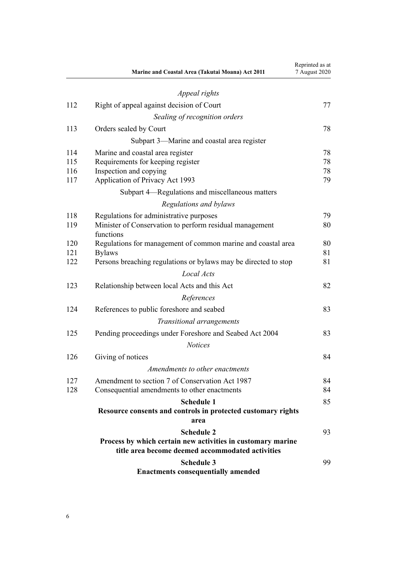|     | Marine and Coastal Area (Takutai Moana) Act 2011                                                                | Reprinted as at<br>7 August 2020 |
|-----|-----------------------------------------------------------------------------------------------------------------|----------------------------------|
|     | Appeal rights                                                                                                   |                                  |
| 112 | Right of appeal against decision of Court                                                                       | 77                               |
|     | Sealing of recognition orders                                                                                   |                                  |
| 113 | Orders sealed by Court                                                                                          | 78                               |
|     | Subpart 3—Marine and coastal area register                                                                      |                                  |
| 114 | Marine and coastal area register                                                                                | 78                               |
| 115 | Requirements for keeping register                                                                               | 78                               |
| 116 | Inspection and copying                                                                                          | 78                               |
| 117 | Application of Privacy Act 1993                                                                                 | 79                               |
|     | Subpart 4—Regulations and miscellaneous matters                                                                 |                                  |
|     | Regulations and bylaws                                                                                          |                                  |
| 118 | Regulations for administrative purposes                                                                         | 79                               |
| 119 | Minister of Conservation to perform residual management<br>functions                                            | 80                               |
| 120 | Regulations for management of common marine and coastal area                                                    | 80                               |
| 121 | <b>Bylaws</b>                                                                                                   | 81                               |
| 122 | Persons breaching regulations or bylaws may be directed to stop                                                 | 81                               |
|     | Local Acts                                                                                                      |                                  |
| 123 | Relationship between local Acts and this Act                                                                    | 82                               |
|     | References                                                                                                      |                                  |
| 124 | References to public foreshore and seabed                                                                       | 83                               |
|     | Transitional arrangements                                                                                       |                                  |
| 125 | Pending proceedings under Foreshore and Seabed Act 2004                                                         | 83                               |
|     | <b>Notices</b>                                                                                                  |                                  |
| 126 | Giving of notices                                                                                               | 84                               |
|     | Amendments to other enactments                                                                                  |                                  |
| 127 | Amendment to section 7 of Conservation Act 1987                                                                 | 84                               |
| 128 | Consequential amendments to other enactments                                                                    | 84                               |
|     | <b>Schedule 1</b>                                                                                               | 85                               |
|     | Resource consents and controls in protected customary rights<br>area                                            |                                  |
|     | <b>Schedule 2</b>                                                                                               | 93                               |
|     | Process by which certain new activities in customary marine<br>title area become deemed accommodated activities |                                  |
|     | <b>Schedule 3</b>                                                                                               | 99                               |
|     | <b>Enactments consequentially amended</b>                                                                       |                                  |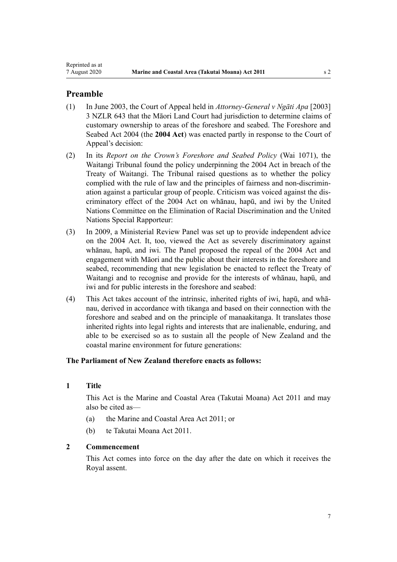# <span id="page-6-0"></span>**Preamble**

- (1) In June 2003, the Court of Appeal held in *Attorney-General v Ngāti Apa* [2003] 3 NZLR 643 that the Māori Land Court had jurisdiction to determine claims of customary ownership to areas of the foreshore and seabed. The [Foreshore and](http://legislation.govt.nz/pdflink.aspx?id=DLM319838) [Seabed Act 2004](http://legislation.govt.nz/pdflink.aspx?id=DLM319838) (the **2004 Act**) was enacted partly in response to the Court of Appeal's decision:
- (2) In its *Report on the Crown's Foreshore and Seabed Policy* (Wai 1071), the Waitangi Tribunal found the policy underpinning the 2004 Act in breach of the Treaty of Waitangi. The Tribunal raised questions as to whether the policy complied with the rule of law and the principles of fairness and non-discrimination against a particular group of people. Criticism was voiced against the discriminatory effect of the 2004 Act on whānau, hapū, and iwi by the United Nations Committee on the Elimination of Racial Discrimination and the United Nations Special Rapporteur:
- (3) In 2009, a Ministerial Review Panel was set up to provide independent advice on the 2004 Act. It, too, viewed the Act as severely discriminatory against whānau, hapū, and iwi. The Panel proposed the repeal of the 2004 Act and engagement with Māori and the public about their interests in the foreshore and seabed, recommending that new legislation be enacted to reflect the Treaty of Waitangi and to recognise and provide for the interests of whānau, hapū, and iwi and for public interests in the foreshore and seabed:
- (4) This Act takes account of the intrinsic, inherited rights of iwi, hapū, and whānau, derived in accordance with tikanga and based on their connection with the foreshore and seabed and on the principle of manaakitanga. It translates those inherited rights into legal rights and interests that are inalienable, enduring, and able to be exercised so as to sustain all the people of New Zealand and the coastal marine environment for future generations:

# **The Parliament of New Zealand therefore enacts as follows:**

# **1 Title**

This Act is the Marine and Coastal Area (Takutai Moana) Act 2011 and may also be cited as—

- (a) the Marine and Coastal Area Act 2011; or
- (b) te Takutai Moana Act 2011.

### **2 Commencement**

This Act comes into force on the day after the date on which it receives the Royal assent.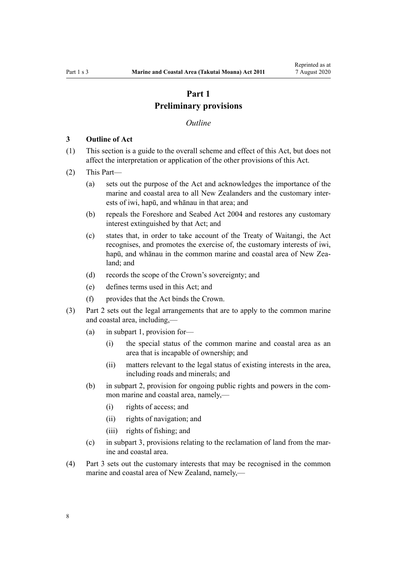# **Part 1 Preliminary provisions**

#### *Outline*

#### <span id="page-7-0"></span>**3 Outline of Act**

- (1) This section is a guide to the overall scheme and effect of this Act, but does not affect the interpretation or application of the other provisions of this Act.
- (2) This Part—
	- (a) sets out the purpose of the Act and acknowledges the importance of the marine and coastal area to all New Zealanders and the customary interests of iwi, hapū, and whānau in that area; and
	- (b) repeals the [Foreshore and Seabed Act 2004](http://legislation.govt.nz/pdflink.aspx?id=DLM319838) and restores any customary interest extinguished by that Act; and
	- (c) states that, in order to take account of the Treaty of Waitangi, the Act recognises, and promotes the exercise of, the customary interests of iwi, hapū, and whānau in the common marine and coastal area of New Zealand; and
	- (d) records the scope of the Crown's sovereignty; and
	- (e) defines terms used in this Act; and
	- (f) provides that the Act binds the Crown.
- (3) [Part 2](#page-16-0) sets out the legal arrangements that are to apply to the common marine and coastal area, including,—
	- (a) in [subpart 1,](#page-16-0) provision for—
		- (i) the special status of the common marine and coastal area as an area that is incapable of ownership; and
		- (ii) matters relevant to the legal status of existing interests in the area, including roads and minerals; and
	- (b) in [subpart 2](#page-25-0), provision for ongoing public rights and powers in the common marine and coastal area, namely,—
		- (i) rights of access; and
		- (ii) rights of navigation; and
		- (iii) rights of fishing; and
	- (c) in [subpart 3](#page-26-0), provisions relating to the reclamation of land from the marine and coastal area.
- (4) [Part 3](#page-37-0) sets out the customary interests that may be recognised in the common marine and coastal area of New Zealand, namely,—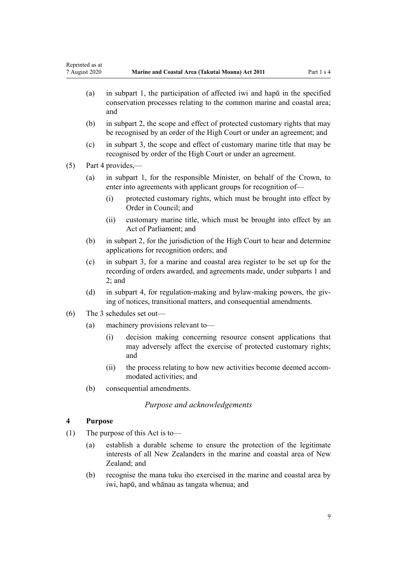- <span id="page-8-0"></span>(a) in [subpart 1,](#page-37-0) the participation of affected iwi and hapū in the specified conservation processes relating to the common marine and coastal area; and
- (b) in [subpart 2](#page-39-0), the scope and effect of protected customary rights that may be recognised by an order of the High Court or under an agreement; and
- (c) in [subpart 3](#page-44-0), the scope and effect of customary marine title that may be recognised by order of the High Court or under an agreement.
- (5) [Part 4](#page-69-0) provides,—
	- (a) in [subpart 1](#page-69-0), for the responsible Minister, on behalf of the Crown, to enter into agreements with applicant groups for recognition of-
		- (i) protected customary rights, which must be brought into effect by Order in Council; and
		- (ii) customary marine title, which must be brought into effect by an Act of Parliament; and
	- (b) in [subpart 2](#page-70-0), for the jurisdiction of the High Court to hear and determine applications for recognition orders; and
	- (c) in [subpart 3,](#page-77-0) for a marine and coastal area register to be set up for the recording of orders awarded, and agreements made, under [subparts 1](#page-69-0) and [2;](#page-70-0) and
	- (d) in [subpart 4,](#page-78-0) for regulation-making and bylaw-making powers, the giving of notices, transitional matters, and consequential amendments.
- (6) The 3 schedules set out—
	- (a) machinery provisions relevant to—
		- (i) decision making concerning resource consent applications that may adversely affect the exercise of protected customary rights; and
		- (ii) the process relating to how new activities become deemed accommodated activities; and
	- (b) consequential amendments.

# *Purpose and acknowledgements*

## **4 Purpose**

- (1) The purpose of this Act is to—
	- (a) establish a durable scheme to ensure the protection of the legitimate interests of all New Zealanders in the marine and coastal area of New Zealand; and
	- (b) recognise the mana tuku iho exercised in the marine and coastal area by iwi, hapū, and whānau as tangata whenua; and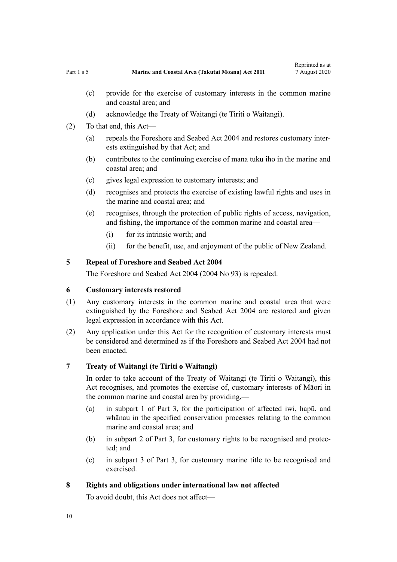- (d) acknowledge the Treaty of Waitangi (te Tiriti o Waitangi).
- <span id="page-9-0"></span>(2) To that end, this Act—
	- (a) repeals the [Foreshore and Seabed Act 2004](http://legislation.govt.nz/pdflink.aspx?id=DLM319838) and restores customary interests extinguished by that Act; and
	- (b) contributes to the continuing exercise of mana tuku iho in the marine and coastal area; and
	- (c) gives legal expression to customary interests; and
	- (d) recognises and protects the exercise of existing lawful rights and uses in the marine and coastal area; and
	- (e) recognises, through the protection of public rights of access, navigation, and fishing, the importance of the common marine and coastal area—
		- (i) for its intrinsic worth; and
		- (ii) for the benefit, use, and enjoyment of the public of New Zealand.

# **5 Repeal of Foreshore and Seabed Act 2004**

The [Foreshore and Seabed Act 2004](http://legislation.govt.nz/pdflink.aspx?id=DLM319838) (2004 No 93) is repealed.

# **6 Customary interests restored**

- (1) Any customary interests in the common marine and coastal area that were extinguished by the [Foreshore and Seabed Act 2004](http://legislation.govt.nz/pdflink.aspx?id=DLM319838) are restored and given legal expression in accordance with this Act.
- (2) Any application under this Act for the recognition of customary interests must be considered and determined as if the [Foreshore and Seabed Act 2004](http://legislation.govt.nz/pdflink.aspx?id=DLM319838) had not been enacted.

### **7 Treaty of Waitangi (te Tiriti o Waitangi)**

In order to take account of the Treaty of Waitangi (te Tiriti o Waitangi), this Act recognises, and promotes the exercise of, customary interests of Māori in the common marine and coastal area by providing,—

- (a) in [subpart 1 of Part 3,](#page-37-0) for the participation of affected iwi, hapū, and whānau in the specified conservation processes relating to the common marine and coastal area; and
- (b) in [subpart 2 of Part 3](#page-39-0), for customary rights to be recognised and protected; and
- (c) in [subpart 3 of Part 3](#page-44-0), for customary marine title to be recognised and exercised.

### **8 Rights and obligations under international law not affected**

To avoid doubt, this Act does not affect—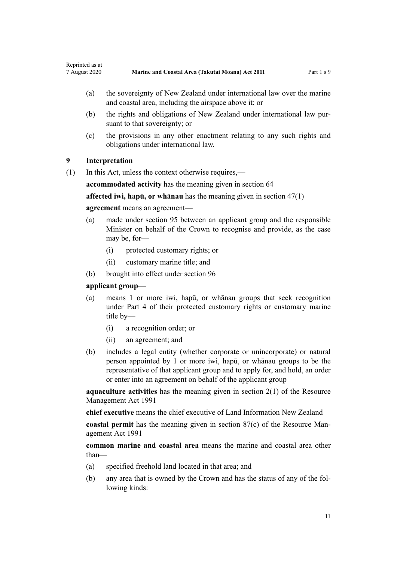- <span id="page-10-0"></span>(a) the sovereignty of New Zealand under international law over the marine and coastal area, including the airspace above it; or
- (b) the rights and obligations of New Zealand under international law pursuant to that sovereignty; or
- (c) the provisions in any other enactment relating to any such rights and obligations under international law.

# **9 Interpretation**

(1) In this Act, unless the context otherwise requires,—

**accommodated activity** has the meaning given in [section 64](#page-50-0)

**affected iwi, hapū, or whānau** has the meaning given in [section 47\(1\)](#page-37-0)

#### **agreement** means an agreement—

- (a) made under [section 95](#page-69-0) between an applicant group and the responsible Minister on behalf of the Crown to recognise and provide, as the case may be, for—
	- (i) protected customary rights; or
	- (ii) customary marine title; and
- (b) brought into effect under [section 96](#page-69-0)

### **applicant group**—

- (a) means 1 or more iwi, hapū, or whānau groups that seek recognition under [Part 4](#page-69-0) of their protected customary rights or customary marine title by—
	- (i) a recognition order; or
	- (ii) an agreement; and
- (b) includes a legal entity (whether corporate or unincorporate) or natural person appointed by 1 or more iwi, hapū, or whānau groups to be the representative of that applicant group and to apply for, and hold, an order or enter into an agreement on behalf of the applicant group

**aquaculture activities** has the meaning given in [section 2\(1\)](http://legislation.govt.nz/pdflink.aspx?id=DLM230272) of the Resource Management Act 1991

**chief executive** means the chief executive of Land Information New Zealand

**coastal permit** has the meaning given in [section 87\(c\)](http://legislation.govt.nz/pdflink.aspx?id=DLM233848) of the Resource Management Act 1991

**common marine and coastal area** means the marine and coastal area other than—

- (a) specified freehold land located in that area; and
- (b) any area that is owned by the Crown and has the status of any of the following kinds: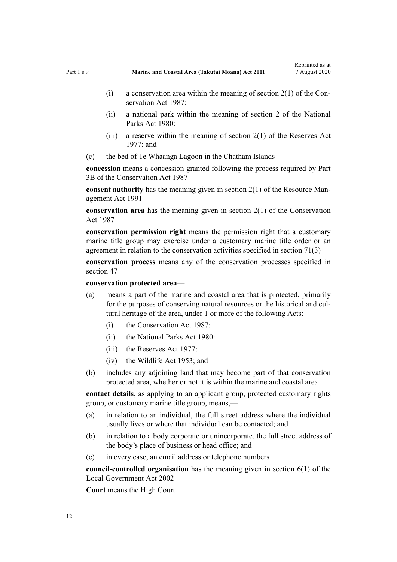- (i) a conservation area within the meaning of section  $2(1)$  of the Conservation Act 1987:
- (ii) a national park within the meaning of [section 2](http://legislation.govt.nz/pdflink.aspx?id=DLM36968) of the National Parks Act 1980:
- (iii) a reserve within the meaning of section  $2(1)$  of the Reserves Act 1977; and
- (c) the bed of Te Whaanga Lagoon in the Chatham Islands

**concession** means a concession granted following the process required by [Part](http://legislation.govt.nz/pdflink.aspx?id=DLM104633) [3B](http://legislation.govt.nz/pdflink.aspx?id=DLM104633) of the Conservation Act 1987

**consent authority** has the meaning given in [section 2\(1\)](http://legislation.govt.nz/pdflink.aspx?id=DLM230272) of the Resource Management Act 1991

**conservation area** has the meaning given in [section 2\(1\)](http://legislation.govt.nz/pdflink.aspx?id=DLM103616) of the Conservation Act 1987

**conservation permission right** means the permission right that a customary marine title group may exercise under a customary marine title order or an agreement in relation to the conservation activities specified in [section 71\(3\)](#page-55-0)

**conservation process** means any of the conservation processes specified in [section 47](#page-37-0)

#### **conservation protected area**—

- (a) means a part of the marine and coastal area that is protected, primarily for the purposes of conserving natural resources or the historical and cultural heritage of the area, under 1 or more of the following Acts:
	- (i) the [Conservation Act 1987:](http://legislation.govt.nz/pdflink.aspx?id=DLM103609)
	- (ii) the [National Parks Act 1980:](http://legislation.govt.nz/pdflink.aspx?id=DLM36962)
	- $(iii)$  the [Reserves Act 1977](http://legislation.govt.nz/pdflink.aspx?id=DLM444304).
	- (iv) the [Wildlife Act 1953](http://legislation.govt.nz/pdflink.aspx?id=DLM276813); and
- (b) includes any adjoining land that may become part of that conservation protected area, whether or not it is within the marine and coastal area

**contact details**, as applying to an applicant group, protected customary rights group, or customary marine title group, means,—

- (a) in relation to an individual, the full street address where the individual usually lives or where that individual can be contacted; and
- (b) in relation to a body corporate or unincorporate, the full street address of the body's place of business or head office; and
- (c) in every case, an email address or telephone numbers

**council-controlled organisation** has the meaning given in [section 6\(1\)](http://legislation.govt.nz/pdflink.aspx?id=DLM171482) of the Local Government Act 2002

**Court** means the High Court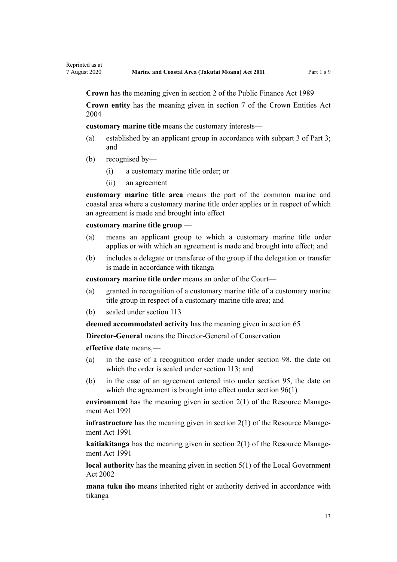**Crown** has the meaning given in [section 2](http://legislation.govt.nz/pdflink.aspx?id=DLM160819) of the Public Finance Act 1989

**Crown entity** has the meaning given in [section 7](http://legislation.govt.nz/pdflink.aspx?id=DLM329641) of the Crown Entities Act 2004

**customary marine title** means the customary interests—

- (a) established by an applicant group in accordance with [subpart 3 of Part 3;](#page-44-0) and
- (b) recognised by—
	- (i) a customary marine title order; or
	- (ii) an agreement

**customary marine title area** means the part of the common marine and coastal area where a customary marine title order applies or in respect of which an agreement is made and brought into effect

### **customary marine title group** —

- (a) means an applicant group to which a customary marine title order applies or with which an agreement is made and brought into effect; and
- (b) includes a delegate or transferee of the group if the delegation or transfer is made in accordance with tikanga

**customary marine title order** means an order of the Court—

- (a) granted in recognition of a customary marine title of a customary marine title group in respect of a customary marine title area; and
- (b) sealed under [section 113](#page-77-0)

**deemed accommodated activity** has the meaning given in [section 65](#page-51-0)

**Director-General** means the Director-General of Conservation

**effective date** means,—

- (a) in the case of a recognition order made under [section 98,](#page-70-0) the date on which the order is sealed under [section 113;](#page-77-0) and
- (b) in the case of an agreement entered into under [section 95,](#page-69-0) the date on which the agreement is brought into effect under [section 96\(1\)](#page-69-0)

**environment** has the meaning given in [section 2\(1\)](http://legislation.govt.nz/pdflink.aspx?id=DLM230272) of the Resource Management Act 1991

**infrastructure** has the meaning given in [section 2\(1\)](http://legislation.govt.nz/pdflink.aspx?id=DLM230272) of the Resource Management Act 1991

**kaitiakitanga** has the meaning given in [section 2\(1\)](http://legislation.govt.nz/pdflink.aspx?id=DLM230272) of the Resource Management Act 1991

**local authority** has the meaning given in [section 5\(1\)](http://legislation.govt.nz/pdflink.aspx?id=DLM170881) of the Local Government Act 2002

**mana tuku iho** means inherited right or authority derived in accordance with tikanga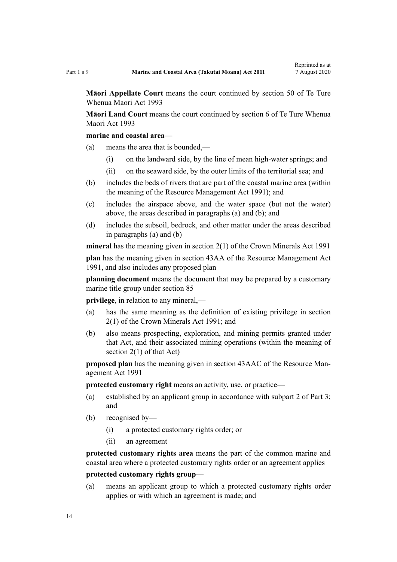**Māori Appellate Court** means the court continued by [section 50](http://legislation.govt.nz/pdflink.aspx?id=DLM290929) of Te Ture Whenua Maori Act 1993

**Māori Land Court** means the court continued by [section 6](http://legislation.govt.nz/pdflink.aspx?id=DLM290517) of Te Ture Whenua Maori Act 1993

### **marine and coastal area**—

- (a) means the area that is bounded,—
	- (i) on the landward side, by the line of mean high-water springs; and
	- (ii) on the seaward side, by the outer limits of the territorial sea; and
- (b) includes the beds of rivers that are part of the coastal marine area (within the meaning of the [Resource Management Act 1991](http://legislation.govt.nz/pdflink.aspx?id=DLM230264)); and
- (c) includes the airspace above, and the water space (but not the water) above, the areas described in paragraphs (a) and (b); and
- (d) includes the subsoil, bedrock, and other matter under the areas described in paragraphs (a) and (b)

**mineral** has the meaning given in [section 2\(1\)](http://legislation.govt.nz/pdflink.aspx?id=DLM242543) of the Crown Minerals Act 1991

**plan** has the meaning given in [section 43AA](http://legislation.govt.nz/pdflink.aspx?id=DLM2412743) of the Resource Management Act 1991, and also includes any proposed plan

**planning document** means the document that may be prepared by a customary marine title group under [section 85](#page-64-0)

**privilege**, in relation to any mineral,—

- (a) has the same meaning as the definition of existing privilege in [section](http://legislation.govt.nz/pdflink.aspx?id=DLM242543) [2\(1\)](http://legislation.govt.nz/pdflink.aspx?id=DLM242543) of the Crown Minerals Act 1991; and
- (b) also means prospecting, exploration, and mining permits granted under that Act, and their associated mining operations (within the meaning of [section 2\(1\)](http://legislation.govt.nz/pdflink.aspx?id=DLM242543) of that Act)

**proposed plan** has the meaning given in [section 43AAC](http://legislation.govt.nz/pdflink.aspx?id=DLM2412769) of the Resource Management Act 1991

**protected customary right** means an activity, use, or practice—

- (a) established by an applicant group in accordance with [subpart 2 of Part 3;](#page-39-0) and
- (b) recognised by—
	- (i) a protected customary rights order; or
	- (ii) an agreement

**protected customary rights area** means the part of the common marine and coastal area where a protected customary rights order or an agreement applies

### **protected customary rights group**—

(a) means an applicant group to which a protected customary rights order applies or with which an agreement is made; and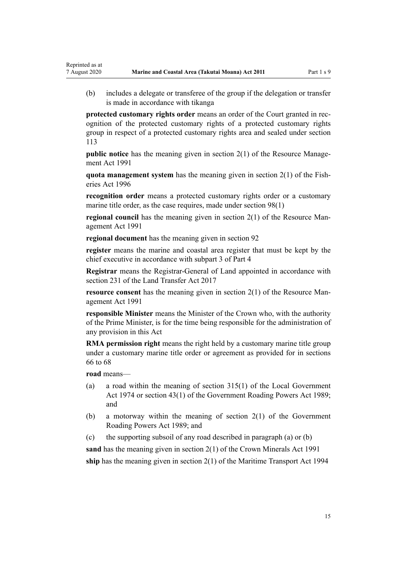(b) includes a delegate or transferee of the group if the delegation or transfer is made in accordance with tikanga

**protected customary rights order** means an order of the Court granted in recognition of the protected customary rights of a protected customary rights group in respect of a protected customary rights area and sealed under [section](#page-77-0) [113](#page-77-0)

**public notice** has the meaning given in [section 2\(1\)](http://legislation.govt.nz/pdflink.aspx?id=DLM230272) of the Resource Management Act 1991

**quota management system** has the meaning given in [section 2\(1\)](http://legislation.govt.nz/pdflink.aspx?id=DLM394199) of the Fisheries Act 1996

**recognition order** means a protected customary rights order or a customary marine title order, as the case requires, made under [section 98\(1\)](#page-70-0)

**regional council** has the meaning given in [section 2\(1\)](http://legislation.govt.nz/pdflink.aspx?id=DLM230272) of the Resource Management Act 1991

**regional document** has the meaning given in [section 92](#page-66-0)

**register** means the marine and coastal area register that must be kept by the chief executive in accordance with [subpart 3 of Part 4](#page-77-0)

**Registrar** means the Registrar-General of Land appointed in accordance with [section 231](http://legislation.govt.nz/pdflink.aspx?id=DLM6731451) of the Land Transfer Act 2017

**resource consent** has the meaning given in [section 2\(1\)](http://legislation.govt.nz/pdflink.aspx?id=DLM230272) of the Resource Management Act 1991

**responsible Minister** means the Minister of the Crown who, with the authority of the Prime Minister, is for the time being responsible for the administration of any provision in this Act

**RMA permission right** means the right held by a customary marine title group under a customary marine title order or agreement as provided for in [sections](#page-52-0) [66 to 68](#page-52-0)

**road** means—

Reprinted as at

- (a) a road within the meaning of [section 315\(1\)](http://legislation.govt.nz/pdflink.aspx?id=DLM420326) of the Local Government Act 1974 or [section 43\(1\)](http://legislation.govt.nz/pdflink.aspx?id=DLM175232) of the Government Roading Powers Act 1989; and
- (b) a motorway within the meaning of [section 2\(1\)](http://legislation.govt.nz/pdflink.aspx?id=DLM173374) of the Government Roading Powers Act 1989; and
- (c) the supporting subsoil of any road described in paragraph (a) or (b)

**sand** has the meaning given in [section 2\(1\)](http://legislation.govt.nz/pdflink.aspx?id=DLM242543) of the Crown Minerals Act 1991 **ship** has the meaning given in [section 2\(1\)](http://legislation.govt.nz/pdflink.aspx?id=DLM334667) of the Maritime Transport Act 1994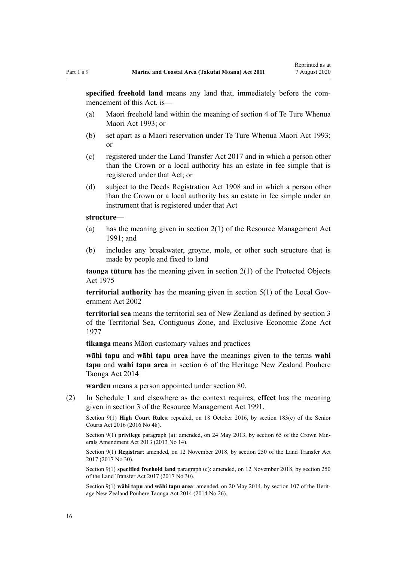**specified freehold land** means any land that, immediately before the commencement of this Act, is—

- (a) Maori freehold land within the meaning of [section 4](http://legislation.govt.nz/pdflink.aspx?id=DLM289897) of Te Ture Whenua Maori Act 1993; or
- (b) set apart as a Maori reservation under [Te Ture Whenua Maori Act 1993;](http://legislation.govt.nz/pdflink.aspx?id=DLM289881) or
- (c) registered under the [Land Transfer Act 2017](http://legislation.govt.nz/pdflink.aspx?id=DLM6731002) and in which a person other than the Crown or a local authority has an estate in fee simple that is registered under that Act; or
- (d) subject to the [Deeds Registration Act 1908](http://legislation.govt.nz/pdflink.aspx?id=DLM141134) and in which a person other than the Crown or a local authority has an estate in fee simple under an instrument that is registered under that Act

#### **structure**—

- (a) has the meaning given in [section 2\(1\)](http://legislation.govt.nz/pdflink.aspx?id=DLM230272) of the Resource Management Act 1991; and
- (b) includes any breakwater, groyne, mole, or other such structure that is made by people and fixed to land

**taonga tūturu** has the meaning given in [section 2\(1\)](http://legislation.govt.nz/pdflink.aspx?id=DLM432125) of the Protected Objects Act 1975

**territorial authority** has the meaning given in [section 5\(1\)](http://legislation.govt.nz/pdflink.aspx?id=DLM170881) of the Local Government Act 2002

**territorial sea** means the territorial sea of New Zealand as defined by [section 3](http://legislation.govt.nz/pdflink.aspx?id=DLM442665) of the Territorial Sea, Contiguous Zone, and Exclusive Economic Zone Act 1977

**tikanga** means Māori customary values and practices

**wāhi tapu** and **wāhi tapu area** have the meanings given to the terms **wahi tapu** and **wahi tapu area** in [section 6](http://legislation.govt.nz/pdflink.aspx?id=DLM4005423) of the Heritage New Zealand Pouhere Taonga Act 2014

**warden** means a person appointed under [section 80](#page-60-0).

(2) In [Schedule 1](#page-84-0) and elsewhere as the context requires, **effect** has the meaning given in [section 3](http://legislation.govt.nz/pdflink.aspx?id=DLM231795) of the Resource Management Act 1991.

Section 9(1) **High Court Rules**: repealed, on 18 October 2016, by [section 183\(c\)](http://legislation.govt.nz/pdflink.aspx?id=DLM5759564) of the Senior Courts Act 2016 (2016 No 48).

Section 9(1) **privilege** paragraph (a): amended, on 24 May 2013, by [section 65](http://legislation.govt.nz/pdflink.aspx?id=DLM5081570) of the Crown Minerals Amendment Act 2013 (2013 No 14).

Section 9(1) **Registrar**: amended, on 12 November 2018, by [section 250](http://legislation.govt.nz/pdflink.aspx?id=DLM6731493) of the Land Transfer Act 2017 (2017 No 30).

Section 9(1) **specified freehold land** paragraph (c): amended, on 12 November 2018, by [section 250](http://legislation.govt.nz/pdflink.aspx?id=DLM6731493) of the Land Transfer Act 2017 (2017 No 30).

Section 9(1) **wāhi tapu** and **wāhi tapu area**: amended, on 20 May 2014, by [section 107](http://legislation.govt.nz/pdflink.aspx?id=DLM4005646) of the Heritage New Zealand Pouhere Taonga Act 2014 (2014 No 26).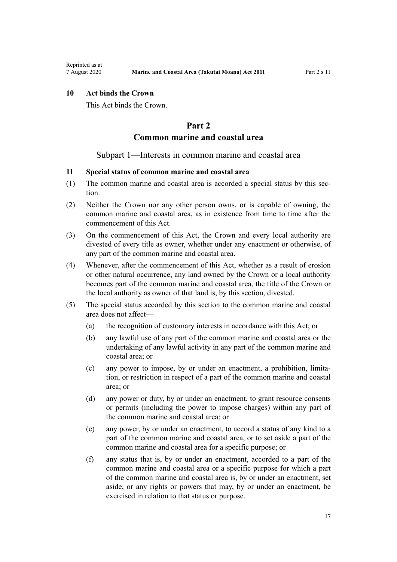# <span id="page-16-0"></span>**10 Act binds the Crown**

This Act binds the Crown.

# **Part 2**

# **Common marine and coastal area**

### Subpart 1—Interests in common marine and coastal area

# **11 Special status of common marine and coastal area**

- (1) The common marine and coastal area is accorded a special status by this section.
- (2) Neither the Crown nor any other person owns, or is capable of owning, the common marine and coastal area, as in existence from time to time after the commencement of this Act.
- (3) On the commencement of this Act, the Crown and every local authority are divested of every title as owner, whether under any enactment or otherwise, of any part of the common marine and coastal area.
- (4) Whenever, after the commencement of this Act, whether as a result of erosion or other natural occurrence, any land owned by the Crown or a local authority becomes part of the common marine and coastal area, the title of the Crown or the local authority as owner of that land is, by this section, divested.
- (5) The special status accorded by this section to the common marine and coastal area does not affect—
	- (a) the recognition of customary interests in accordance with this Act; or
	- (b) any lawful use of any part of the common marine and coastal area or the undertaking of any lawful activity in any part of the common marine and coastal area; or
	- (c) any power to impose, by or under an enactment, a prohibition, limitation, or restriction in respect of a part of the common marine and coastal area; or
	- (d) any power or duty, by or under an enactment, to grant resource consents or permits (including the power to impose charges) within any part of the common marine and coastal area; or
	- (e) any power, by or under an enactment, to accord a status of any kind to a part of the common marine and coastal area, or to set aside a part of the common marine and coastal area for a specific purpose; or
	- (f) any status that is, by or under an enactment, accorded to a part of the common marine and coastal area or a specific purpose for which a part of the common marine and coastal area is, by or under an enactment, set aside, or any rights or powers that may, by or under an enactment, be exercised in relation to that status or purpose.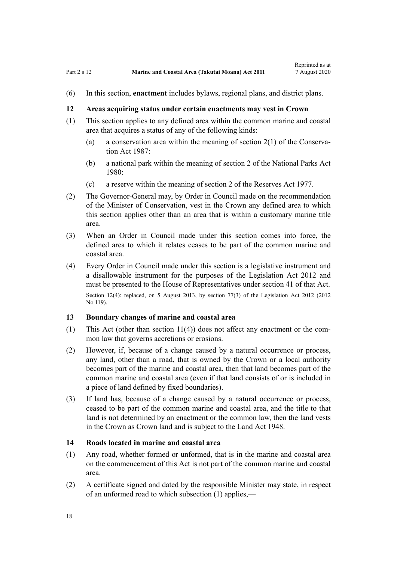<span id="page-17-0"></span>(6) In this section, **enactment** includes bylaws, regional plans, and district plans.

### **12 Areas acquiring status under certain enactments may vest in Crown**

- (1) This section applies to any defined area within the common marine and coastal area that acquires a status of any of the following kinds:
	- (a) a conservation area within the meaning of [section 2\(1\)](http://legislation.govt.nz/pdflink.aspx?id=DLM103616) of the Conservation Act 1987:
	- (b) a national park within the meaning of [section 2](http://legislation.govt.nz/pdflink.aspx?id=DLM36968) of the National Parks Act 1980:
	- (c) a reserve within the meaning of [section 2](http://legislation.govt.nz/pdflink.aspx?id=DLM444310) of the Reserves Act 1977.
- (2) The Governor-General may, by Order in Council made on the recommendation of the Minister of Conservation, vest in the Crown any defined area to which this section applies other than an area that is within a customary marine title area.
- (3) When an Order in Council made under this section comes into force, the defined area to which it relates ceases to be part of the common marine and coastal area.
- (4) Every Order in Council made under this section is a legislative instrument and a disallowable instrument for the purposes of the [Legislation Act 2012](http://legislation.govt.nz/pdflink.aspx?id=DLM2997643) and must be presented to the House of Representatives under [section 41](http://legislation.govt.nz/pdflink.aspx?id=DLM2998573) of that Act. Section 12(4): replaced, on 5 August 2013, by [section 77\(3\)](http://legislation.govt.nz/pdflink.aspx?id=DLM2998633) of the Legislation Act 2012 (2012) No 119).

### **13 Boundary changes of marine and coastal area**

- (1) This Act (other than [section 11\(4\)](#page-16-0)) does not affect any enactment or the common law that governs accretions or erosions.
- (2) However, if, because of a change caused by a natural occurrence or process, any land, other than a road, that is owned by the Crown or a local authority becomes part of the marine and coastal area, then that land becomes part of the common marine and coastal area (even if that land consists of or is included in a piece of land defined by fixed boundaries).
- (3) If land has, because of a change caused by a natural occurrence or process, ceased to be part of the common marine and coastal area, and the title to that land is not determined by an enactment or the common law, then the land vests in the Crown as Crown land and is subject to the [Land Act 1948.](http://legislation.govt.nz/pdflink.aspx?id=DLM250585)

### **14 Roads located in marine and coastal area**

- (1) Any road, whether formed or unformed, that is in the marine and coastal area on the commencement of this Act is not part of the common marine and coastal area.
- (2) A certificate signed and dated by the responsible Minister may state, in respect of an unformed road to which subsection (1) applies,—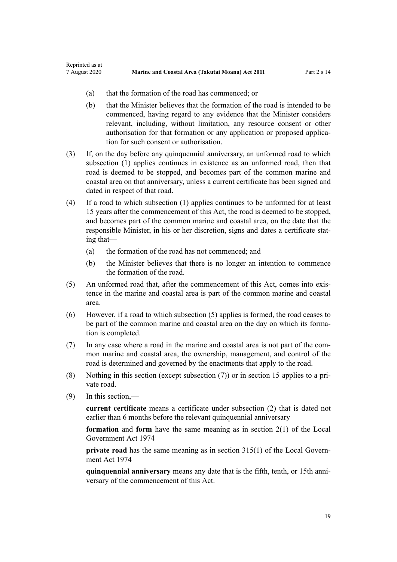- (a) that the formation of the road has commenced; or
- (b) that the Minister believes that the formation of the road is intended to be commenced, having regard to any evidence that the Minister considers relevant, including, without limitation, any resource consent or other authorisation for that formation or any application or proposed application for such consent or authorisation.
- (3) If, on the day before any quinquennial anniversary, an unformed road to which subsection (1) applies continues in existence as an unformed road, then that road is deemed to be stopped, and becomes part of the common marine and coastal area on that anniversary, unless a current certificate has been signed and dated in respect of that road.
- (4) If a road to which subsection (1) applies continues to be unformed for at least 15 years after the commencement of this Act, the road is deemed to be stopped, and becomes part of the common marine and coastal area, on the date that the responsible Minister, in his or her discretion, signs and dates a certificate stating that—
	- (a) the formation of the road has not commenced; and
	- (b) the Minister believes that there is no longer an intention to commence the formation of the road.
- (5) An unformed road that, after the commencement of this Act, comes into existence in the marine and coastal area is part of the common marine and coastal area.
- (6) However, if a road to which subsection (5) applies is formed, the road ceases to be part of the common marine and coastal area on the day on which its formation is completed.
- (7) In any case where a road in the marine and coastal area is not part of the common marine and coastal area, the ownership, management, and control of the road is determined and governed by the enactments that apply to the road.
- (8) Nothing in this section (except subsection (7)) or in [section 15](#page-19-0) applies to a private road.
- (9) In this section,—

Reprinted as at

**current certificate** means a certificate under subsection (2) that is dated not earlier than 6 months before the relevant quinquennial anniversary

**formation** and **form** have the same meaning as in [section 2\(1\)](http://legislation.govt.nz/pdflink.aspx?id=DLM415539) of the Local Government Act 1974

**private road** has the same meaning as in [section 315\(1\)](http://legislation.govt.nz/pdflink.aspx?id=DLM420326) of the Local Government Act 1974

**quinquennial anniversary** means any date that is the fifth, tenth, or 15th anniversary of the commencement of this Act.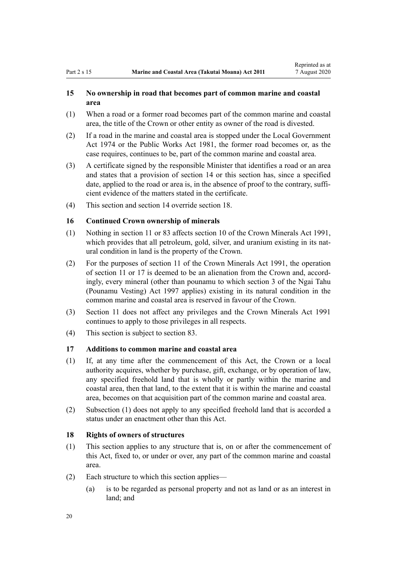## <span id="page-19-0"></span>**15 No ownership in road that becomes part of common marine and coastal area**

- (1) When a road or a former road becomes part of the common marine and coastal area, the title of the Crown or other entity as owner of the road is divested.
- (2) If a road in the marine and coastal area is stopped under the [Local Government](http://legislation.govt.nz/pdflink.aspx?id=DLM415531) [Act 1974](http://legislation.govt.nz/pdflink.aspx?id=DLM415531) or the [Public Works Act 1981](http://legislation.govt.nz/pdflink.aspx?id=DLM45426), the former road becomes or, as the case requires, continues to be, part of the common marine and coastal area.
- (3) A certificate signed by the responsible Minister that identifies a road or an area and states that a provision of [section 14](#page-17-0) or this section has, since a specified date, applied to the road or area is, in the absence of proof to the contrary, sufficient evidence of the matters stated in the certificate.
- (4) This section and [section 14](#page-17-0) override section 18.

## **16 Continued Crown ownership of minerals**

- (1) Nothing in [section 11](#page-16-0) or [83](#page-63-0) affects [section 10](http://legislation.govt.nz/pdflink.aspx?id=DLM246310) of the Crown Minerals Act 1991, which provides that all petroleum, gold, silver, and uranium existing in its natural condition in land is the property of the Crown.
- (2) For the purposes of [section 11](http://legislation.govt.nz/pdflink.aspx?id=DLM246311) of the Crown Minerals Act 1991, the operation of [section 11](#page-16-0) or 17 is deemed to be an alienation from the Crown and, accordingly, every mineral (other than pounamu to which [section 3](http://legislation.govt.nz/pdflink.aspx?id=DLM413605) of the Ngai Tahu (Pounamu Vesting) Act 1997 applies) existing in its natural condition in the common marine and coastal area is reserved in favour of the Crown.
- (3) [Section 11](#page-16-0) does not affect any privileges and the [Crown Minerals Act 1991](http://legislation.govt.nz/pdflink.aspx?id=DLM242535) continues to apply to those privileges in all respects.
- (4) This section is subject to [section 83.](#page-63-0)

### **17 Additions to common marine and coastal area**

- (1) If, at any time after the commencement of this Act, the Crown or a local authority acquires, whether by purchase, gift, exchange, or by operation of law, any specified freehold land that is wholly or partly within the marine and coastal area, then that land, to the extent that it is within the marine and coastal area, becomes on that acquisition part of the common marine and coastal area.
- (2) Subsection (1) does not apply to any specified freehold land that is accorded a status under an enactment other than this Act.

# **18 Rights of owners of structures**

- (1) This section applies to any structure that is, on or after the commencement of this Act, fixed to, or under or over, any part of the common marine and coastal area.
- (2) Each structure to which this section applies—
	- (a) is to be regarded as personal property and not as land or as an interest in land; and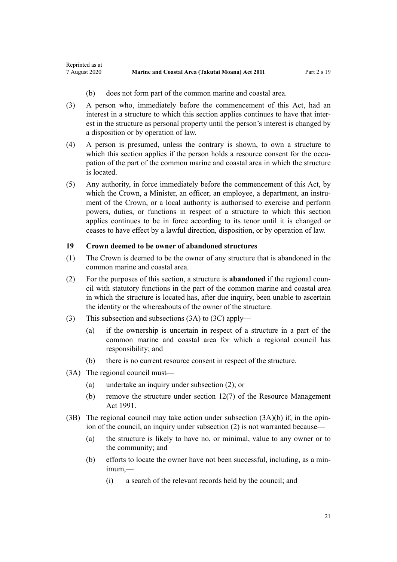- (b) does not form part of the common marine and coastal area.
- (3) A person who, immediately before the commencement of this Act, had an interest in a structure to which this section applies continues to have that interest in the structure as personal property until the person's interest is changed by a disposition or by operation of law.
- (4) A person is presumed, unless the contrary is shown, to own a structure to which this section applies if the person holds a resource consent for the occupation of the part of the common marine and coastal area in which the structure is located.
- (5) Any authority, in force immediately before the commencement of this Act, by which the Crown, a Minister, an officer, an employee, a department, an instrument of the Crown, or a local authority is authorised to exercise and perform powers, duties, or functions in respect of a structure to which this section applies continues to be in force according to its tenor until it is changed or ceases to have effect by a lawful direction, disposition, or by operation of law.

#### **19 Crown deemed to be owner of abandoned structures**

- (1) The Crown is deemed to be the owner of any structure that is abandoned in the common marine and coastal area.
- (2) For the purposes of this section, a structure is **abandoned** if the regional council with statutory functions in the part of the common marine and coastal area in which the structure is located has, after due inquiry, been unable to ascertain the identity or the whereabouts of the owner of the structure.
- (3) This subsection and subsections (3A) to (3C) apply—
	- (a) if the ownership is uncertain in respect of a structure in a part of the common marine and coastal area for which a regional council has responsibility; and
	- (b) there is no current resource consent in respect of the structure.
- (3A) The regional council must—

<span id="page-20-0"></span>Reprinted as at

- (a) undertake an inquiry under subsection (2); or
- (b) remove the structure under [section 12\(7\)](http://legislation.govt.nz/pdflink.aspx?id=DLM231949) of the Resource Management Act 1991.
- (3B) The regional council may take action under subsection  $(3A)(b)$  if, in the opinion of the council, an inquiry under subsection (2) is not warranted because—
	- (a) the structure is likely to have no, or minimal, value to any owner or to the community; and
	- (b) efforts to locate the owner have not been successful, including, as a minimum,—
		- (i) a search of the relevant records held by the council; and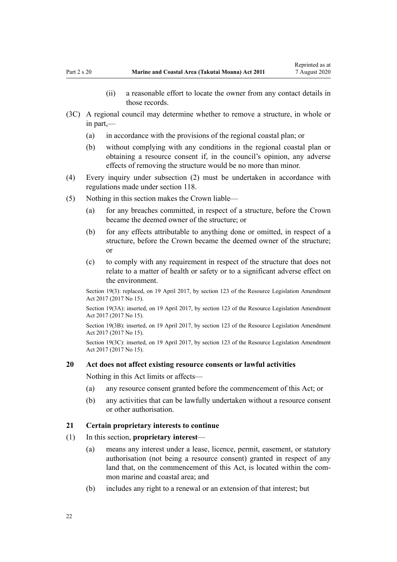- (ii) a reasonable effort to locate the owner from any contact details in those records.
- <span id="page-21-0"></span>(3C) A regional council may determine whether to remove a structure, in whole or in part,—
	- (a) in accordance with the provisions of the regional coastal plan; or
	- (b) without complying with any conditions in the regional coastal plan or obtaining a resource consent if, in the council's opinion, any adverse effects of removing the structure would be no more than minor.
- (4) Every inquiry under subsection (2) must be undertaken in accordance with regulations made under [section 118](#page-78-0).
- (5) Nothing in this section makes the Crown liable—
	- (a) for any breaches committed, in respect of a structure, before the Crown became the deemed owner of the structure; or
	- (b) for any effects attributable to anything done or omitted, in respect of a structure, before the Crown became the deemed owner of the structure; or
	- (c) to comply with any requirement in respect of the structure that does not relate to a matter of health or safety or to a significant adverse effect on the environment.

Section 19(3): replaced, on 19 April 2017, by [section 123](http://legislation.govt.nz/pdflink.aspx?id=DLM6669356) of the Resource Legislation Amendment Act 2017 (2017 No 15).

Section 19(3A): inserted, on 19 April 2017, by [section 123](http://legislation.govt.nz/pdflink.aspx?id=DLM6669356) of the Resource Legislation Amendment Act 2017 (2017 No 15).

Section 19(3B): inserted, on 19 April 2017, by [section 123](http://legislation.govt.nz/pdflink.aspx?id=DLM6669356) of the Resource Legislation Amendment Act 2017 (2017 No 15).

Section 19(3C): inserted, on 19 April 2017, by [section 123](http://legislation.govt.nz/pdflink.aspx?id=DLM6669356) of the Resource Legislation Amendment Act 2017 (2017 No 15).

#### **20 Act does not affect existing resource consents or lawful activities**

Nothing in this Act limits or affects—

- (a) any resource consent granted before the commencement of this Act; or
- (b) any activities that can be lawfully undertaken without a resource consent or other authorisation.

#### **21 Certain proprietary interests to continue**

- (1) In this section, **proprietary interest**
	- (a) means any interest under a lease, licence, permit, easement, or statutory authorisation (not being a resource consent) granted in respect of any land that, on the commencement of this Act, is located within the common marine and coastal area; and
	- (b) includes any right to a renewal or an extension of that interest; but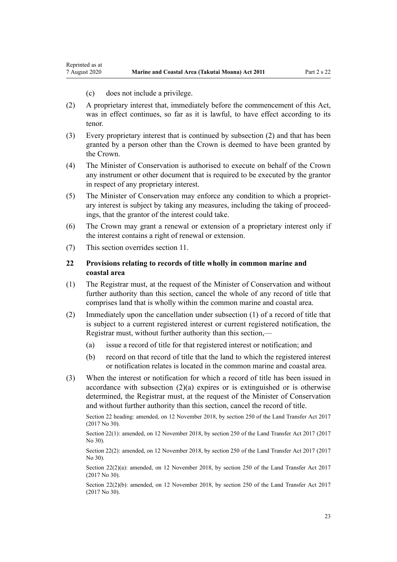(c) does not include a privilege.

<span id="page-22-0"></span>Reprinted as at

- (2) A proprietary interest that, immediately before the commencement of this Act, was in effect continues, so far as it is lawful, to have effect according to its tenor.
- (3) Every proprietary interest that is continued by subsection (2) and that has been granted by a person other than the Crown is deemed to have been granted by the Crown.
- (4) The Minister of Conservation is authorised to execute on behalf of the Crown any instrument or other document that is required to be executed by the grantor in respect of any proprietary interest.
- (5) The Minister of Conservation may enforce any condition to which a proprietary interest is subject by taking any measures, including the taking of proceedings, that the grantor of the interest could take.
- (6) The Crown may grant a renewal or extension of a proprietary interest only if the interest contains a right of renewal or extension.
- (7) This section overrides [section 11](#page-16-0).

# **22 Provisions relating to records of title wholly in common marine and coastal area**

- (1) The Registrar must, at the request of the Minister of Conservation and without further authority than this section, cancel the whole of any record of title that comprises land that is wholly within the common marine and coastal area.
- (2) Immediately upon the cancellation under subsection (1) of a record of title that is subject to a current registered interest or current registered notification, the Registrar must, without further authority than this section,—
	- (a) issue a record of title for that registered interest or notification; and
	- (b) record on that record of title that the land to which the registered interest or notification relates is located in the common marine and coastal area.
- (3) When the interest or notification for which a record of title has been issued in accordance with subsection  $(2)(a)$  expires or is extinguished or is otherwise determined, the Registrar must, at the request of the Minister of Conservation and without further authority than this section, cancel the record of title.

Section 22 heading: amended, on 12 November 2018, by [section 250](http://legislation.govt.nz/pdflink.aspx?id=DLM6731493) of the Land Transfer Act 2017 (2017 No 30).

Section 22(1): amended, on 12 November 2018, by [section 250](http://legislation.govt.nz/pdflink.aspx?id=DLM6731493) of the Land Transfer Act 2017 (2017 No 30).

Section 22(2): amended, on 12 November 2018, by [section 250](http://legislation.govt.nz/pdflink.aspx?id=DLM6731493) of the Land Transfer Act 2017 (2017) No 30).

Section 22(2)(a): amended, on 12 November 2018, by [section 250](http://legislation.govt.nz/pdflink.aspx?id=DLM6731493) of the Land Transfer Act 2017 (2017 No 30).

Section 22(2)(b): amended, on 12 November 2018, by [section 250](http://legislation.govt.nz/pdflink.aspx?id=DLM6731493) of the Land Transfer Act 2017 (2017 No 30).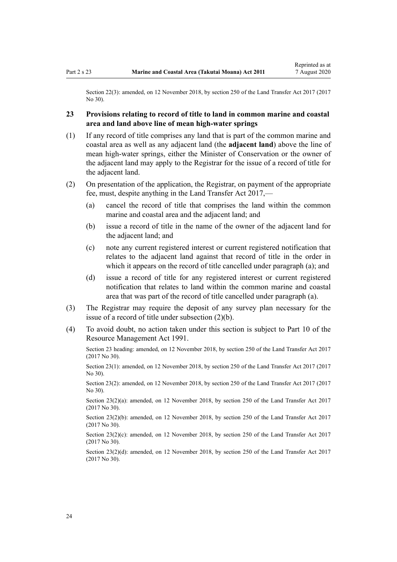<span id="page-23-0"></span>Section 22(3): amended, on 12 November 2018, by [section 250](http://legislation.govt.nz/pdflink.aspx?id=DLM6731493) of the Land Transfer Act 2017 (2017) No 30).

# **23 Provisions relating to record of title to land in common marine and coastal area and land above line of mean high-water springs**

- (1) If any record of title comprises any land that is part of the common marine and coastal area as well as any adjacent land (the **adjacent land**) above the line of mean high-water springs, either the Minister of Conservation or the owner of the adjacent land may apply to the Registrar for the issue of a record of title for the adjacent land.
- (2) On presentation of the application, the Registrar, on payment of the appropriate fee, must, despite anything in the [Land Transfer Act 2017,](http://legislation.govt.nz/pdflink.aspx?id=DLM6731002)—
	- (a) cancel the record of title that comprises the land within the common marine and coastal area and the adjacent land; and
	- (b) issue a record of title in the name of the owner of the adjacent land for the adjacent land; and
	- (c) note any current registered interest or current registered notification that relates to the adjacent land against that record of title in the order in which it appears on the record of title cancelled under paragraph (a); and
	- (d) issue a record of title for any registered interest or current registered notification that relates to land within the common marine and coastal area that was part of the record of title cancelled under paragraph (a).
- (3) The Registrar may require the deposit of any survey plan necessary for the issue of a record of title under subsection (2)(b).
- (4) To avoid doubt, no action taken under this section is subject to [Part 10](http://legislation.govt.nz/pdflink.aspx?id=DLM236786) of the Resource Management Act 1991.

Section 23 heading: amended, on 12 November 2018, by [section 250](http://legislation.govt.nz/pdflink.aspx?id=DLM6731493) of the Land Transfer Act 2017 (2017 No 30).

Section 23(1): amended, on 12 November 2018, by [section 250](http://legislation.govt.nz/pdflink.aspx?id=DLM6731493) of the Land Transfer Act 2017 (2017 No 30).

Section 23(2): amended, on 12 November 2018, by [section 250](http://legislation.govt.nz/pdflink.aspx?id=DLM6731493) of the Land Transfer Act 2017 (2017 No 30).

Section 23(2)(a): amended, on 12 November 2018, by [section 250](http://legislation.govt.nz/pdflink.aspx?id=DLM6731493) of the Land Transfer Act 2017 (2017 No 30).

Section 23(2)(b): amended, on 12 November 2018, by [section 250](http://legislation.govt.nz/pdflink.aspx?id=DLM6731493) of the Land Transfer Act 2017 (2017 No 30).

Section 23(2)(c): amended, on 12 November 2018, by [section 250](http://legislation.govt.nz/pdflink.aspx?id=DLM6731493) of the Land Transfer Act 2017 (2017 No 30).

Section 23(2)(d): amended, on 12 November 2018, by [section 250](http://legislation.govt.nz/pdflink.aspx?id=DLM6731493) of the Land Transfer Act 2017 (2017 No 30).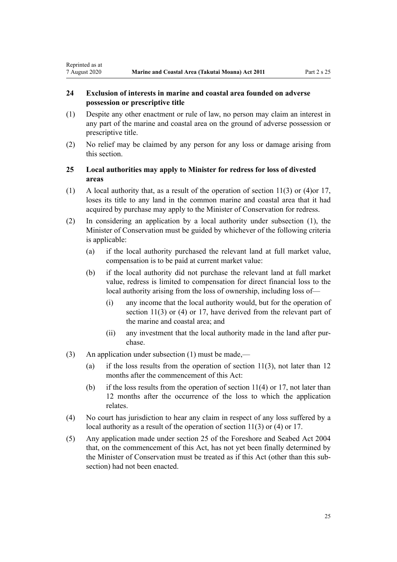# **24 Exclusion of interests in marine and coastal area founded on adverse possession or prescriptive title**

<span id="page-24-0"></span>Reprinted as at

- (1) Despite any other enactment or rule of law, no person may claim an interest in any part of the marine and coastal area on the ground of adverse possession or prescriptive title.
- (2) No relief may be claimed by any person for any loss or damage arising from this section.

# **25 Local authorities may apply to Minister for redress for loss of divested areas**

- (1) A local authority that, as a result of the operation of [section 11\(3\) or \(4\)o](#page-16-0)r [17](#page-19-0), loses its title to any land in the common marine and coastal area that it had acquired by purchase may apply to the Minister of Conservation for redress.
- (2) In considering an application by a local authority under subsection (1), the Minister of Conservation must be guided by whichever of the following criteria is applicable:
	- (a) if the local authority purchased the relevant land at full market value, compensation is to be paid at current market value:
	- (b) if the local authority did not purchase the relevant land at full market value, redress is limited to compensation for direct financial loss to the local authority arising from the loss of ownership, including loss of—
		- (i) any income that the local authority would, but for the operation of [section 11\(3\) or \(4\)](#page-16-0) or [17](#page-19-0), have derived from the relevant part of the marine and coastal area; and
		- (ii) any investment that the local authority made in the land after purchase.
- (3) An application under subsection (1) must be made,—
	- (a) if the loss results from the operation of section  $11(3)$ , not later than 12 months after the commencement of this Act:
	- (b) if the loss results from the operation of section  $11(4)$  or [17](#page-19-0), not later than 12 months after the occurrence of the loss to which the application relates.
- (4) No court has jurisdiction to hear any claim in respect of any loss suffered by a local authority as a result of the operation of [section 11\(3\) or \(4\)](#page-16-0) or [17](#page-19-0).
- (5) Any application made under [section 25](http://legislation.govt.nz/pdflink.aspx?id=DLM320246) of the Foreshore and Seabed Act 2004 that, on the commencement of this Act, has not yet been finally determined by the Minister of Conservation must be treated as if this Act (other than this subsection) had not been enacted.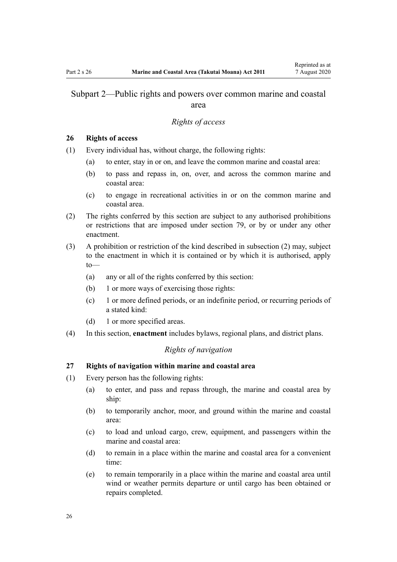# <span id="page-25-0"></span>Subpart 2—Public rights and powers over common marine and coastal area

#### *Rights of access*

### **26 Rights of access**

- (1) Every individual has, without charge, the following rights:
	- (a) to enter, stay in or on, and leave the common marine and coastal area:
	- (b) to pass and repass in, on, over, and across the common marine and coastal area:
	- (c) to engage in recreational activities in or on the common marine and coastal area.
- (2) The rights conferred by this section are subject to any authorised prohibitions or restrictions that are imposed under [section 79,](#page-59-0) or by or under any other enactment.
- (3) A prohibition or restriction of the kind described in subsection (2) may, subject to the enactment in which it is contained or by which it is authorised, apply to—
	- (a) any or all of the rights conferred by this section:
	- (b) 1 or more ways of exercising those rights:
	- (c) 1 or more defined periods, or an indefinite period, or recurring periods of a stated kind:
	- (d) 1 or more specified areas.
- (4) In this section, **enactment** includes bylaws, regional plans, and district plans.

# *Rights of navigation*

### **27 Rights of navigation within marine and coastal area**

- (1) Every person has the following rights:
	- (a) to enter, and pass and repass through, the marine and coastal area by ship:
	- (b) to temporarily anchor, moor, and ground within the marine and coastal area:
	- (c) to load and unload cargo, crew, equipment, and passengers within the marine and coastal area:
	- (d) to remain in a place within the marine and coastal area for a convenient time:
	- (e) to remain temporarily in a place within the marine and coastal area until wind or weather permits departure or until cargo has been obtained or repairs completed.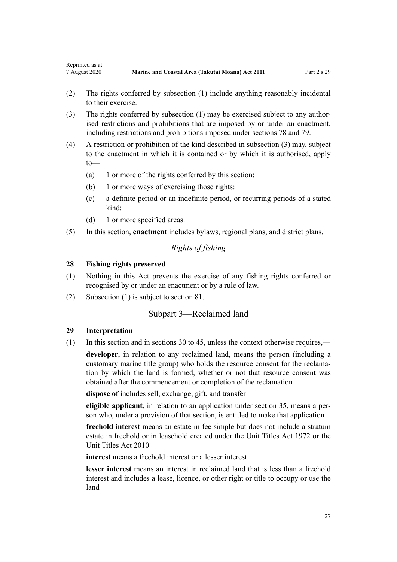- <span id="page-26-0"></span>(2) The rights conferred by subsection (1) include anything reasonably incidental to their exercise.
- (3) The rights conferred by subsection (1) may be exercised subject to any authorised restrictions and prohibitions that are imposed by or under an enactment, including restrictions and prohibitions imposed under [sections 78](#page-59-0) and [79.](#page-59-0)
- (4) A restriction or prohibition of the kind described in subsection (3) may, subject to the enactment in which it is contained or by which it is authorised, apply to—
	- (a) 1 or more of the rights conferred by this section:
	- (b) 1 or more ways of exercising those rights:
	- (c) a definite period or an indefinite period, or recurring periods of a stated kind:
	- (d) 1 or more specified areas.
- (5) In this section, **enactment** includes bylaws, regional plans, and district plans.

# *Rights of fishing*

#### **28 Fishing rights preserved**

- (1) Nothing in this Act prevents the exercise of any fishing rights conferred or recognised by or under an enactment or by a rule of law.
- (2) Subsection (1) is subject to [section 81.](#page-61-0)

# Subpart 3—Reclaimed land

### **29 Interpretation**

(1) In this section and in [sections 30 to 45,](#page-27-0) unless the context otherwise requires,—

**developer**, in relation to any reclaimed land, means the person (including a customary marine title group) who holds the resource consent for the reclamation by which the land is formed, whether or not that resource consent was obtained after the commencement or completion of the reclamation

**dispose of** includes sell, exchange, gift, and transfer

**eligible applicant**, in relation to an application under [section 35,](#page-29-0) means a person who, under a provision of that section, is entitled to make that application

**freehold interest** means an estate in fee simple but does not include a stratum estate in freehold or in leasehold created under the [Unit Titles Act 1972](http://legislation.govt.nz/pdflink.aspx?id=DLM405590) or the [Unit Titles Act 2010](http://legislation.govt.nz/pdflink.aspx?id=DLM1160400)

**interest** means a freehold interest or a lesser interest

**lesser interest** means an interest in reclaimed land that is less than a freehold interest and includes a lease, licence, or other right or title to occupy or use the land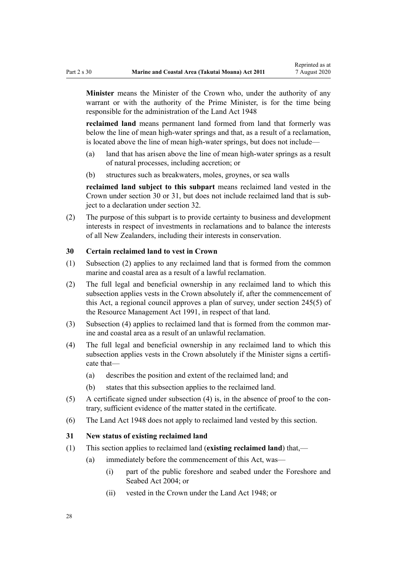<span id="page-27-0"></span>**Minister** means the Minister of the Crown who, under the authority of any warrant or with the authority of the Prime Minister, is for the time being responsible for the administration of the [Land Act 1948](http://legislation.govt.nz/pdflink.aspx?id=DLM250585)

**reclaimed land** means permanent land formed from land that formerly was below the line of mean high-water springs and that, as a result of a reclamation, is located above the line of mean high-water springs, but does not include—

- (a) land that has arisen above the line of mean high-water springs as a result of natural processes, including accretion; or
- (b) structures such as breakwaters, moles, groynes, or sea walls

**reclaimed land subject to this subpart** means reclaimed land vested in the Crown under section 30 or 31, but does not include reclaimed land that is subject to a declaration under [section 32](#page-28-0).

(2) The purpose of this subpart is to provide certainty to business and development interests in respect of investments in reclamations and to balance the interests of all New Zealanders, including their interests in conservation.

### **30 Certain reclaimed land to vest in Crown**

- (1) Subsection (2) applies to any reclaimed land that is formed from the common marine and coastal area as a result of a lawful reclamation.
- (2) The full legal and beneficial ownership in any reclaimed land to which this subsection applies vests in the Crown absolutely if, after the commencement of this Act, a regional council approves a plan of survey, under [section 245\(5\)](http://legislation.govt.nz/pdflink.aspx?id=DLM237630) of the Resource Management Act 1991, in respect of that land.
- (3) Subsection (4) applies to reclaimed land that is formed from the common marine and coastal area as a result of an unlawful reclamation.
- (4) The full legal and beneficial ownership in any reclaimed land to which this subsection applies vests in the Crown absolutely if the Minister signs a certificate that—
	- (a) describes the position and extent of the reclaimed land; and
	- (b) states that this subsection applies to the reclaimed land.
- (5) A certificate signed under subsection (4) is, in the absence of proof to the contrary, sufficient evidence of the matter stated in the certificate.
- (6) The [Land Act 1948](http://legislation.govt.nz/pdflink.aspx?id=DLM250585) does not apply to reclaimed land vested by this section.

### **31 New status of existing reclaimed land**

- (1) This section applies to reclaimed land (**existing reclaimed land**) that,—
	- (a) immediately before the commencement of this Act, was—
		- (i) part of the public foreshore and seabed under the [Foreshore and](http://legislation.govt.nz/pdflink.aspx?id=DLM319838) [Seabed Act 2004;](http://legislation.govt.nz/pdflink.aspx?id=DLM319838) or
		- (ii) vested in the Crown under the [Land Act 1948](http://legislation.govt.nz/pdflink.aspx?id=DLM250585); or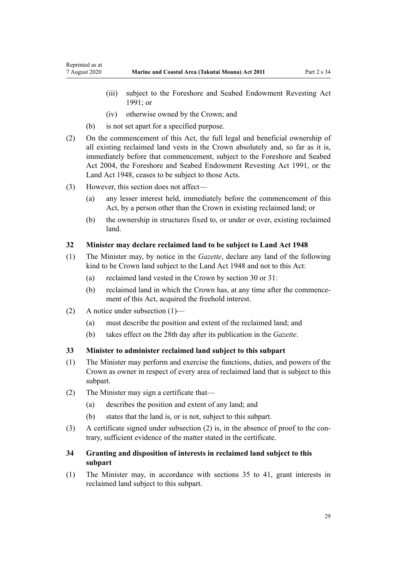- <span id="page-28-0"></span>(iii) subject to the Foreshore and Seabed Endowment Revesting Act 1991; or
- (iv) otherwise owned by the Crown; and
- (b) is not set apart for a specified purpose.
- (2) On the commencement of this Act, the full legal and beneficial ownership of all existing reclaimed land vests in the Crown absolutely and, so far as it is, immediately before that commencement, subject to the [Foreshore and Seabed](http://legislation.govt.nz/pdflink.aspx?id=DLM319838) [Act 2004](http://legislation.govt.nz/pdflink.aspx?id=DLM319838), the Foreshore and Seabed Endowment Revesting Act 1991, or the [Land Act 1948](http://legislation.govt.nz/pdflink.aspx?id=DLM250585), ceases to be subject to those Acts.
- (3) However, this section does not affect—
	- (a) any lesser interest held, immediately before the commencement of this Act, by a person other than the Crown in existing reclaimed land; or
	- (b) the ownership in structures fixed to, or under or over, existing reclaimed land.

# **32 Minister may declare reclaimed land to be subject to Land Act 1948**

- (1) The Minister may, by notice in the *Gazette*, declare any land of the following kind to be Crown land subject to the [Land Act 1948](http://legislation.govt.nz/pdflink.aspx?id=DLM250585) and not to this Act:
	- (a) reclaimed land vested in the Crown by [section 30](#page-27-0) or [31](#page-27-0):
	- (b) reclaimed land in which the Crown has, at any time after the commencement of this Act, acquired the freehold interest.
- (2) A notice under subsection (1)—
	- (a) must describe the position and extent of the reclaimed land; and
	- (b) takes effect on the 28th day after its publication in the *Gazette*.

# **33 Minister to administer reclaimed land subject to this subpart**

- (1) The Minister may perform and exercise the functions, duties, and powers of the Crown as owner in respect of every area of reclaimed land that is subject to this subpart.
- (2) The Minister may sign a certificate that—
	- (a) describes the position and extent of any land; and
	- (b) states that the land is, or is not, subject to this subpart.
- (3) A certificate signed under subsection (2) is, in the absence of proof to the contrary, sufficient evidence of the matter stated in the certificate.

# **34 Granting and disposition of interests in reclaimed land subject to this subpart**

(1) The Minister may, in accordance with [sections 35 to 41](#page-29-0), grant interests in reclaimed land subject to this subpart.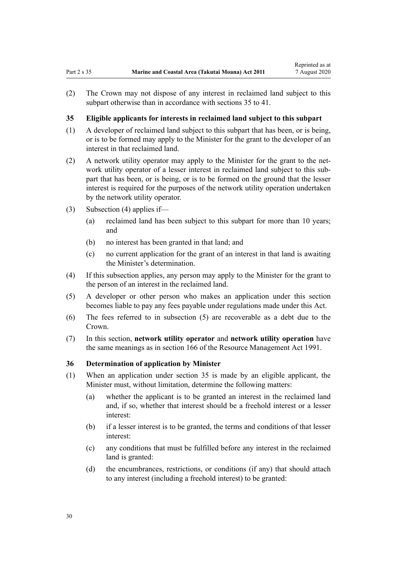<span id="page-29-0"></span>(2) The Crown may not dispose of any interest in reclaimed land subject to this subpart otherwise than in accordance with sections 35 to 41.

### **35 Eligible applicants for interests in reclaimed land subject to this subpart**

- (1) A developer of reclaimed land subject to this subpart that has been, or is being, or is to be formed may apply to the Minister for the grant to the developer of an interest in that reclaimed land.
- (2) A network utility operator may apply to the Minister for the grant to the network utility operator of a lesser interest in reclaimed land subject to this subpart that has been, or is being, or is to be formed on the ground that the lesser interest is required for the purposes of the network utility operation undertaken by the network utility operator.
- (3) Subsection (4) applies if—
	- (a) reclaimed land has been subject to this subpart for more than 10 years; and
	- (b) no interest has been granted in that land; and
	- (c) no current application for the grant of an interest in that land is awaiting the Minister's determination.
- (4) If this subsection applies, any person may apply to the Minister for the grant to the person of an interest in the reclaimed land.
- (5) A developer or other person who makes an application under this section becomes liable to pay any fees payable under regulations made under this Act.
- (6) The fees referred to in subsection (5) are recoverable as a debt due to the Crown.
- (7) In this section, **network utility operator** and **network utility operation** have the same meanings as in [section 166](http://legislation.govt.nz/pdflink.aspx?id=DLM236206) of the Resource Management Act 1991.

### **36 Determination of application by Minister**

- (1) When an application under section 35 is made by an eligible applicant, the Minister must, without limitation, determine the following matters:
	- (a) whether the applicant is to be granted an interest in the reclaimed land and, if so, whether that interest should be a freehold interest or a lesser interest:
	- (b) if a lesser interest is to be granted, the terms and conditions of that lesser interest:
	- (c) any conditions that must be fulfilled before any interest in the reclaimed land is granted:
	- (d) the encumbrances, restrictions, or conditions (if any) that should attach to any interest (including a freehold interest) to be granted: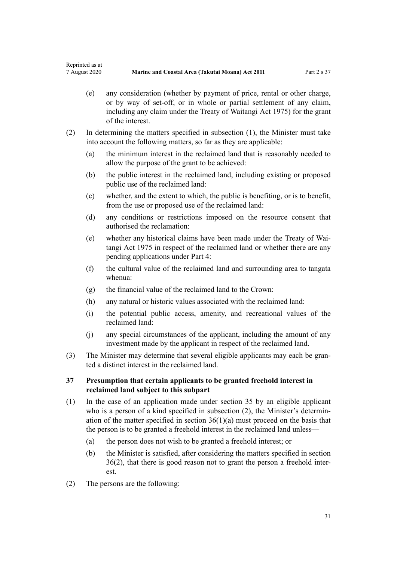- <span id="page-30-0"></span>(e) any consideration (whether by payment of price, rental or other charge, or by way of set-off, or in whole or partial settlement of any claim, including any claim under the [Treaty of Waitangi Act 1975](http://legislation.govt.nz/pdflink.aspx?id=DLM435367)) for the grant of the interest.
- (2) In determining the matters specified in subsection (1), the Minister must take into account the following matters, so far as they are applicable:
	- (a) the minimum interest in the reclaimed land that is reasonably needed to allow the purpose of the grant to be achieved:
	- (b) the public interest in the reclaimed land, including existing or proposed public use of the reclaimed land:
	- (c) whether, and the extent to which, the public is benefiting, or is to benefit, from the use or proposed use of the reclaimed land:
	- (d) any conditions or restrictions imposed on the resource consent that authorised the reclamation:
	- (e) whether any historical claims have been made under the [Treaty of Wai](http://legislation.govt.nz/pdflink.aspx?id=DLM435367)[tangi Act 1975](http://legislation.govt.nz/pdflink.aspx?id=DLM435367) in respect of the reclaimed land or whether there are any pending applications under [Part 4:](#page-69-0)
	- (f) the cultural value of the reclaimed land and surrounding area to tangata whenua:
	- (g) the financial value of the reclaimed land to the Crown:
	- (h) any natural or historic values associated with the reclaimed land:
	- (i) the potential public access, amenity, and recreational values of the reclaimed land:
	- (j) any special circumstances of the applicant, including the amount of any investment made by the applicant in respect of the reclaimed land.
- (3) The Minister may determine that several eligible applicants may each be granted a distinct interest in the reclaimed land.

# **37 Presumption that certain applicants to be granted freehold interest in reclaimed land subject to this subpart**

- (1) In the case of an application made under [section 35](#page-29-0) by an eligible applicant who is a person of a kind specified in subsection (2), the Minister's determination of the matter specified in section  $36(1)(a)$  must proceed on the basis that the person is to be granted a freehold interest in the reclaimed land unless—
	- (a) the person does not wish to be granted a freehold interest; or
	- (b) the Minister is satisfied, after considering the matters specified in [section](#page-29-0) [36\(2\)](#page-29-0), that there is good reason not to grant the person a freehold interest.
- (2) The persons are the following: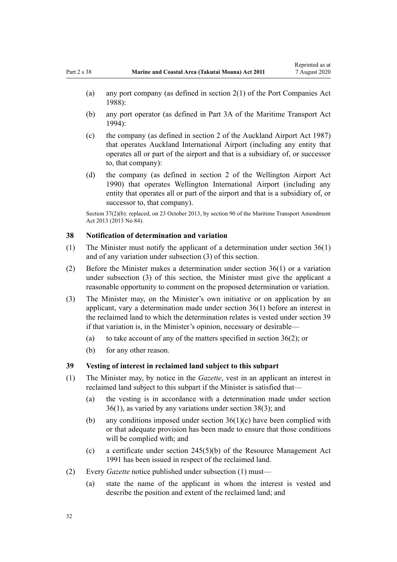- <span id="page-31-0"></span>(b) any port operator (as defined in [Part 3A](http://legislation.govt.nz/pdflink.aspx?id=DLM5689750) of the Maritime Transport Act 1994):
- (c) the company (as defined in [section 2](http://legislation.govt.nz/pdflink.aspx?id=DLM125376) of the Auckland Airport Act 1987) that operates Auckland International Airport (including any entity that operates all or part of the airport and that is a subsidiary of, or successor to, that company):
- (d) the company (as defined in [section 2](http://legislation.govt.nz/pdflink.aspx?id=DLM211896) of the Wellington Airport Act 1990) that operates Wellington International Airport (including any entity that operates all or part of the airport and that is a subsidiary of, or successor to, that company).

Section 37(2)(b): replaced, on 23 October 2013, by [section 90](http://legislation.govt.nz/pdflink.aspx?id=DLM4698973) of the Maritime Transport Amendment Act 2013 (2013 No 84).

#### **38 Notification of determination and variation**

- (1) The Minister must notify the applicant of a determination under [section 36\(1\)](#page-29-0) and of any variation under subsection (3) of this section.
- (2) Before the Minister makes a determination under [section 36\(1\)](#page-29-0) or a variation under subsection (3) of this section, the Minister must give the applicant a reasonable opportunity to comment on the proposed determination or variation.
- (3) The Minister may, on the Minister's own initiative or on application by an applicant, vary a determination made under [section 36\(1\)](#page-29-0) before an interest in the reclaimed land to which the determination relates is vested under section 39 if that variation is, in the Minister's opinion, necessary or desirable—
	- (a) to take account of any of the matters specified in [section 36\(2\)](#page-29-0); or
	- (b) for any other reason.

#### **39 Vesting of interest in reclaimed land subject to this subpart**

- (1) The Minister may, by notice in the *Gazette*, vest in an applicant an interest in reclaimed land subject to this subpart if the Minister is satisfied that—
	- (a) the vesting is in accordance with a determination made under [section](#page-29-0) [36\(1\)](#page-29-0), as varied by any variations under section 38(3); and
	- (b) any conditions imposed under [section 36\(1\)\(c\)](#page-29-0) have been complied with or that adequate provision has been made to ensure that those conditions will be complied with; and
	- (c) a certificate under [section 245\(5\)\(b\)](http://legislation.govt.nz/pdflink.aspx?id=DLM237630) of the Resource Management Act 1991 has been issued in respect of the reclaimed land.
- (2) Every *Gazette* notice published under subsection (1) must—
	- (a) state the name of the applicant in whom the interest is vested and describe the position and extent of the reclaimed land; and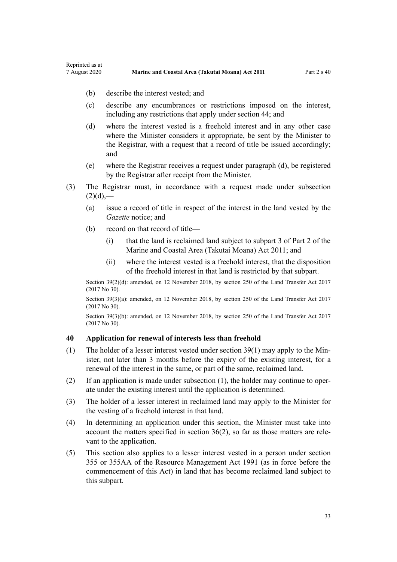(b) describe the interest vested; and

<span id="page-32-0"></span>Reprinted as at

- (c) describe any encumbrances or restrictions imposed on the interest, including any restrictions that apply under [section 44;](#page-35-0) and
- (d) where the interest vested is a freehold interest and in any other case where the Minister considers it appropriate, be sent by the Minister to the Registrar, with a request that a record of title be issued accordingly; and
- (e) where the Registrar receives a request under paragraph (d), be registered by the Registrar after receipt from the Minister.
- (3) The Registrar must, in accordance with a request made under subsection  $(2)(d)$ ,—
	- (a) issue a record of title in respect of the interest in the land vested by the *Gazette* notice; and
	- (b) record on that record of title—
		- (i) that the land is reclaimed land subject to [subpart 3 of Part 2](#page-26-0) of the Marine and Coastal Area (Takutai Moana) Act 2011; and
		- (ii) where the interest vested is a freehold interest, that the disposition of the freehold interest in that land is restricted by that subpart.

Section 39(2)(d): amended, on 12 November 2018, by [section 250](http://legislation.govt.nz/pdflink.aspx?id=DLM6731493) of the Land Transfer Act 2017 (2017 No 30).

Section 39(3)(a): amended, on 12 November 2018, by [section 250](http://legislation.govt.nz/pdflink.aspx?id=DLM6731493) of the Land Transfer Act 2017 (2017 No 30).

Section 39(3)(b): amended, on 12 November 2018, by [section 250](http://legislation.govt.nz/pdflink.aspx?id=DLM6731493) of the Land Transfer Act 2017 (2017 No 30).

## **40 Application for renewal of interests less than freehold**

- (1) The holder of a lesser interest vested under [section 39\(1\)](#page-31-0) may apply to the Minister, not later than 3 months before the expiry of the existing interest, for a renewal of the interest in the same, or part of the same, reclaimed land.
- (2) If an application is made under subsection (1), the holder may continue to operate under the existing interest until the application is determined.
- (3) The holder of a lesser interest in reclaimed land may apply to the Minister for the vesting of a freehold interest in that land.
- (4) In determining an application under this section, the Minister must take into account the matters specified in [section 36\(2\)](#page-29-0), so far as those matters are relevant to the application.
- (5) This section also applies to a lesser interest vested in a person under [section](http://legislation.govt.nz/pdflink.aspx?id=DLM239322) [355](http://legislation.govt.nz/pdflink.aspx?id=DLM239322) or [355AA](http://legislation.govt.nz/pdflink.aspx?id=DLM239326) of the Resource Management Act 1991 (as in force before the commencement of this Act) in land that has become reclaimed land subject to this subpart.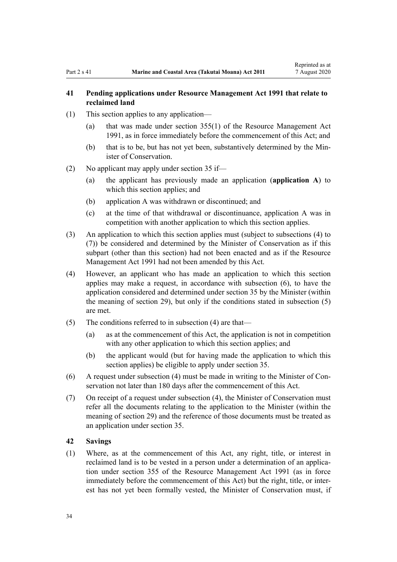# <span id="page-33-0"></span>**41 Pending applications under Resource Management Act 1991 that relate to reclaimed land**

- (1) This section applies to any application—
	- (a) that was made under [section 355\(1\)](http://legislation.govt.nz/pdflink.aspx?id=DLM239322) of the Resource Management Act 1991, as in force immediately before the commencement of this Act; and
	- (b) that is to be, but has not yet been, substantively determined by the Minister of Conservation.
- (2) No applicant may apply under [section 35](#page-29-0) if—
	- (a) the applicant has previously made an application (**application A**) to which this section applies; and
	- (b) application A was withdrawn or discontinued; and
	- (c) at the time of that withdrawal or discontinuance, application A was in competition with another application to which this section applies.
- (3) An application to which this section applies must (subject to subsections (4) to (7)) be considered and determined by the Minister of Conservation as if this subpart (other than this section) had not been enacted and as if the [Resource](http://legislation.govt.nz/pdflink.aspx?id=DLM230264) [Management Act 1991](http://legislation.govt.nz/pdflink.aspx?id=DLM230264) had not been amended by this Act.
- (4) However, an applicant who has made an application to which this section applies may make a request, in accordance with subsection (6), to have the application considered and determined under [section 35](#page-29-0) by the Minister (within the meaning of [section 29](#page-26-0)), but only if the conditions stated in subsection (5) are met.
- (5) The conditions referred to in subsection (4) are that—
	- (a) as at the commencement of this Act, the application is not in competition with any other application to which this section applies; and
	- (b) the applicant would (but for having made the application to which this section applies) be eligible to apply under [section 35](#page-29-0).
- (6) A request under subsection (4) must be made in writing to the Minister of Conservation not later than 180 days after the commencement of this Act.
- (7) On receipt of a request under subsection (4), the Minister of Conservation must refer all the documents relating to the application to the Minister (within the meaning of [section 29](#page-26-0)) and the reference of those documents must be treated as an application under [section 35.](#page-29-0)

### **42 Savings**

(1) Where, as at the commencement of this Act, any right, title, or interest in reclaimed land is to be vested in a person under a determination of an application under [section 355](http://legislation.govt.nz/pdflink.aspx?id=DLM239322) of the Resource Management Act 1991 (as in force immediately before the commencement of this Act) but the right, title, or interest has not yet been formally vested, the Minister of Conservation must, if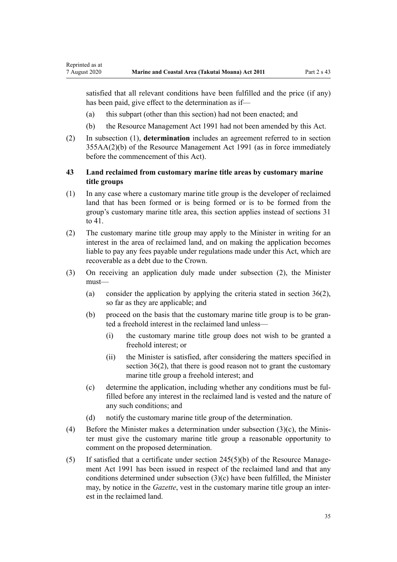<span id="page-34-0"></span>satisfied that all relevant conditions have been fulfilled and the price (if any) has been paid, give effect to the determination as if—

- (a) this subpart (other than this section) had not been enacted; and
- (b) the [Resource Management Act 1991](http://legislation.govt.nz/pdflink.aspx?id=DLM230264) had not been amended by this Act.
- (2) In subsection (1), **determination** includes an agreement referred to in [section](http://legislation.govt.nz/pdflink.aspx?id=DLM239326) [355AA\(2\)\(b\)](http://legislation.govt.nz/pdflink.aspx?id=DLM239326) of the Resource Management Act 1991 (as in force immediately before the commencement of this Act).

# **43 Land reclaimed from customary marine title areas by customary marine title groups**

- (1) In any case where a customary marine title group is the developer of reclaimed land that has been formed or is being formed or is to be formed from the group's customary marine title area, this section applies instead of [sections 31](#page-27-0) [to 41.](#page-27-0)
- (2) The customary marine title group may apply to the Minister in writing for an interest in the area of reclaimed land, and on making the application becomes liable to pay any fees payable under regulations made under this Act, which are recoverable as a debt due to the Crown.
- (3) On receiving an application duly made under subsection (2), the Minister must—
	- (a) consider the application by applying the criteria stated in section  $36(2)$ , so far as they are applicable; and
	- (b) proceed on the basis that the customary marine title group is to be granted a freehold interest in the reclaimed land unless—
		- (i) the customary marine title group does not wish to be granted a freehold interest; or
		- (ii) the Minister is satisfied, after considering the matters specified in [section 36\(2\),](#page-29-0) that there is good reason not to grant the customary marine title group a freehold interest; and
	- (c) determine the application, including whether any conditions must be fulfilled before any interest in the reclaimed land is vested and the nature of any such conditions; and
	- (d) notify the customary marine title group of the determination.
- (4) Before the Minister makes a determination under subsection (3)(c), the Minister must give the customary marine title group a reasonable opportunity to comment on the proposed determination.
- (5) If satisfied that a certificate under [section 245\(5\)\(b\)](http://legislation.govt.nz/pdflink.aspx?id=DLM237630) of the Resource Management Act 1991 has been issued in respect of the reclaimed land and that any conditions determined under subsection (3)(c) have been fulfilled, the Minister may, by notice in the *Gazette*, vest in the customary marine title group an interest in the reclaimed land.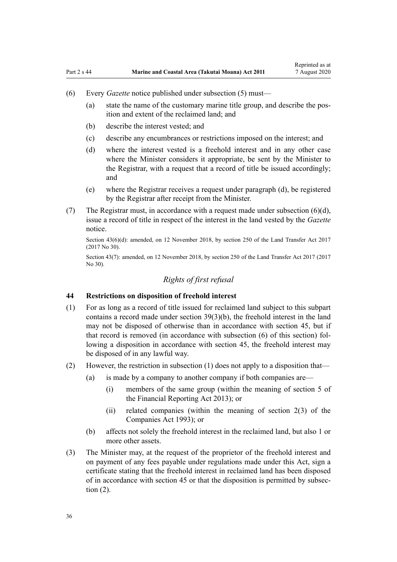- <span id="page-35-0"></span>(6) Every *Gazette* notice published under subsection (5) must—
	- (a) state the name of the customary marine title group, and describe the position and extent of the reclaimed land; and
	- (b) describe the interest vested; and
	- (c) describe any encumbrances or restrictions imposed on the interest; and
	- (d) where the interest vested is a freehold interest and in any other case where the Minister considers it appropriate, be sent by the Minister to the Registrar, with a request that a record of title be issued accordingly; and
	- (e) where the Registrar receives a request under paragraph (d), be registered by the Registrar after receipt from the Minister.
- (7) The Registrar must, in accordance with a request made under subsection  $(6)(d)$ , issue a record of title in respect of the interest in the land vested by the *Gazette* notice.

Section 43(6)(d): amended, on 12 November 2018, by [section 250](http://legislation.govt.nz/pdflink.aspx?id=DLM6731493) of the Land Transfer Act 2017 (2017 No 30).

Section 43(7): amended, on 12 November 2018, by [section 250](http://legislation.govt.nz/pdflink.aspx?id=DLM6731493) of the Land Transfer Act 2017 (2017 No 30).

# *Rights of first refusal*

### **44 Restrictions on disposition of freehold interest**

- (1) For as long as a record of title issued for reclaimed land subject to this subpart contains a record made under [section 39\(3\)\(b\)](#page-31-0), the freehold interest in the land may not be disposed of otherwise than in accordance with [section 45,](#page-36-0) but if that record is removed (in accordance with subsection (6) of this section) following a disposition in accordance with section 45, the freehold interest may be disposed of in any lawful way.
- (2) However, the restriction in subsection (1) does not apply to a disposition that—
	- (a) is made by a company to another company if both companies are—
		- (i) members of the same group (within the meaning of [section 5](http://legislation.govt.nz/pdflink.aspx?id=DLM4632837) of the Financial Reporting Act 2013); or
		- (ii) related companies (within the meaning of [section 2\(3\)](http://legislation.govt.nz/pdflink.aspx?id=DLM319576) of the Companies Act 1993); or
	- (b) affects not solely the freehold interest in the reclaimed land, but also 1 or more other assets.
- (3) The Minister may, at the request of the proprietor of the freehold interest and on payment of any fees payable under regulations made under this Act, sign a certificate stating that the freehold interest in reclaimed land has been disposed of in accordance with [section 45](#page-36-0) or that the disposition is permitted by subsection (2).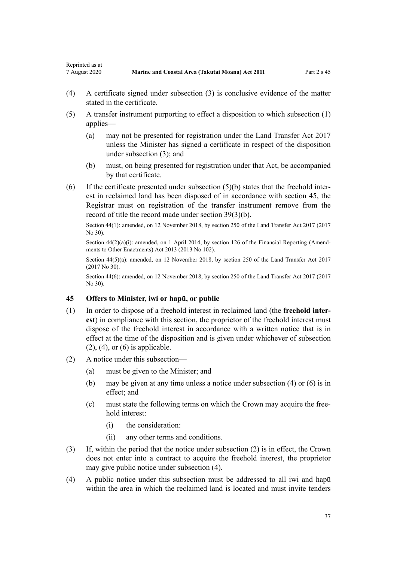Reprinted as at

- (4) A certificate signed under subsection (3) is conclusive evidence of the matter stated in the certificate.
- (5) A transfer instrument purporting to effect a disposition to which subsection (1) applies—
	- (a) may not be presented for registration under the [Land Transfer Act 2017](http://legislation.govt.nz/pdflink.aspx?id=DLM6731002) unless the Minister has signed a certificate in respect of the disposition under subsection (3); and
	- (b) must, on being presented for registration under that Act, be accompanied by that certificate.
- (6) If the certificate presented under subsection (5)(b) states that the freehold interest in reclaimed land has been disposed of in accordance with section 45, the Registrar must on registration of the transfer instrument remove from the record of title the record made under [section 39\(3\)\(b\)](#page-31-0).

Section 44(1): amended, on 12 November 2018, by [section 250](http://legislation.govt.nz/pdflink.aspx?id=DLM6731493) of the Land Transfer Act 2017 (2017 No 30).

Section  $44(2)(a)(i)$ : amended, on 1 April 2014, by [section 126](http://legislation.govt.nz/pdflink.aspx?id=DLM5740665) of the Financial Reporting (Amendments to Other Enactments) Act 2013 (2013 No 102).

Section 44(5)(a): amended, on 12 November 2018, by [section 250](http://legislation.govt.nz/pdflink.aspx?id=DLM6731493) of the Land Transfer Act 2017 (2017 No 30).

Section 44(6): amended, on 12 November 2018, by [section 250](http://legislation.govt.nz/pdflink.aspx?id=DLM6731493) of the Land Transfer Act 2017 (2017 No 30).

## **45 Offers to Minister, iwi or hapū, or public**

- (1) In order to dispose of a freehold interest in reclaimed land (the **freehold interest**) in compliance with this section, the proprietor of the freehold interest must dispose of the freehold interest in accordance with a written notice that is in effect at the time of the disposition and is given under whichever of subsection  $(2)$ ,  $(4)$ , or  $(6)$  is applicable.
- (2) A notice under this subsection—
	- (a) must be given to the Minister; and
	- (b) may be given at any time unless a notice under subsection (4) or (6) is in effect; and
	- (c) must state the following terms on which the Crown may acquire the freehold interest:
		- (i) the consideration:
		- (ii) any other terms and conditions.
- (3) If, within the period that the notice under subsection (2) is in effect, the Crown does not enter into a contract to acquire the freehold interest, the proprietor may give public notice under subsection (4).
- (4) A public notice under this subsection must be addressed to all iwi and hapū within the area in which the reclaimed land is located and must invite tenders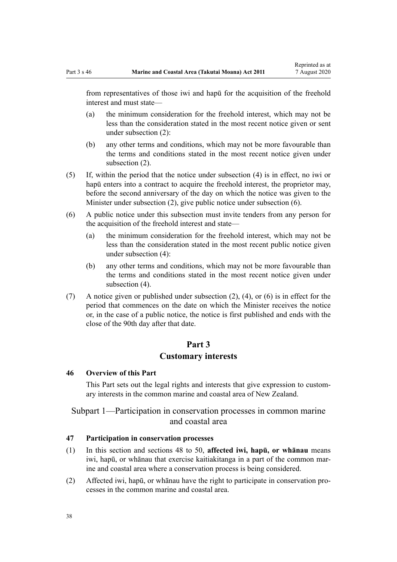<span id="page-37-0"></span>from representatives of those iwi and hapū for the acquisition of the freehold interest and must state—

- (a) the minimum consideration for the freehold interest, which may not be less than the consideration stated in the most recent notice given or sent under subsection (2):
- (b) any other terms and conditions, which may not be more favourable than the terms and conditions stated in the most recent notice given under subsection (2).
- (5) If, within the period that the notice under subsection (4) is in effect, no iwi or hapū enters into a contract to acquire the freehold interest, the proprietor may, before the second anniversary of the day on which the notice was given to the Minister under subsection (2), give public notice under subsection (6).
- (6) A public notice under this subsection must invite tenders from any person for the acquisition of the freehold interest and state—
	- (a) the minimum consideration for the freehold interest, which may not be less than the consideration stated in the most recent public notice given under subsection (4):
	- (b) any other terms and conditions, which may not be more favourable than the terms and conditions stated in the most recent notice given under subsection (4).
- (7) A notice given or published under subsection (2), (4), or (6) is in effect for the period that commences on the date on which the Minister receives the notice or, in the case of a public notice, the notice is first published and ends with the close of the 90th day after that date.

## **Part 3**

## **Customary interests**

#### **46 Overview of this Part**

This Part sets out the legal rights and interests that give expression to customary interests in the common marine and coastal area of New Zealand.

# Subpart 1—Participation in conservation processes in common marine and coastal area

## **47 Participation in conservation processes**

- (1) In this section and [sections 48 to 50,](#page-38-0) **affected iwi, hapū, or whānau** means iwi, hapū, or whānau that exercise kaitiakitanga in a part of the common marine and coastal area where a conservation process is being considered.
- (2) Affected iwi, hapū, or whānau have the right to participate in conservation processes in the common marine and coastal area.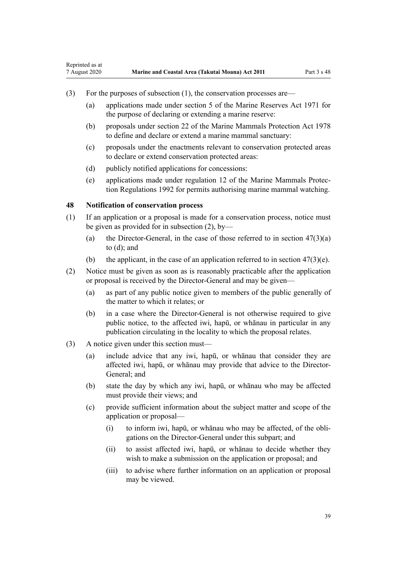- (3) For the purposes of subsection (1), the conservation processes are—
	- (a) applications made under [section 5](http://legislation.govt.nz/pdflink.aspx?id=DLM398113) of the Marine Reserves Act 1971 for the purpose of declaring or extending a marine reserve:
	- (b) proposals under [section 22](http://legislation.govt.nz/pdflink.aspx?id=DLM25372) of the Marine Mammals Protection Act 1978 to define and declare or extend a marine mammal sanctuary:
	- (c) proposals under the enactments relevant to conservation protected areas to declare or extend conservation protected areas:
	- (d) publicly notified applications for concessions:
	- (e) applications made under [regulation 12](http://legislation.govt.nz/pdflink.aspx?id=DLM168830) of the Marine Mammals Protection Regulations 1992 for permits authorising marine mammal watching.

## **48 Notification of conservation process**

<span id="page-38-0"></span>Reprinted as at

- (1) If an application or a proposal is made for a conservation process, notice must be given as provided for in subsection (2), by—
	- (a) the Director-General, in the case of those referred to in section  $47(3)(a)$ [to \(d\)](#page-37-0); and
	- (b) the applicant, in the case of an application referred to in section  $47(3)(e)$ .
- (2) Notice must be given as soon as is reasonably practicable after the application or proposal is received by the Director-General and may be given—
	- (a) as part of any public notice given to members of the public generally of the matter to which it relates; or
	- (b) in a case where the Director-General is not otherwise required to give public notice, to the affected iwi, hapū, or whānau in particular in any publication circulating in the locality to which the proposal relates.
- (3) A notice given under this section must—
	- (a) include advice that any iwi, hapū, or whānau that consider they are affected iwi, hapū, or whānau may provide that advice to the Director-General; and
	- (b) state the day by which any iwi, hapū, or whānau who may be affected must provide their views; and
	- (c) provide sufficient information about the subject matter and scope of the application or proposal—
		- (i) to inform iwi, hapū, or whānau who may be affected, of the obligations on the Director-General under this subpart; and
		- (ii) to assist affected iwi, hapū, or whānau to decide whether they wish to make a submission on the application or proposal; and
		- (iii) to advise where further information on an application or proposal may be viewed.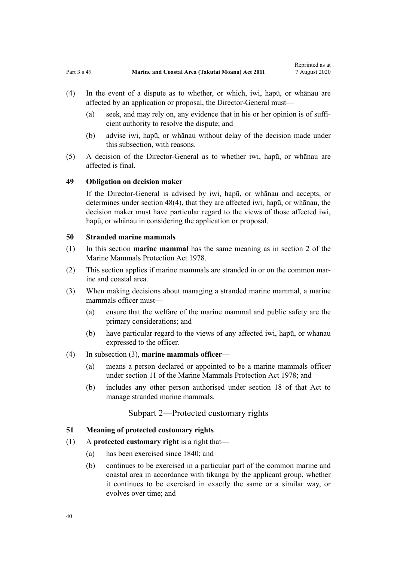- <span id="page-39-0"></span>(4) In the event of a dispute as to whether, or which, iwi, hapū, or whānau are affected by an application or proposal, the Director-General must—
	- (a) seek, and may rely on, any evidence that in his or her opinion is of sufficient authority to resolve the dispute; and
	- (b) advise iwi, hapū, or whānau without delay of the decision made under this subsection, with reasons.
- (5) A decision of the Director-General as to whether iwi, hapū, or whānau are affected is final.

### **49 Obligation on decision maker**

If the Director-General is advised by iwi, hapū, or whānau and accepts, or determines under [section 48\(4\),](#page-38-0) that they are affected iwi, hapū, or whānau, the decision maker must have particular regard to the views of those affected iwi, hapū, or whānau in considering the application or proposal.

## **50 Stranded marine mammals**

- (1) In this section **marine mammal** has the same meaning as in [section 2](http://legislation.govt.nz/pdflink.aspx?id=DLM25116) of the Marine Mammals Protection Act 1978.
- (2) This section applies if marine mammals are stranded in or on the common marine and coastal area.
- (3) When making decisions about managing a stranded marine mammal, a marine mammals officer must—
	- (a) ensure that the welfare of the marine mammal and public safety are the primary considerations; and
	- (b) have particular regard to the views of any affected iwi, hapū, or whanau expressed to the officer.

## (4) In subsection (3), **marine mammals officer**—

- (a) means a person declared or appointed to be a marine mammals officer under [section 11](http://legislation.govt.nz/pdflink.aspx?id=DLM25336) of the Marine Mammals Protection Act 1978; and
- (b) includes any other person authorised under [section 18](http://legislation.govt.nz/pdflink.aspx?id=DLM25362) of that Act to manage stranded marine mammals.

## Subpart 2—Protected customary rights

#### **51 Meaning of protected customary rights**

#### (1) A **protected customary right** is a right that—

- (a) has been exercised since 1840; and
- (b) continues to be exercised in a particular part of the common marine and coastal area in accordance with tikanga by the applicant group, whether it continues to be exercised in exactly the same or a similar way, or evolves over time; and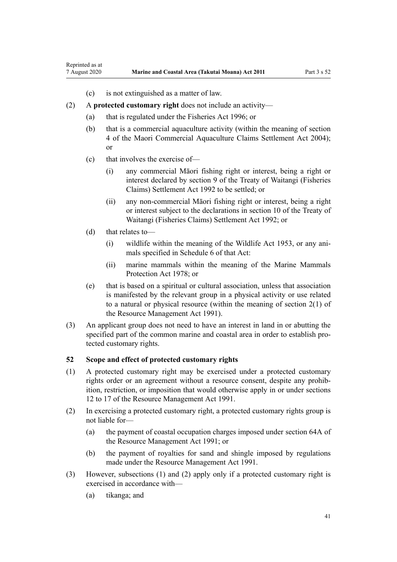- (c) is not extinguished as a matter of law.
- <span id="page-40-0"></span>(2) A **protected customary right** does not include an activity—
	- (a) that is regulated under the [Fisheries Act 1996](http://legislation.govt.nz/pdflink.aspx?id=DLM394191); or
	- (b) that is a commercial aquaculture activity (within the meaning of [section](http://legislation.govt.nz/pdflink.aspx?id=DLM324356) [4](http://legislation.govt.nz/pdflink.aspx?id=DLM324356) of the Maori Commercial Aquaculture Claims Settlement Act 2004); or
	- (c) that involves the exercise of—
		- (i) any commercial Māori fishing right or interest, being a right or interest declared by [section 9](http://legislation.govt.nz/pdflink.aspx?id=DLM281460) of the Treaty of Waitangi (Fisheries Claims) Settlement Act 1992 to be settled; or
		- (ii) any non-commercial Māori fishing right or interest, being a right or interest subject to the declarations in [section 10](http://legislation.govt.nz/pdflink.aspx?id=DLM281461) of the Treaty of Waitangi (Fisheries Claims) Settlement Act 1992; or
	- (d) that relates to—
		- (i) wildlife within the meaning of the [Wildlife Act 1953](http://legislation.govt.nz/pdflink.aspx?id=DLM276813), or any animals specified in [Schedule 6](http://legislation.govt.nz/pdflink.aspx?id=DLM278592) of that Act:
		- (ii) marine mammals within the meaning of the [Marine Mammals](http://legislation.govt.nz/pdflink.aspx?id=DLM25110) [Protection Act 1978;](http://legislation.govt.nz/pdflink.aspx?id=DLM25110) or
	- (e) that is based on a spiritual or cultural association, unless that association is manifested by the relevant group in a physical activity or use related to a natural or physical resource (within the meaning of [section 2\(1\)](http://legislation.govt.nz/pdflink.aspx?id=DLM230272) of the Resource Management Act 1991).
- (3) An applicant group does not need to have an interest in land in or abutting the specified part of the common marine and coastal area in order to establish protected customary rights.

## **52 Scope and effect of protected customary rights**

- (1) A protected customary right may be exercised under a protected customary rights order or an agreement without a resource consent, despite any prohibition, restriction, or imposition that would otherwise apply in or under [sections](http://legislation.govt.nz/pdflink.aspx?id=DLM231949) [12 to 17](http://legislation.govt.nz/pdflink.aspx?id=DLM231949) of the Resource Management Act 1991.
- (2) In exercising a protected customary right, a protected customary rights group is not liable for—
	- (a) the payment of coastal occupation charges imposed under [section 64A](http://legislation.govt.nz/pdflink.aspx?id=DLM233610) of the Resource Management Act 1991; or
	- (b) the payment of royalties for sand and shingle imposed by regulations made under the [Resource Management Act 1991](http://legislation.govt.nz/pdflink.aspx?id=DLM230264).
- (3) However, subsections (1) and (2) apply only if a protected customary right is exercised in accordance with—
	- (a) tikanga; and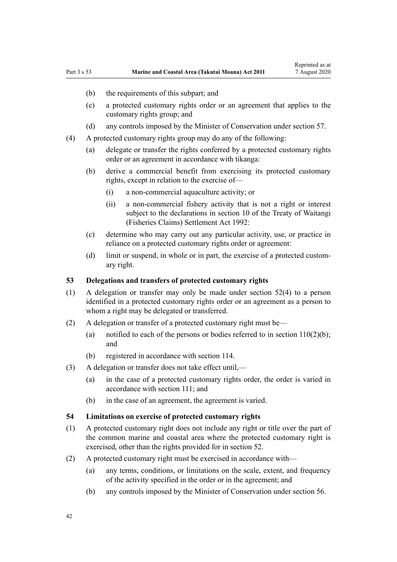- (b) the requirements of this subpart; and
- (c) a protected customary rights order or an agreement that applies to the customary rights group; and
- (d) any controls imposed by the Minister of Conservation under [section 57](#page-43-0).
- (4) A protected customary rights group may do any of the following:
	- (a) delegate or transfer the rights conferred by a protected customary rights order or an agreement in accordance with tikanga:
	- (b) derive a commercial benefit from exercising its protected customary rights, except in relation to the exercise of—
		- (i) a non-commercial aquaculture activity; or
		- (ii) a non-commercial fishery activity that is not a right or interest subject to the declarations in [section 10](http://legislation.govt.nz/pdflink.aspx?id=DLM281461) of the Treaty of Waitangi (Fisheries Claims) Settlement Act 1992:
	- (c) determine who may carry out any particular activity, use, or practice in reliance on a protected customary rights order or agreement:
	- (d) limit or suspend, in whole or in part, the exercise of a protected customary right.

### **53 Delegations and transfers of protected customary rights**

- (1) A delegation or transfer may only be made under [section 52\(4\)](#page-40-0) to a person identified in a protected customary rights order or an agreement as a person to whom a right may be delegated or transferred.
- (2) A delegation or transfer of a protected customary right must be—
	- (a) notified to each of the persons or bodies referred to in section  $110(2)(b)$ ; and
	- (b) registered in accordance with [section 114](#page-77-0).
- (3) A delegation or transfer does not take effect until,—
	- (a) in the case of a protected customary rights order, the order is varied in accordance with [section 111;](#page-75-0) and
	- (b) in the case of an agreement, the agreement is varied.

## **54 Limitations on exercise of protected customary rights**

- (1) A protected customary right does not include any right or title over the part of the common marine and coastal area where the protected customary right is exercised, other than the rights provided for in [section 52](#page-40-0).
- (2) A protected customary right must be exercised in accordance with—
	- (a) any terms, conditions, or limitations on the scale, extent, and frequency of the activity specified in the order or in the agreement; and
	- (b) any controls imposed by the Minister of Conservation under [section 56](#page-43-0).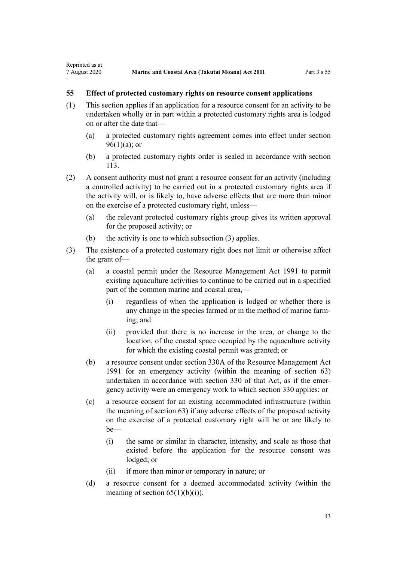## **55 Effect of protected customary rights on resource consent applications**

Reprinted as at

- (1) This section applies if an application for a resource consent for an activity to be undertaken wholly or in part within a protected customary rights area is lodged on or after the date that—
	- (a) a protected customary rights agreement comes into effect under [section](#page-69-0)  $96(1)(a)$ ; or
	- (b) a protected customary rights order is sealed in accordance with [section](#page-77-0) [113](#page-77-0).
- (2) A consent authority must not grant a resource consent for an activity (including a controlled activity) to be carried out in a protected customary rights area if the activity will, or is likely to, have adverse effects that are more than minor on the exercise of a protected customary right, unless—
	- (a) the relevant protected customary rights group gives its written approval for the proposed activity; or
	- (b) the activity is one to which subsection (3) applies.
- (3) The existence of a protected customary right does not limit or otherwise affect the grant of—
	- (a) a coastal permit under the [Resource Management Act 1991](http://legislation.govt.nz/pdflink.aspx?id=DLM230264) to permit existing aquaculture activities to continue to be carried out in a specified part of the common marine and coastal area,—
		- (i) regardless of when the application is lodged or whether there is any change in the species farmed or in the method of marine farming; and
		- (ii) provided that there is no increase in the area, or change to the location, of the coastal space occupied by the aquaculture activity for which the existing coastal permit was granted; or
	- (b) a resource consent under [section 330A](http://legislation.govt.nz/pdflink.aspx?id=DLM239008) of the Resource Management Act 1991 for an emergency activity (within the meaning of [section 63](#page-48-0)) undertaken in accordance with [section 330](http://legislation.govt.nz/pdflink.aspx?id=DLM239003) of that Act, as if the emergency activity were an emergency work to which section 330 applies; or
	- (c) a resource consent for an existing accommodated infrastructure (within the meaning of [section 63\)](#page-48-0) if any adverse effects of the proposed activity on the exercise of a protected customary right will be or are likely to be—
		- (i) the same or similar in character, intensity, and scale as those that existed before the application for the resource consent was lodged; or
		- (ii) if more than minor or temporary in nature; or
	- (d) a resource consent for a deemed accommodated activity (within the meaning of section  $65(1)(b)(i)$ .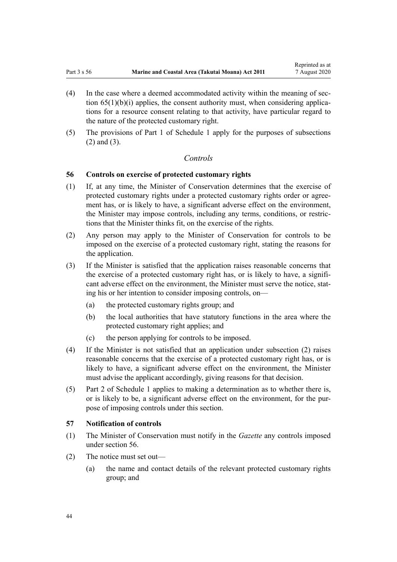- <span id="page-43-0"></span>(4) In the case where a deemed accommodated activity within the meaning of [sec](#page-51-0)tion  $65(1)(b)(i)$  applies, the consent authority must, when considering applications for a resource consent relating to that activity, have particular regard to the nature of the protected customary right.
- (5) The provisions of [Part 1](#page-84-0) of Schedule 1 apply for the purposes of subsections (2) and (3).

## *Controls*

## **56 Controls on exercise of protected customary rights**

- (1) If, at any time, the Minister of Conservation determines that the exercise of protected customary rights under a protected customary rights order or agreement has, or is likely to have, a significant adverse effect on the environment, the Minister may impose controls, including any terms, conditions, or restrictions that the Minister thinks fit, on the exercise of the rights.
- (2) Any person may apply to the Minister of Conservation for controls to be imposed on the exercise of a protected customary right, stating the reasons for the application.
- (3) If the Minister is satisfied that the application raises reasonable concerns that the exercise of a protected customary right has, or is likely to have, a significant adverse effect on the environment, the Minister must serve the notice, stating his or her intention to consider imposing controls, on—
	- (a) the protected customary rights group; and
	- (b) the local authorities that have statutory functions in the area where the protected customary right applies; and
	- (c) the person applying for controls to be imposed.
- (4) If the Minister is not satisfied that an application under subsection (2) raises reasonable concerns that the exercise of a protected customary right has, or is likely to have, a significant adverse effect on the environment, the Minister must advise the applicant accordingly, giving reasons for that decision.
- (5) [Part 2](#page-86-0) of Schedule 1 applies to making a determination as to whether there is, or is likely to be, a significant adverse effect on the environment, for the purpose of imposing controls under this section.

#### **57 Notification of controls**

- (1) The Minister of Conservation must notify in the *Gazette* any controls imposed under section 56.
- (2) The notice must set out—
	- (a) the name and contact details of the relevant protected customary rights group; and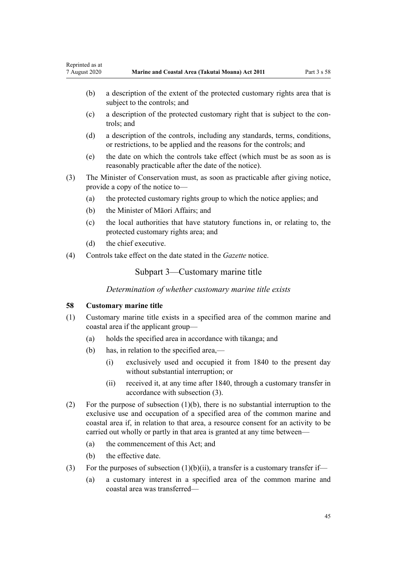- <span id="page-44-0"></span>(b) a description of the extent of the protected customary rights area that is subject to the controls; and
- (c) a description of the protected customary right that is subject to the controls; and
- (d) a description of the controls, including any standards, terms, conditions, or restrictions, to be applied and the reasons for the controls; and
- (e) the date on which the controls take effect (which must be as soon as is reasonably practicable after the date of the notice).
- (3) The Minister of Conservation must, as soon as practicable after giving notice, provide a copy of the notice to—
	- (a) the protected customary rights group to which the notice applies; and
	- (b) the Minister of Māori Affairs; and
	- (c) the local authorities that have statutory functions in, or relating to, the protected customary rights area; and
	- (d) the chief executive.
- (4) Controls take effect on the date stated in the *Gazette* notice.

## Subpart 3—Customary marine title

*Determination of whether customary marine title exists*

## **58 Customary marine title**

- (1) Customary marine title exists in a specified area of the common marine and coastal area if the applicant group—
	- (a) holds the specified area in accordance with tikanga; and
	- (b) has, in relation to the specified area,—
		- (i) exclusively used and occupied it from 1840 to the present day without substantial interruption; or
		- (ii) received it, at any time after 1840, through a customary transfer in accordance with subsection (3).
- (2) For the purpose of subsection (1)(b), there is no substantial interruption to the exclusive use and occupation of a specified area of the common marine and coastal area if, in relation to that area, a resource consent for an activity to be carried out wholly or partly in that area is granted at any time between—
	- (a) the commencement of this Act; and
	- (b) the effective date.
- (3) For the purposes of subsection  $(1)(b)(ii)$ , a transfer is a customary transfer if—
	- (a) a customary interest in a specified area of the common marine and coastal area was transferred—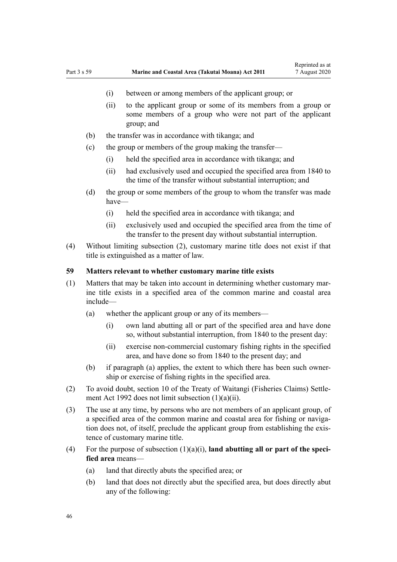- (i) between or among members of the applicant group; or
- (ii) to the applicant group or some of its members from a group or some members of a group who were not part of the applicant group; and
- (b) the transfer was in accordance with tikanga; and
- (c) the group or members of the group making the transfer—
	- (i) held the specified area in accordance with tikanga; and
	- (ii) had exclusively used and occupied the specified area from 1840 to the time of the transfer without substantial interruption; and
- (d) the group or some members of the group to whom the transfer was made have—
	- (i) held the specified area in accordance with tikanga; and
	- (ii) exclusively used and occupied the specified area from the time of the transfer to the present day without substantial interruption.
- (4) Without limiting subsection (2), customary marine title does not exist if that title is extinguished as a matter of law.

### **59 Matters relevant to whether customary marine title exists**

- (1) Matters that may be taken into account in determining whether customary marine title exists in a specified area of the common marine and coastal area include—
	- (a) whether the applicant group or any of its members—
		- (i) own land abutting all or part of the specified area and have done so, without substantial interruption, from 1840 to the present day:
		- (ii) exercise non-commercial customary fishing rights in the specified area, and have done so from 1840 to the present day; and
	- (b) if paragraph (a) applies, the extent to which there has been such ownership or exercise of fishing rights in the specified area.
- (2) To avoid doubt, [section 10](http://legislation.govt.nz/pdflink.aspx?id=DLM281461) of the Treaty of Waitangi (Fisheries Claims) Settlement Act 1992 does not limit subsection (1)(a)(ii).
- (3) The use at any time, by persons who are not members of an applicant group, of a specified area of the common marine and coastal area for fishing or navigation does not, of itself, preclude the applicant group from establishing the existence of customary marine title.
- (4) For the purpose of subsection  $(1)(a)(i)$ , **land abutting all or part of the specified area** means—
	- (a) land that directly abuts the specified area; or
	- (b) land that does not directly abut the specified area, but does directly abut any of the following: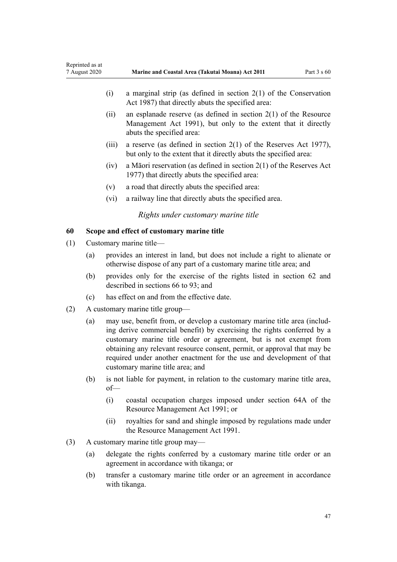| 7 August 2020 |                                            | Marine and Coastal Area (Takutai Moana) Act 2011                                                                                                                                                                                                                                                                                                                                                                | Part $3 s 60$ |  |  |  |
|---------------|--------------------------------------------|-----------------------------------------------------------------------------------------------------------------------------------------------------------------------------------------------------------------------------------------------------------------------------------------------------------------------------------------------------------------------------------------------------------------|---------------|--|--|--|
|               |                                            | a marginal strip (as defined in section $2(1)$ of the Conservation<br>(i)<br>Act 1987) that directly abuts the specified area:                                                                                                                                                                                                                                                                                  |               |  |  |  |
|               |                                            | an esplanade reserve (as defined in section $2(1)$ of the Resource<br>(ii)<br>Management Act 1991), but only to the extent that it directly<br>abuts the specified area:                                                                                                                                                                                                                                        |               |  |  |  |
|               |                                            | a reserve (as defined in section $2(1)$ of the Reserves Act 1977),<br>(iii)<br>but only to the extent that it directly abuts the specified area:                                                                                                                                                                                                                                                                |               |  |  |  |
|               |                                            | a Māori reservation (as defined in section $2(1)$ of the Reserves Act<br>(iv)<br>1977) that directly abuts the specified area:                                                                                                                                                                                                                                                                                  |               |  |  |  |
|               |                                            | (v)<br>a road that directly abuts the specified area:                                                                                                                                                                                                                                                                                                                                                           |               |  |  |  |
|               |                                            | (vi)<br>a railway line that directly abuts the specified area.                                                                                                                                                                                                                                                                                                                                                  |               |  |  |  |
|               |                                            | Rights under customary marine title                                                                                                                                                                                                                                                                                                                                                                             |               |  |  |  |
| 60            | Scope and effect of customary marine title |                                                                                                                                                                                                                                                                                                                                                                                                                 |               |  |  |  |
| (1)           |                                            | Customary marine title-                                                                                                                                                                                                                                                                                                                                                                                         |               |  |  |  |
|               | (a)                                        | provides an interest in land, but does not include a right to alienate or<br>otherwise dispose of any part of a customary marine title area; and                                                                                                                                                                                                                                                                |               |  |  |  |
|               | (b)                                        | provides only for the exercise of the rights listed in section 62 and<br>described in sections 66 to 93; and                                                                                                                                                                                                                                                                                                    |               |  |  |  |
|               | (c)                                        | has effect on and from the effective date.                                                                                                                                                                                                                                                                                                                                                                      |               |  |  |  |
| (2)           |                                            | A customary marine title group—                                                                                                                                                                                                                                                                                                                                                                                 |               |  |  |  |
|               | (a)                                        | may use, benefit from, or develop a customary marine title area (includ-<br>ing derive commercial benefit) by exercising the rights conferred by a<br>customary marine title order or agreement, but is not exempt from<br>obtaining any relevant resource consent, permit, or approval that may be<br>required under another enactment for the use and development of that<br>customary marine title area; and |               |  |  |  |
|               | (b)                                        | is not liable for payment, in relation to the customary marine title area,<br>$of$ —                                                                                                                                                                                                                                                                                                                            |               |  |  |  |
|               |                                            | (i)<br>coastal occupation charges imposed under section 64A of the<br>Resource Management Act 1991; or                                                                                                                                                                                                                                                                                                          |               |  |  |  |
|               |                                            | royalties for sand and shingle imposed by regulations made under<br>(ii)<br>the Resource Management Act 1991.                                                                                                                                                                                                                                                                                                   |               |  |  |  |
| (3)           |                                            | A customary marine title group may—                                                                                                                                                                                                                                                                                                                                                                             |               |  |  |  |
|               | (a)                                        | delegate the rights conferred by a customary marine title order or an<br>agreement in accordance with tikanga; or                                                                                                                                                                                                                                                                                               |               |  |  |  |
|               | (b)                                        | transfer a customary marine title order or an agreement in accordance<br>with tikanga.                                                                                                                                                                                                                                                                                                                          |               |  |  |  |

<span id="page-46-0"></span>Reprinted as at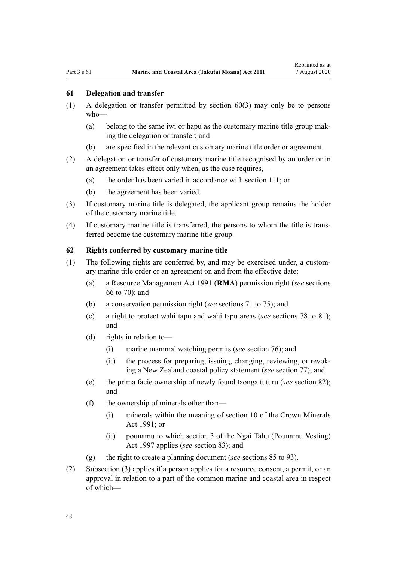## <span id="page-47-0"></span>**61 Delegation and transfer**

- (1) A delegation or transfer permitted by [section 60\(3\)](#page-46-0) may only be to persons who—
	- (a) belong to the same iwi or hapū as the customary marine title group making the delegation or transfer; and
	- (b) are specified in the relevant customary marine title order or agreement.
- (2) A delegation or transfer of customary marine title recognised by an order or in an agreement takes effect only when, as the case requires,—
	- (a) the order has been varied in accordance with [section 111](#page-75-0); or
	- (b) the agreement has been varied.
- (3) If customary marine title is delegated, the applicant group remains the holder of the customary marine title.
- (4) If customary marine title is transferred, the persons to whom the title is transferred become the customary marine title group.

#### **62 Rights conferred by customary marine title**

- (1) The following rights are conferred by, and may be exercised under, a customary marine title order or an agreement on and from the effective date:
	- (a) a [Resource Management Act 1991](http://legislation.govt.nz/pdflink.aspx?id=DLM230264) (**RMA**) permission right (*see* [sections](#page-52-0) [66 to 70\)](#page-52-0); and
	- (b) a conservation permission right (*see* [sections 71 to 75\)](#page-55-0); and
	- (c) a right to protect wāhi tapu and wāhi tapu areas (*see* [sections 78 to 81](#page-59-0)); and
	- (d) rights in relation to—
		- (i) marine mammal watching permits (*see* [section 76\)](#page-58-0); and
		- (ii) the process for preparing, issuing, changing, reviewing, or revoking a New Zealand coastal policy statement (*see* [section 77\)](#page-59-0); and
	- (e) the prima facie ownership of newly found taonga tūturu (*see* [section 82](#page-62-0)); and
	- (f) the ownership of minerals other than—
		- (i) minerals within the meaning of [section 10](http://legislation.govt.nz/pdflink.aspx?id=DLM246310) of the Crown Minerals Act 1991; or
		- (ii) pounamu to which [section 3](http://legislation.govt.nz/pdflink.aspx?id=DLM413605) of the Ngai Tahu (Pounamu Vesting) Act 1997 applies (*see* [section 83](#page-63-0)); and
	- (g) the right to create a planning document (*see* [sections 85 to 93](#page-64-0)).
- (2) Subsection (3) applies if a person applies for a resource consent, a permit, or an approval in relation to a part of the common marine and coastal area in respect of which—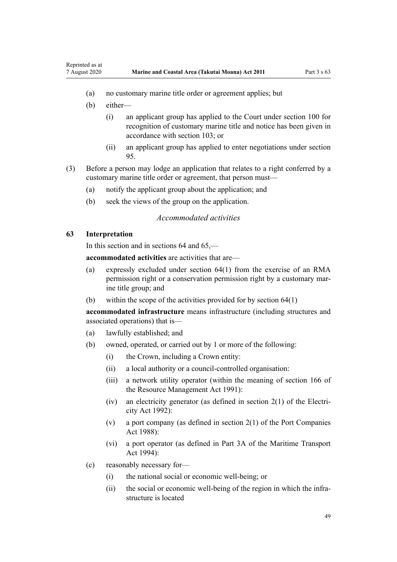- (a) no customary marine title order or agreement applies; but
- (b) either—

<span id="page-48-0"></span>Reprinted as at

- (i) an applicant group has applied to the Court under [section 100](#page-71-0) for recognition of customary marine title and notice has been given in accordance with [section 103;](#page-72-0) or
- (ii) an applicant group has applied to enter negotiations under [section](#page-69-0) [95.](#page-69-0)
- (3) Before a person may lodge an application that relates to a right conferred by a customary marine title order or agreement, that person must—
	- (a) notify the applicant group about the application; and
	- (b) seek the views of the group on the application.

## *Accommodated activities*

## **63 Interpretation**

In this section and in sections 64 and 65,—

**accommodated activities** are activities that are—

- (a) expressly excluded under [section 64\(1\)](#page-50-0) from the exercise of an RMA permission right or a conservation permission right by a customary marine title group; and
- (b) within the scope of the activities provided for by [section 64\(1\)](#page-50-0)

**accommodated infrastructure** means infrastructure (including structures and associated operations) that is—

- (a) lawfully established; and
- (b) owned, operated, or carried out by 1 or more of the following:
	- (i) the Crown, including a Crown entity:
	- (ii) a local authority or a council-controlled organisation:
	- (iii) a network utility operator (within the meaning of [section 166](http://legislation.govt.nz/pdflink.aspx?id=DLM236206) of the Resource Management Act 1991):
	- (iv) an electricity generator (as defined in [section 2\(1\)](http://legislation.govt.nz/pdflink.aspx?id=DLM281866) of the Electricity Act 1992):
	- (v) a port company (as defined in [section 2\(1\)](http://legislation.govt.nz/pdflink.aspx?id=DLM131688) of the Port Companies Act 1988):
	- (vi) a port operator (as defined in [Part 3A](http://legislation.govt.nz/pdflink.aspx?id=DLM5689750) of the Maritime Transport Act 1994):
- (c) reasonably necessary for—
	- (i) the national social or economic well-being; or
	- (ii) the social or economic well-being of the region in which the infrastructure is located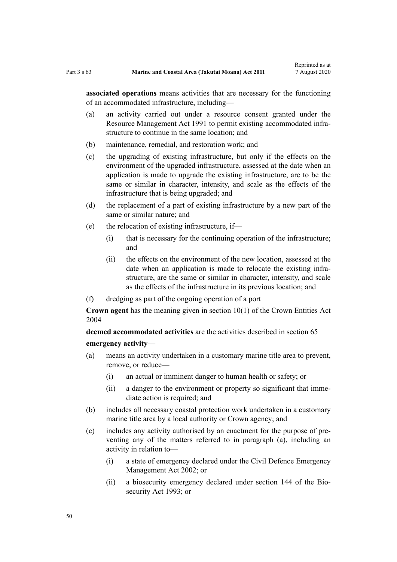**associated operations** means activities that are necessary for the functioning of an accommodated infrastructure, including—

- (a) an activity carried out under a resource consent granted under the [Resource Management Act 1991](http://legislation.govt.nz/pdflink.aspx?id=DLM230264) to permit existing accommodated infrastructure to continue in the same location; and
- (b) maintenance, remedial, and restoration work; and
- (c) the upgrading of existing infrastructure, but only if the effects on the environment of the upgraded infrastructure, assessed at the date when an application is made to upgrade the existing infrastructure, are to be the same or similar in character, intensity, and scale as the effects of the infrastructure that is being upgraded; and
- (d) the replacement of a part of existing infrastructure by a new part of the same or similar nature; and
- (e) the relocation of existing infrastructure, if—
	- (i) that is necessary for the continuing operation of the infrastructure; and
	- (ii) the effects on the environment of the new location, assessed at the date when an application is made to relocate the existing infrastructure, are the same or similar in character, intensity, and scale as the effects of the infrastructure in its previous location; and
- (f) dredging as part of the ongoing operation of a port

**Crown agent** has the meaning given in [section 10\(1\)](http://legislation.govt.nz/pdflink.aspx?id=DLM329649) of the Crown Entities Act 2004

**deemed accommodated activities** are the activities described in [section 65](#page-51-0) **emergency activity**—

- (a) means an activity undertaken in a customary marine title area to prevent, remove, or reduce—
	- (i) an actual or imminent danger to human health or safety; or
	- (ii) a danger to the environment or property so significant that immediate action is required; and
- (b) includes all necessary coastal protection work undertaken in a customary marine title area by a local authority or Crown agency; and
- (c) includes any activity authorised by an enactment for the purpose of preventing any of the matters referred to in paragraph (a), including an activity in relation to—
	- (i) a state of emergency declared under the [Civil Defence Emergency](http://legislation.govt.nz/pdflink.aspx?id=DLM149788) [Management Act 2002;](http://legislation.govt.nz/pdflink.aspx?id=DLM149788) or
	- (ii) a biosecurity emergency declared under [section 144](http://legislation.govt.nz/pdflink.aspx?id=DLM316395) of the Biosecurity Act 1993; or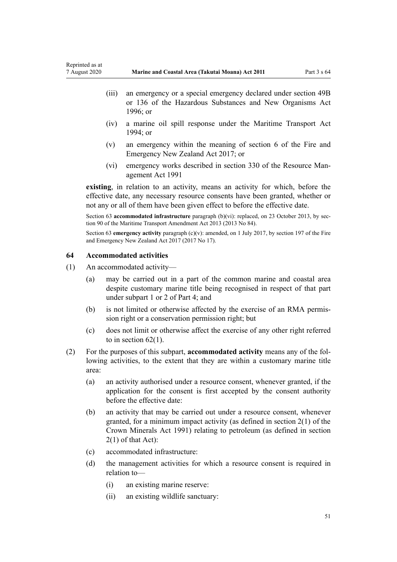- <span id="page-50-0"></span>(iii) an emergency or a special emergency declared under [section 49B](http://legislation.govt.nz/pdflink.aspx?id=DLM384019) or [136](http://legislation.govt.nz/pdflink.aspx?id=DLM384998) of the Hazardous Substances and New Organisms Act 1996; or
- (iv) a marine oil spill response under the [Maritime Transport Act](http://legislation.govt.nz/pdflink.aspx?id=DLM334659) [1994](http://legislation.govt.nz/pdflink.aspx?id=DLM334659); or
- (v) an emergency within the meaning of [section 6](http://legislation.govt.nz/pdflink.aspx?id=DLM6678613) of the Fire and Emergency New Zealand Act 2017; or
- (vi) emergency works described in [section 330](http://legislation.govt.nz/pdflink.aspx?id=DLM239003) of the Resource Management Act 1991

**existing**, in relation to an activity, means an activity for which, before the effective date, any necessary resource consents have been granted, whether or not any or all of them have been given effect to before the effective date.

Section 63 **accommodated infrastructure** paragraph (b)(vi): replaced, on 23 October 2013, by [sec](http://legislation.govt.nz/pdflink.aspx?id=DLM4698973)[tion 90](http://legislation.govt.nz/pdflink.aspx?id=DLM4698973) of the Maritime Transport Amendment Act 2013 (2013 No 84).

Section 63 **emergency activity** paragraph (c)(v): amended, on 1 July 2017, by [section 197](http://legislation.govt.nz/pdflink.aspx?id=DLM6678752) of the Fire and Emergency New Zealand Act 2017 (2017 No 17).

## **64 Accommodated activities**

- (1) An accommodated activity—
	- (a) may be carried out in a part of the common marine and coastal area despite customary marine title being recognised in respect of that part under [subpart 1](#page-69-0) or [2](#page-70-0) of Part 4; and
	- (b) is not limited or otherwise affected by the exercise of an RMA permission right or a conservation permission right; but
	- (c) does not limit or otherwise affect the exercise of any other right referred to in section  $62(1)$ .
- (2) For the purposes of this subpart, **accommodated activity** means any of the following activities, to the extent that they are within a customary marine title area:
	- (a) an activity authorised under a resource consent, whenever granted, if the application for the consent is first accepted by the consent authority before the effective date:
	- (b) an activity that may be carried out under a resource consent, whenever granted, for a minimum impact activity (as defined in [section 2\(1\)](http://legislation.govt.nz/pdflink.aspx?id=DLM242543) of the Crown Minerals Act 1991) relating to petroleum (as defined in section 2(1) of that Act):
	- (c) accommodated infrastructure:
	- (d) the management activities for which a resource consent is required in relation to—
		- (i) an existing marine reserve:
		- (ii) an existing wildlife sanctuary: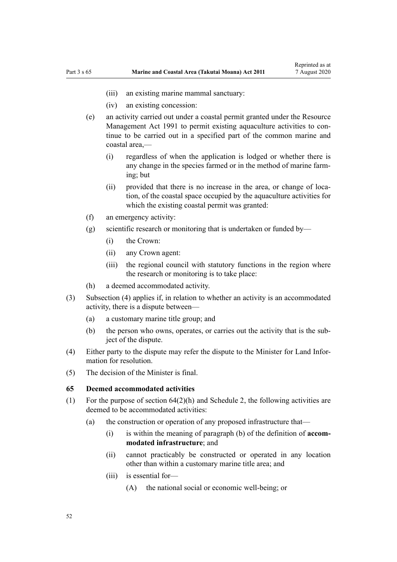- <span id="page-51-0"></span>(iii) an existing marine mammal sanctuary:
- (iv) an existing concession:
- (e) an activity carried out under a coastal permit granted under the [Resource](http://legislation.govt.nz/pdflink.aspx?id=DLM230264) [Management Act 1991](http://legislation.govt.nz/pdflink.aspx?id=DLM230264) to permit existing aquaculture activities to continue to be carried out in a specified part of the common marine and coastal area,—
	- (i) regardless of when the application is lodged or whether there is any change in the species farmed or in the method of marine farming; but
	- (ii) provided that there is no increase in the area, or change of location, of the coastal space occupied by the aquaculture activities for which the existing coastal permit was granted:
- (f) an emergency activity:
- (g) scientific research or monitoring that is undertaken or funded by—
	- (i) the Crown:
	- (ii) any Crown agent:
	- (iii) the regional council with statutory functions in the region where the research or monitoring is to take place:
- (h) a deemed accommodated activity.
- (3) Subsection (4) applies if, in relation to whether an activity is an accommodated activity, there is a dispute between—
	- (a) a customary marine title group; and
	- (b) the person who owns, operates, or carries out the activity that is the subject of the dispute.
- (4) Either party to the dispute may refer the dispute to the Minister for Land Information for resolution.
- (5) The decision of the Minister is final.

### **65 Deemed accommodated activities**

- (1) For the purpose of [section 64\(2\)\(h\)](#page-50-0) and [Schedule 2](#page-92-0), the following activities are deemed to be accommodated activities:
	- (a) the construction or operation of any proposed infrastructure that—
		- (i) is within the meaning of paragraph (b) of the definition of **accommodated infrastructure**; and
		- (ii) cannot practicably be constructed or operated in any location other than within a customary marine title area; and
		- (iii) is essential for—
			- (A) the national social or economic well-being; or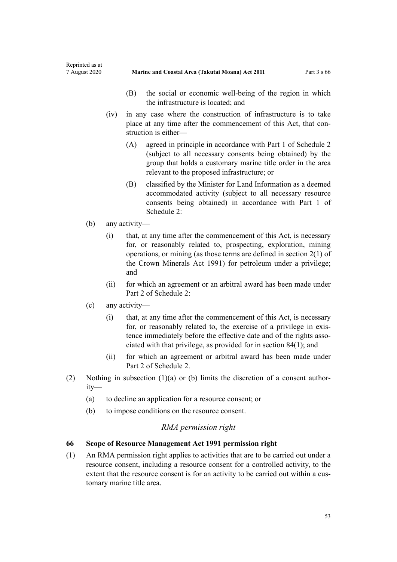- (B) the social or economic well-being of the region in which the infrastructure is located; and
- <span id="page-52-0"></span>(iv) in any case where the construction of infrastructure is to take place at any time after the commencement of this Act, that construction is either—
	- (A) agreed in principle in accordance with [Part 1](#page-92-0) of Schedule 2 (subject to all necessary consents being obtained) by the group that holds a customary marine title order in the area relevant to the proposed infrastructure; or
	- (B) classified by the Minister for Land Information as a deemed accommodated activity (subject to all necessary resource consents being obtained) in accordance with [Part 1](#page-92-0) of Schedule 2:
- (b) any activity—
	- (i) that, at any time after the commencement of this Act, is necessary for, or reasonably related to, prospecting, exploration, mining operations, or mining (as those terms are defined in [section 2\(1\)](http://legislation.govt.nz/pdflink.aspx?id=DLM242543) of the Crown Minerals Act 1991) for petroleum under a privilege; and
	- (ii) for which an agreement or an arbitral award has been made under [Part 2](#page-95-0) of Schedule 2:
- (c) any activity—
	- (i) that, at any time after the commencement of this Act, is necessary for, or reasonably related to, the exercise of a privilege in existence immediately before the effective date and of the rights associated with that privilege, as provided for in [section 84\(1\)](#page-63-0); and
	- (ii) for which an agreement or arbitral award has been made under [Part 2](#page-95-0) of Schedule 2.
- (2) Nothing in subsection  $(1)(a)$  or (b) limits the discretion of a consent authority—
	- (a) to decline an application for a resource consent; or
	- (b) to impose conditions on the resource consent.

## *RMA permission right*

## **66 Scope of Resource Management Act 1991 permission right**

(1) An RMA permission right applies to activities that are to be carried out under a resource consent, including a resource consent for a controlled activity, to the extent that the resource consent is for an activity to be carried out within a customary marine title area.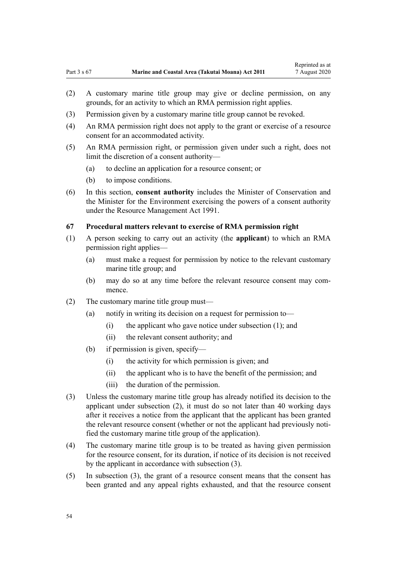- <span id="page-53-0"></span>(2) A customary marine title group may give or decline permission, on any grounds, for an activity to which an RMA permission right applies.
- (3) Permission given by a customary marine title group cannot be revoked.
- (4) An RMA permission right does not apply to the grant or exercise of a resource consent for an accommodated activity.
- (5) An RMA permission right, or permission given under such a right, does not limit the discretion of a consent authority—
	- (a) to decline an application for a resource consent; or
	- (b) to impose conditions.
- (6) In this section, **consent authority** includes the Minister of Conservation and the Minister for the Environment exercising the powers of a consent authority under the [Resource Management Act 1991](http://legislation.govt.nz/pdflink.aspx?id=DLM230264).

## **67 Procedural matters relevant to exercise of RMA permission right**

- (1) A person seeking to carry out an activity (the **applicant**) to which an RMA permission right applies—
	- (a) must make a request for permission by notice to the relevant customary marine title group; and
	- (b) may do so at any time before the relevant resource consent may commence.
- (2) The customary marine title group must—
	- (a) notify in writing its decision on a request for permission to—
		- (i) the applicant who gave notice under subsection (1); and
		- (ii) the relevant consent authority; and
	- (b) if permission is given, specify—
		- (i) the activity for which permission is given; and
		- (ii) the applicant who is to have the benefit of the permission; and
		- (iii) the duration of the permission.
- (3) Unless the customary marine title group has already notified its decision to the applicant under subsection (2), it must do so not later than 40 working days after it receives a notice from the applicant that the applicant has been granted the relevant resource consent (whether or not the applicant had previously notified the customary marine title group of the application).
- (4) The customary marine title group is to be treated as having given permission for the resource consent, for its duration, if notice of its decision is not received by the applicant in accordance with subsection (3).
- (5) In subsection (3), the grant of a resource consent means that the consent has been granted and any appeal rights exhausted, and that the resource consent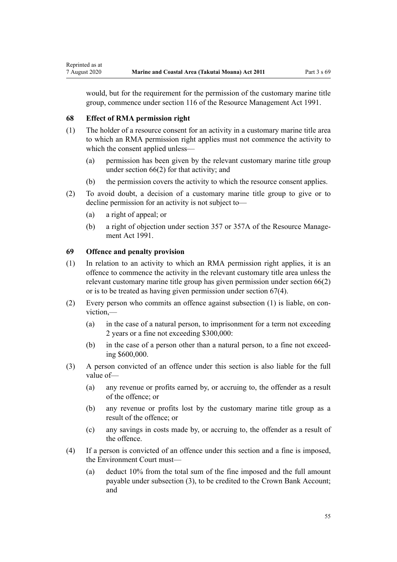would, but for the requirement for the permission of the customary marine title group, commence under [section 116](http://legislation.govt.nz/pdflink.aspx?id=DLM234865) of the Resource Management Act 1991.

#### **68 Effect of RMA permission right**

Reprinted as at

- (1) The holder of a resource consent for an activity in a customary marine title area to which an RMA permission right applies must not commence the activity to which the consent applied unless—
	- (a) permission has been given by the relevant customary marine title group under [section 66\(2\)](#page-52-0) for that activity; and
	- (b) the permission covers the activity to which the resource consent applies.
- (2) To avoid doubt, a decision of a customary marine title group to give or to decline permission for an activity is not subject to—
	- (a) a right of appeal; or
	- (b) a right of objection under [section 357](http://legislation.govt.nz/pdflink.aspx?id=DLM239342) or [357A](http://legislation.govt.nz/pdflink.aspx?id=DLM239356) of the Resource Management Act 1991.

## **69 Offence and penalty provision**

- (1) In relation to an activity to which an RMA permission right applies, it is an offence to commence the activity in the relevant customary title area unless the relevant customary marine title group has given permission under [section 66\(2\)](#page-52-0) or is to be treated as having given permission under [section 67\(4\).](#page-53-0)
- (2) Every person who commits an offence against subsection (1) is liable, on conviction,—
	- (a) in the case of a natural person, to imprisonment for a term not exceeding 2 years or a fine not exceeding \$300,000:
	- (b) in the case of a person other than a natural person, to a fine not exceeding \$600,000.
- (3) A person convicted of an offence under this section is also liable for the full value of—
	- (a) any revenue or profits earned by, or accruing to, the offender as a result of the offence; or
	- (b) any revenue or profits lost by the customary marine title group as a result of the offence; or
	- (c) any savings in costs made by, or accruing to, the offender as a result of the offence.
- (4) If a person is convicted of an offence under this section and a fine is imposed, the Environment Court must—
	- (a) deduct 10% from the total sum of the fine imposed and the full amount payable under subsection (3), to be credited to the Crown Bank Account; and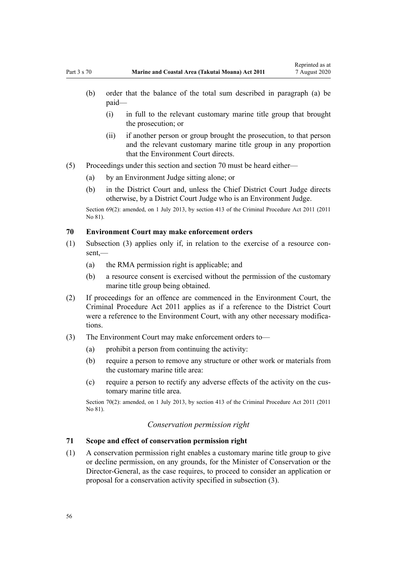- <span id="page-55-0"></span>(i) in full to the relevant customary marine title group that brought the prosecution; or
- (ii) if another person or group brought the prosecution, to that person and the relevant customary marine title group in any proportion that the Environment Court directs.
- (5) Proceedings under this section and section 70 must be heard either—
	- (a) by an Environment Judge sitting alone; or
	- (b) in the District Court and, unless the Chief District Court Judge directs otherwise, by a District Court Judge who is an Environment Judge.

Section 69(2): amended, on 1 July 2013, by [section 413](http://legislation.govt.nz/pdflink.aspx?id=DLM3360714) of the Criminal Procedure Act 2011 (2011) No 81).

## **70 Environment Court may make enforcement orders**

- (1) Subsection (3) applies only if, in relation to the exercise of a resource consent,—
	- (a) the RMA permission right is applicable; and
	- (b) a resource consent is exercised without the permission of the customary marine title group being obtained.
- (2) If proceedings for an offence are commenced in the Environment Court, the [Criminal Procedure Act 2011](http://legislation.govt.nz/pdflink.aspx?id=DLM3359902) applies as if a reference to the District Court were a reference to the Environment Court, with any other necessary modifications.
- (3) The Environment Court may make enforcement orders to—
	- $(a)$  prohibit a person from continuing the activity:
	- (b) require a person to remove any structure or other work or materials from the customary marine title area:
	- (c) require a person to rectify any adverse effects of the activity on the customary marine title area.

Section 70(2): amended, on 1 July 2013, by [section 413](http://legislation.govt.nz/pdflink.aspx?id=DLM3360714) of the Criminal Procedure Act 2011 (2011 No 81).

## *Conservation permission right*

#### **71 Scope and effect of conservation permission right**

(1) A conservation permission right enables a customary marine title group to give or decline permission, on any grounds, for the Minister of Conservation or the Director-General, as the case requires, to proceed to consider an application or proposal for a conservation activity specified in subsection (3).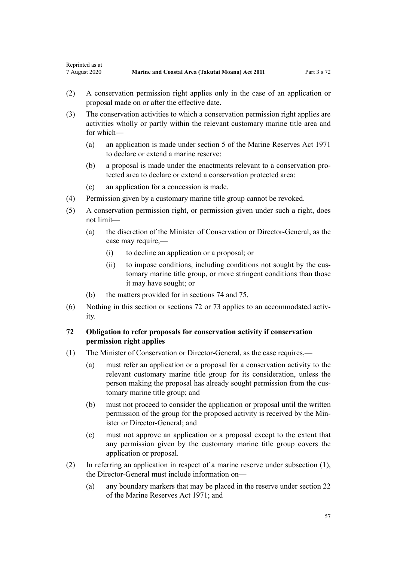- <span id="page-56-0"></span>(2) A conservation permission right applies only in the case of an application or proposal made on or after the effective date.
- (3) The conservation activities to which a conservation permission right applies are activities wholly or partly within the relevant customary marine title area and for which—
	- (a) an application is made under [section 5](http://legislation.govt.nz/pdflink.aspx?id=DLM398113) of the Marine Reserves Act 1971 to declare or extend a marine reserve:
	- (b) a proposal is made under the enactments relevant to a conservation protected area to declare or extend a conservation protected area:
	- (c) an application for a concession is made.
- (4) Permission given by a customary marine title group cannot be revoked.
- (5) A conservation permission right, or permission given under such a right, does not limit—
	- (a) the discretion of the Minister of Conservation or Director-General, as the case may require,—
		- (i) to decline an application or a proposal; or
		- (ii) to impose conditions, including conditions not sought by the customary marine title group, or more stringent conditions than those it may have sought; or
	- (b) the matters provided for in [sections 74](#page-57-0) and [75.](#page-57-0)
- (6) Nothing in this section or sections 72 or [73](#page-57-0) applies to an accommodated activity.

## **72 Obligation to refer proposals for conservation activity if conservation permission right applies**

- (1) The Minister of Conservation or Director-General, as the case requires,—
	- (a) must refer an application or a proposal for a conservation activity to the relevant customary marine title group for its consideration, unless the person making the proposal has already sought permission from the customary marine title group; and
	- (b) must not proceed to consider the application or proposal until the written permission of the group for the proposed activity is received by the Minister or Director-General; and
	- (c) must not approve an application or a proposal except to the extent that any permission given by the customary marine title group covers the application or proposal.
- (2) In referring an application in respect of a marine reserve under subsection (1), the Director-General must include information on—
	- (a) any boundary markers that may be placed in the reserve under [section 22](http://legislation.govt.nz/pdflink.aspx?id=DLM398410) of the Marine Reserves Act 1971; and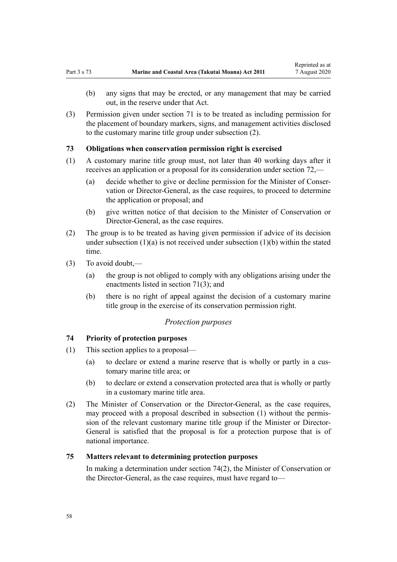- <span id="page-57-0"></span>(b) any signs that may be erected, or any management that may be carried out, in the reserve under that Act.
- (3) Permission given under [section 71](#page-55-0) is to be treated as including permission for the placement of boundary markers, signs, and management activities disclosed to the customary marine title group under subsection (2).

### **73 Obligations when conservation permission right is exercised**

- (1) A customary marine title group must, not later than 40 working days after it receives an application or a proposal for its consideration under [section 72](#page-56-0),—
	- (a) decide whether to give or decline permission for the Minister of Conservation or Director-General, as the case requires, to proceed to determine the application or proposal; and
	- (b) give written notice of that decision to the Minister of Conservation or Director-General, as the case requires.
- (2) The group is to be treated as having given permission if advice of its decision under subsection  $(1)(a)$  is not received under subsection  $(1)(b)$  within the stated time.
- (3) To avoid doubt,—
	- (a) the group is not obliged to comply with any obligations arising under the enactments listed in [section 71\(3\);](#page-55-0) and
	- (b) there is no right of appeal against the decision of a customary marine title group in the exercise of its conservation permission right.

#### *Protection purposes*

## **74 Priority of protection purposes**

- (1) This section applies to a proposal—
	- (a) to declare or extend a marine reserve that is wholly or partly in a customary marine title area; or
	- (b) to declare or extend a conservation protected area that is wholly or partly in a customary marine title area.
- (2) The Minister of Conservation or the Director-General, as the case requires, may proceed with a proposal described in subsection (1) without the permission of the relevant customary marine title group if the Minister or Director-General is satisfied that the proposal is for a protection purpose that is of national importance.

## **75 Matters relevant to determining protection purposes**

In making a determination under section 74(2), the Minister of Conservation or the Director-General, as the case requires, must have regard to—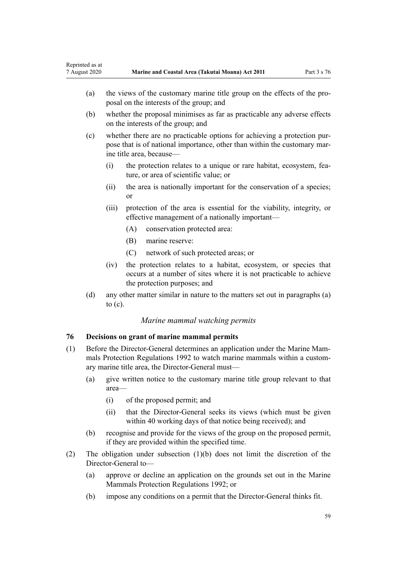<span id="page-58-0"></span>

| Reprinted as at<br>7 August 2020 |                                                                                                                                                                                                               | Marine and Coastal Area (Takutai Moana) Act 2011                                                                                                                                  | Part 3 s 76 |  |  |
|----------------------------------|---------------------------------------------------------------------------------------------------------------------------------------------------------------------------------------------------------------|-----------------------------------------------------------------------------------------------------------------------------------------------------------------------------------|-------------|--|--|
| (a)                              |                                                                                                                                                                                                               | the views of the customary marine title group on the effects of the pro-<br>posal on the interests of the group; and                                                              |             |  |  |
| (b)                              |                                                                                                                                                                                                               | whether the proposal minimises as far as practicable any adverse effects<br>on the interests of the group; and                                                                    |             |  |  |
| (c)                              |                                                                                                                                                                                                               | whether there are no practicable options for achieving a protection pur-<br>pose that is of national importance, other than within the customary mar-<br>ine title area, because— |             |  |  |
|                                  | (i)                                                                                                                                                                                                           | the protection relates to a unique or rare habitat, ecosystem, fea-<br>ture, or area of scientific value; or                                                                      |             |  |  |
|                                  | (ii)                                                                                                                                                                                                          | the area is nationally important for the conservation of a species;<br>or                                                                                                         |             |  |  |
|                                  | (iii)                                                                                                                                                                                                         | protection of the area is essential for the viability, integrity, or<br>effective management of a nationally important—                                                           |             |  |  |
|                                  |                                                                                                                                                                                                               | (A)<br>conservation protected area:                                                                                                                                               |             |  |  |
|                                  |                                                                                                                                                                                                               | marine reserve:<br>(B)                                                                                                                                                            |             |  |  |
|                                  |                                                                                                                                                                                                               | (C)<br>network of such protected areas; or                                                                                                                                        |             |  |  |
|                                  | (iv)                                                                                                                                                                                                          | the protection relates to a habitat, ecosystem, or species that<br>occurs at a number of sites where it is not practicable to achieve<br>the protection purposes; and             |             |  |  |
| (d)                              |                                                                                                                                                                                                               | any other matter similar in nature to the matters set out in paragraphs (a)<br>to $(c)$ .                                                                                         |             |  |  |
|                                  |                                                                                                                                                                                                               | Marine mammal watching permits                                                                                                                                                    |             |  |  |
| 76                               | Decisions on grant of marine mammal permits                                                                                                                                                                   |                                                                                                                                                                                   |             |  |  |
| (1)                              | Before the Director-General determines an application under the Marine Mam-<br>mals Protection Regulations 1992 to watch marine mammals within a custom-<br>ary marine title area, the Director-General must— |                                                                                                                                                                                   |             |  |  |
| (a)                              | area-                                                                                                                                                                                                         | give written notice to the customary marine title group relevant to that                                                                                                          |             |  |  |
|                                  | (i)                                                                                                                                                                                                           | of the proposed permit; and                                                                                                                                                       |             |  |  |
|                                  | (ii)                                                                                                                                                                                                          | that the Director-General seeks its views (which must be given<br>within 40 working days of that notice being received); and                                                      |             |  |  |
| (b)                              |                                                                                                                                                                                                               | recognise and provide for the views of the group on the proposed permit,<br>if they are provided within the specified time.                                                       |             |  |  |
| (2)                              |                                                                                                                                                                                                               | The obligation under subsection $(1)(b)$ does not limit the discretion of the                                                                                                     |             |  |  |

- Director-General to-(a) approve or decline an application on the grounds set out in the [Marine](http://legislation.govt.nz/pdflink.aspx?id=DLM168285) [Mammals Protection Regulations 1992](http://legislation.govt.nz/pdflink.aspx?id=DLM168285); or
	- (b) impose any conditions on a permit that the Director-General thinks fit.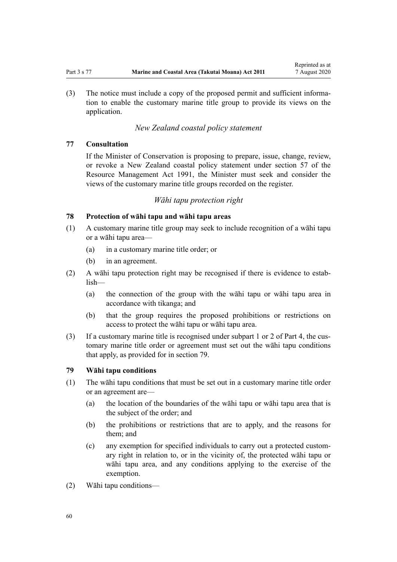<span id="page-59-0"></span>(3) The notice must include a copy of the proposed permit and sufficient information to enable the customary marine title group to provide its views on the application.

## *New Zealand coastal policy statement*

## **77 Consultation**

If the Minister of Conservation is proposing to prepare, issue, change, review, or revoke a New Zealand coastal policy statement under [section 57](http://legislation.govt.nz/pdflink.aspx?id=DLM233379) of the Resource Management Act 1991, the Minister must seek and consider the views of the customary marine title groups recorded on the register.

#### *Wāhi tapu protection right*

## **78 Protection of wāhi tapu and wāhi tapu areas**

- (1) A customary marine title group may seek to include recognition of a wāhi tapu or a wāhi tapu area—
	- (a) in a customary marine title order; or
	- (b) in an agreement.
- (2) A wāhi tapu protection right may be recognised if there is evidence to establish—
	- (a) the connection of the group with the wāhi tapu or wāhi tapu area in accordance with tikanga; and
	- (b) that the group requires the proposed prohibitions or restrictions on access to protect the wāhi tapu or wāhi tapu area.
- (3) If a customary marine title is recognised under [subpart 1](#page-69-0) or [2](#page-70-0) of Part 4, the customary marine title order or agreement must set out the wāhi tapu conditions that apply, as provided for in section 79.

## **79 Wāhi tapu conditions**

- (1) The wāhi tapu conditions that must be set out in a customary marine title order or an agreement are—
	- (a) the location of the boundaries of the wāhi tapu or wāhi tapu area that is the subject of the order; and
	- (b) the prohibitions or restrictions that are to apply, and the reasons for them; and
	- (c) any exemption for specified individuals to carry out a protected customary right in relation to, or in the vicinity of, the protected wāhi tapu or wāhi tapu area, and any conditions applying to the exercise of the exemption.
- (2) Wāhi tapu conditions—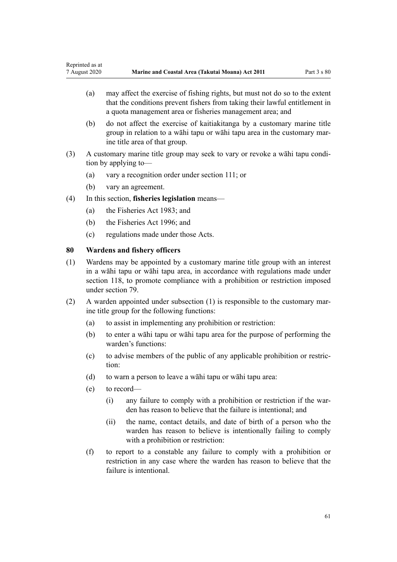- (a) may affect the exercise of fishing rights, but must not do so to the extent that the conditions prevent fishers from taking their lawful entitlement in a quota management area or fisheries management area; and
- (b) do not affect the exercise of kaitiakitanga by a customary marine title group in relation to a wāhi tapu or wāhi tapu area in the customary marine title area of that group.
- (3) A customary marine title group may seek to vary or revoke a wāhi tapu condition by applying to—
	- (a) vary a recognition order under [section 111;](#page-75-0) or
	- (b) vary an agreement.
- (4) In this section, **fisheries legislation** means—
	- (a) the [Fisheries Act 1983](http://legislation.govt.nz/pdflink.aspx?id=DLM66581); and
	- (b) the [Fisheries Act 1996](http://legislation.govt.nz/pdflink.aspx?id=DLM394191); and
	- (c) regulations made under those Acts.

## **80 Wardens and fishery officers**

- (1) Wardens may be appointed by a customary marine title group with an interest in a wāhi tapu or wāhi tapu area, in accordance with regulations made under [section 118,](#page-78-0) to promote compliance with a prohibition or restriction imposed under [section 79](#page-59-0).
- (2) A warden appointed under subsection (1) is responsible to the customary marine title group for the following functions:
	- (a) to assist in implementing any prohibition or restriction:
	- (b) to enter a wāhi tapu or wāhi tapu area for the purpose of performing the warden's functions:
	- (c) to advise members of the public of any applicable prohibition or restriction:
	- (d) to warn a person to leave a wāhi tapu or wāhi tapu area:
	- (e) to record—
		- (i) any failure to comply with a prohibition or restriction if the warden has reason to believe that the failure is intentional; and
		- (ii) the name, contact details, and date of birth of a person who the warden has reason to believe is intentionally failing to comply with a prohibition or restriction:
	- (f) to report to a constable any failure to comply with a prohibition or restriction in any case where the warden has reason to believe that the failure is intentional.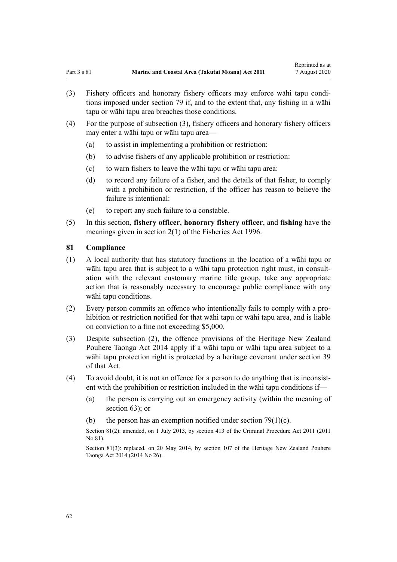- (3) Fishery officers and honorary fishery officers may enforce wāhi tapu conditions imposed under [section 79](#page-59-0) if, and to the extent that, any fishing in a wāhi tapu or wāhi tapu area breaches those conditions.
- (4) For the purpose of subsection (3), fishery officers and honorary fishery officers may enter a wāhi tapu or wāhi tapu area—
	- (a) to assist in implementing a prohibition or restriction:
	- (b) to advise fishers of any applicable prohibition or restriction:
	- (c) to warn fishers to leave the wāhi tapu or wāhi tapu area:
	- (d) to record any failure of a fisher, and the details of that fisher, to comply with a prohibition or restriction, if the officer has reason to believe the failure is intentional:
	- (e) to report any such failure to a constable.
- (5) In this section, **fishery officer**, **honorary fishery officer**, and **fishing** have the meanings given in [section 2\(1\)](http://legislation.govt.nz/pdflink.aspx?id=DLM394199) of the Fisheries Act 1996.

## **81 Compliance**

- (1) A local authority that has statutory functions in the location of a wāhi tapu or wāhi tapu area that is subject to a wāhi tapu protection right must, in consultation with the relevant customary marine title group, take any appropriate action that is reasonably necessary to encourage public compliance with any wāhi tapu conditions.
- (2) Every person commits an offence who intentionally fails to comply with a prohibition or restriction notified for that wāhi tapu or wāhi tapu area, and is liable on conviction to a fine not exceeding \$5,000.
- (3) Despite subsection (2), the offence provisions of the [Heritage New Zealand](http://legislation.govt.nz/pdflink.aspx?id=DLM4005402) [Pouhere Taonga Act 2014](http://legislation.govt.nz/pdflink.aspx?id=DLM4005402) apply if a wāhi tapu or wāhi tapu area subject to a wāhi tapu protection right is protected by a heritage covenant under [section 39](http://legislation.govt.nz/pdflink.aspx?id=DLM4005548) of that Act.
- (4) To avoid doubt, it is not an offence for a person to do anything that is inconsistent with the prohibition or restriction included in the wāhi tapu conditions if—
	- (a) the person is carrying out an emergency activity (within the meaning of [section 63](#page-48-0)); or
	- (b) the person has an exemption notified under section  $79(1)(c)$ .

Section 81(2): amended, on 1 July 2013, by [section 413](http://legislation.govt.nz/pdflink.aspx?id=DLM3360714) of the Criminal Procedure Act 2011 (2011) No 81).

Section 81(3): replaced, on 20 May 2014, by [section 107](http://legislation.govt.nz/pdflink.aspx?id=DLM4005646) of the Heritage New Zealand Pouhere Taonga Act 2014 (2014 No 26).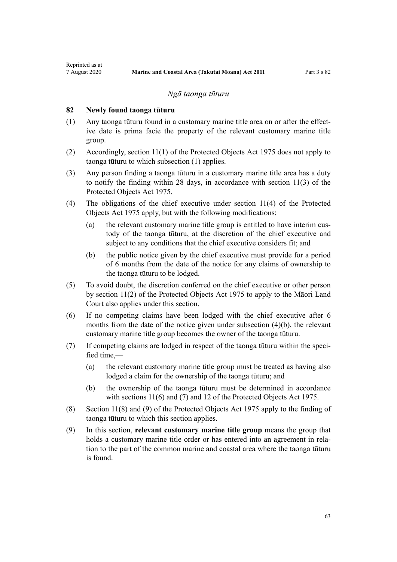#### *Ngā taonga tūturu*

## **82 Newly found taonga tūturu**

<span id="page-62-0"></span>Reprinted as at

- (1) Any taonga tūturu found in a customary marine title area on or after the effective date is prima facie the property of the relevant customary marine title group.
- (2) Accordingly, [section 11\(1\)](http://legislation.govt.nz/pdflink.aspx?id=DLM432422) of the Protected Objects Act 1975 does not apply to taonga tūturu to which subsection (1) applies.
- (3) Any person finding a taonga tūturu in a customary marine title area has a duty to notify the finding within 28 days, in accordance with [section 11\(3\)](http://legislation.govt.nz/pdflink.aspx?id=DLM432422) of the Protected Objects Act 1975.
- (4) The obligations of the chief executive under [section 11\(4\)](http://legislation.govt.nz/pdflink.aspx?id=DLM432422) of the Protected Objects Act 1975 apply, but with the following modifications:
	- (a) the relevant customary marine title group is entitled to have interim custody of the taonga tūturu, at the discretion of the chief executive and subject to any conditions that the chief executive considers fit; and
	- (b) the public notice given by the chief executive must provide for a period of 6 months from the date of the notice for any claims of ownership to the taonga tūturu to be lodged.
- (5) To avoid doubt, the discretion conferred on the chief executive or other person by [section 11\(2\)](http://legislation.govt.nz/pdflink.aspx?id=DLM432422) of the Protected Objects Act 1975 to apply to the Māori Land Court also applies under this section.
- (6) If no competing claims have been lodged with the chief executive after 6 months from the date of the notice given under subsection (4)(b), the relevant customary marine title group becomes the owner of the taonga tūturu.
- (7) If competing claims are lodged in respect of the taonga tūturu within the specified time $-$ 
	- (a) the relevant customary marine title group must be treated as having also lodged a claim for the ownership of the taonga tūturu; and
	- (b) the ownership of the taonga tūturu must be determined in accordance with [sections 11\(6\) and \(7\)](http://legislation.govt.nz/pdflink.aspx?id=DLM432422) and [12](http://legislation.govt.nz/pdflink.aspx?id=DLM432435) of the Protected Objects Act 1975.
- (8) [Section 11\(8\) and \(9\)](http://legislation.govt.nz/pdflink.aspx?id=DLM432422) of the Protected Objects Act 1975 apply to the finding of taonga tūturu to which this section applies.
- (9) In this section, **relevant customary marine title group** means the group that holds a customary marine title order or has entered into an agreement in relation to the part of the common marine and coastal area where the taonga tūturu is found.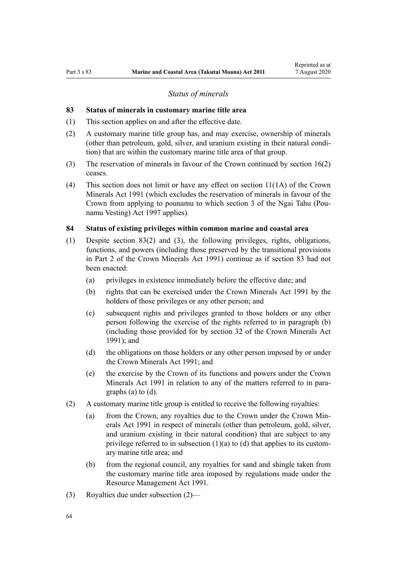### *Status of minerals*

### <span id="page-63-0"></span>**83 Status of minerals in customary marine title area**

- (1) This section applies on and after the effective date.
- (2) A customary marine title group has, and may exercise, ownership of minerals (other than petroleum, gold, silver, and uranium existing in their natural condition) that are within the customary marine title area of that group.
- (3) The reservation of minerals in favour of the Crown continued by [section 16\(2\)](#page-19-0) ceases.
- (4) This section does not limit or have any effect on [section 11\(1A\)](http://legislation.govt.nz/pdflink.aspx?id=DLM246311) of the Crown Minerals Act 1991 (which excludes the reservation of minerals in favour of the Crown from applying to pounamu to which [section 3](http://legislation.govt.nz/pdflink.aspx?id=DLM413605) of the Ngai Tahu (Pounamu Vesting) Act 1997 applies).

#### **84 Status of existing privileges within common marine and coastal area**

- (1) Despite section 83(2) and (3), the following privileges, rights, obligations, functions, and powers (including those preserved by the transitional provisions in [Part 2](http://legislation.govt.nz/pdflink.aspx?id=DLM247305) of the Crown Minerals Act 1991) continue as if section 83 had not been enacted:
	- (a) privileges in existence immediately before the effective date; and
	- (b) rights that can be exercised under the [Crown Minerals Act 1991](http://legislation.govt.nz/pdflink.aspx?id=DLM242535) by the holders of those privileges or any other person; and
	- (c) subsequent rights and privileges granted to those holders or any other person following the exercise of the rights referred to in paragraph (b) (including those provided for by [section 32](http://legislation.govt.nz/pdflink.aspx?id=DLM246341) of the Crown Minerals Act 1991); and
	- (d) the obligations on those holders or any other person imposed by or under the [Crown Minerals Act 1991;](http://legislation.govt.nz/pdflink.aspx?id=DLM242535) and
	- (e) the exercise by the Crown of its functions and powers under the [Crown](http://legislation.govt.nz/pdflink.aspx?id=DLM242535) [Minerals Act 1991](http://legislation.govt.nz/pdflink.aspx?id=DLM242535) in relation to any of the matters referred to in paragraphs (a) to (d).
- (2) A customary marine title group is entitled to receive the following royalties:
	- (a) from the Crown, any royalties due to the Crown under the [Crown Min](http://legislation.govt.nz/pdflink.aspx?id=DLM242535)[erals Act 1991](http://legislation.govt.nz/pdflink.aspx?id=DLM242535) in respect of minerals (other than petroleum, gold, silver, and uranium existing in their natural condition) that are subject to any privilege referred to in subsection  $(1)(a)$  to  $(d)$  that applies to its customary marine title area; and
	- (b) from the regional council, any royalties for sand and shingle taken from the customary marine title area imposed by regulations made under the [Resource Management Act 1991](http://legislation.govt.nz/pdflink.aspx?id=DLM230264).
- (3) Royalties due under subsection (2)—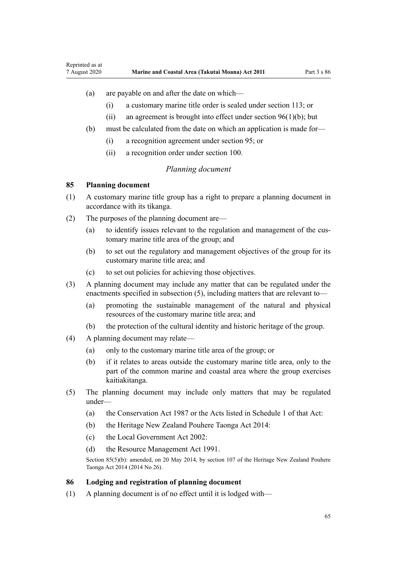#### <span id="page-64-0"></span>(a) are payable on and after the date on which—

- (i) a customary marine title order is sealed under [section 113](#page-77-0); or
- (ii) an agreement is brought into effect under section  $96(1)(b)$ ; but
- (b) must be calculated from the date on which an application is made for—
	- (i) a recognition agreement under [section 95](#page-69-0); or
	- (ii) a recognition order under [section 100](#page-71-0).

## *Planning document*

#### **85 Planning document**

- (1) A customary marine title group has a right to prepare a planning document in accordance with its tikanga.
- (2) The purposes of the planning document are—
	- (a) to identify issues relevant to the regulation and management of the customary marine title area of the group; and
	- (b) to set out the regulatory and management objectives of the group for its customary marine title area; and
	- (c) to set out policies for achieving those objectives.
- (3) A planning document may include any matter that can be regulated under the enactments specified in subsection (5), including matters that are relevant to—
	- (a) promoting the sustainable management of the natural and physical resources of the customary marine title area; and
	- (b) the protection of the cultural identity and historic heritage of the group.
- (4) A planning document may relate—
	- (a) only to the customary marine title area of the group; or
	- (b) if it relates to areas outside the customary marine title area, only to the part of the common marine and coastal area where the group exercises kaitiakitanga.
- (5) The planning document may include only matters that may be regulated under—
	- (a) the [Conservation Act 1987](http://legislation.govt.nz/pdflink.aspx?id=DLM103609) or the Acts listed in [Schedule 1](http://legislation.govt.nz/pdflink.aspx?id=DLM107200) of that Act:
	- (b) the [Heritage New Zealand Pouhere Taonga Act 2014:](http://legislation.govt.nz/pdflink.aspx?id=DLM4005402)
	- (c) the [Local Government Act 2002](http://legislation.govt.nz/pdflink.aspx?id=DLM170872):
	- (d) the [Resource Management Act 1991](http://legislation.govt.nz/pdflink.aspx?id=DLM230264).

Section 85(5)(b): amended, on 20 May 2014, by [section 107](http://legislation.govt.nz/pdflink.aspx?id=DLM4005646) of the Heritage New Zealand Pouhere Taonga Act 2014 (2014 No 26).

### **86 Lodging and registration of planning document**

(1) A planning document is of no effect until it is lodged with—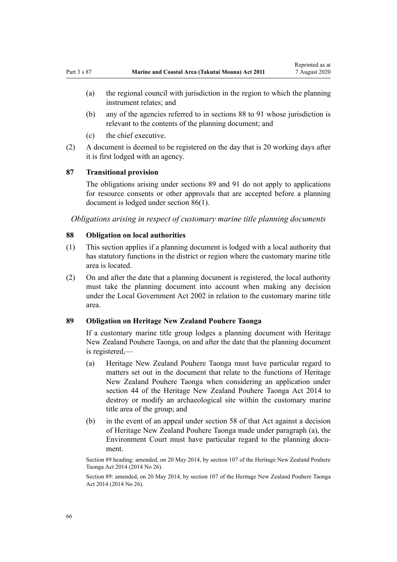- (a) the regional council with jurisdiction in the region to which the planning instrument relates; and
- (b) any of the agencies referred to in sections 88 to 91 whose jurisdiction is relevant to the contents of the planning document; and
- (c) the chief executive.
- (2) A document is deemed to be registered on the day that is 20 working days after it is first lodged with an agency.

## **87 Transitional provision**

The obligations arising under sections 89 and [91](#page-66-0) do not apply to applications for resource consents or other approvals that are accepted before a planning document is lodged under [section 86\(1\).](#page-64-0)

*Obligations arising in respect of customary marine title planning documents*

## **88 Obligation on local authorities**

- (1) This section applies if a planning document is lodged with a local authority that has statutory functions in the district or region where the customary marine title area is located.
- (2) On and after the date that a planning document is registered, the local authority must take the planning document into account when making any decision under the [Local Government Act 2002](http://legislation.govt.nz/pdflink.aspx?id=DLM170872) in relation to the customary marine title area.

## **89 Obligation on Heritage New Zealand Pouhere Taonga**

If a customary marine title group lodges a planning document with Heritage New Zealand Pouhere Taonga, on and after the date that the planning document is registered,—

- (a) Heritage New Zealand Pouhere Taonga must have particular regard to matters set out in the document that relate to the functions of Heritage New Zealand Pouhere Taonga when considering an application under [section 44](http://legislation.govt.nz/pdflink.aspx?id=DLM4005562) of the Heritage New Zealand Pouhere Taonga Act 2014 to destroy or modify an archaeological site within the customary marine title area of the group; and
- (b) in the event of an appeal under [section 58](http://legislation.govt.nz/pdflink.aspx?id=DLM4005583) of that Act against a decision of Heritage New Zealand Pouhere Taonga made under paragraph (a), the Environment Court must have particular regard to the planning document.

Section 89 heading: amended, on 20 May 2014, by [section 107](http://legislation.govt.nz/pdflink.aspx?id=DLM4005646) of the Heritage New Zealand Pouhere Taonga Act 2014 (2014 No 26).

Section 89: amended, on 20 May 2014, by [section 107](http://legislation.govt.nz/pdflink.aspx?id=DLM4005646) of the Heritage New Zealand Pouhere Taonga Act 2014 (2014 No 26).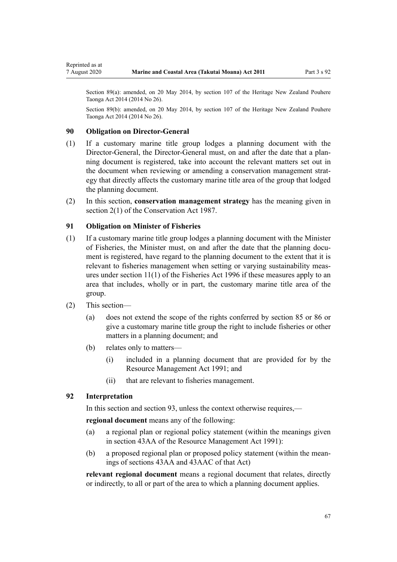Section 89(a): amended, on 20 May 2014, by [section 107](http://legislation.govt.nz/pdflink.aspx?id=DLM4005646) of the Heritage New Zealand Pouhere Taonga Act 2014 (2014 No 26).

Section 89(b): amended, on 20 May 2014, by [section 107](http://legislation.govt.nz/pdflink.aspx?id=DLM4005646) of the Heritage New Zealand Pouhere Taonga Act 2014 (2014 No 26).

#### **90 Obligation on Director-General**

<span id="page-66-0"></span>Reprinted as at

- (1) If a customary marine title group lodges a planning document with the Director-General, the Director-General must, on and after the date that a planning document is registered, take into account the relevant matters set out in the document when reviewing or amending a conservation management strategy that directly affects the customary marine title area of the group that lodged the planning document.
- (2) In this section, **conservation management strategy** has the meaning given in [section 2\(1\)](http://legislation.govt.nz/pdflink.aspx?id=DLM103616) of the Conservation Act 1987.

## **91 Obligation on Minister of Fisheries**

- (1) If a customary marine title group lodges a planning document with the Minister of Fisheries, the Minister must, on and after the date that the planning document is registered, have regard to the planning document to the extent that it is relevant to fisheries management when setting or varying sustainability measures under [section 11\(1\)](http://legislation.govt.nz/pdflink.aspx?id=DLM395397) of the Fisheries Act 1996 if these measures apply to an area that includes, wholly or in part, the customary marine title area of the group.
- (2) This section—
	- (a) does not extend the scope of the rights conferred by [section 85](#page-64-0) or [86](#page-64-0) or give a customary marine title group the right to include fisheries or other matters in a planning document; and
	- (b) relates only to matters—
		- (i) included in a planning document that are provided for by the [Resource Management Act 1991](http://legislation.govt.nz/pdflink.aspx?id=DLM230264); and
		- (ii) that are relevant to fisheries management.

#### **92 Interpretation**

In this section and section 93, unless the context otherwise requires,—

**regional document** means any of the following:

- (a) a regional plan or regional policy statement (within the meanings given in [section 43AA](http://legislation.govt.nz/pdflink.aspx?id=DLM2412743) of the Resource Management Act 1991):
- (b) a proposed regional plan or proposed policy statement (within the meanings of [sections 43AA](http://legislation.govt.nz/pdflink.aspx?id=DLM2412743) and [43AAC](http://legislation.govt.nz/pdflink.aspx?id=DLM2412769) of that Act)

**relevant regional document** means a regional document that relates, directly or indirectly, to all or part of the area to which a planning document applies.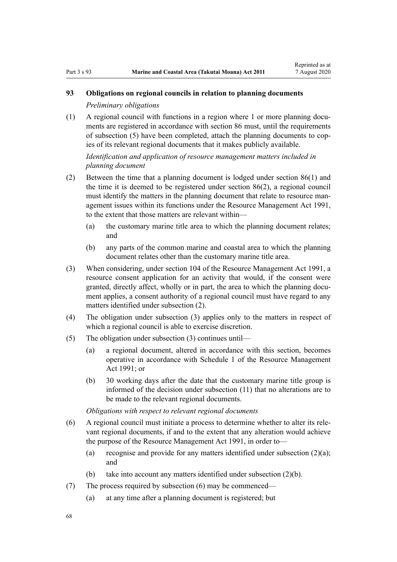## **93 Obligations on regional councils in relation to planning documents**

*Preliminary obligations*

(1) A regional council with functions in a region where 1 or more planning documents are registered in accordance with [section 86](#page-64-0) must, until the requirements of subsection (5) have been completed, attach the planning documents to copies of its relevant regional documents that it makes publicly available.

## *Identification and application of resource management matters included in planning document*

- (2) Between the time that a planning document is lodged under [section 86\(1\)](#page-64-0) and the time it is deemed to be registered under section 86(2), a regional council must identify the matters in the planning document that relate to resource management issues within its functions under the [Resource Management Act 1991](http://legislation.govt.nz/pdflink.aspx?id=DLM230264), to the extent that those matters are relevant within—
	- (a) the customary marine title area to which the planning document relates; and
	- (b) any parts of the common marine and coastal area to which the planning document relates other than the customary marine title area.
- (3) When considering, under [section 104](http://legislation.govt.nz/pdflink.aspx?id=DLM234355) of the Resource Management Act 1991, a resource consent application for an activity that would, if the consent were granted, directly affect, wholly or in part, the area to which the planning document applies, a consent authority of a regional council must have regard to any matters identified under subsection (2).
- (4) The obligation under subsection (3) applies only to the matters in respect of which a regional council is able to exercise discretion.
- (5) The obligation under subsection (3) continues until—
	- (a) a regional document, altered in accordance with this section, becomes operative in accordance with [Schedule 1](http://legislation.govt.nz/pdflink.aspx?id=DLM240686) of the Resource Management Act 1991; or
	- (b) 30 working days after the date that the customary marine title group is informed of the decision under subsection (11) that no alterations are to be made to the relevant regional documents.

*Obligations with respect to relevant regional documents*

- (6) A regional council must initiate a process to determine whether to alter its relevant regional documents, if and to the extent that any alteration would achieve the purpose of the [Resource Management Act 1991,](http://legislation.govt.nz/pdflink.aspx?id=DLM230264) in order to—
	- (a) recognise and provide for any matters identified under subsection  $(2)(a)$ ; and
	- (b) take into account any matters identified under subsection (2)(b).
- (7) The process required by subsection (6) may be commenced—
	- (a) at any time after a planning document is registered; but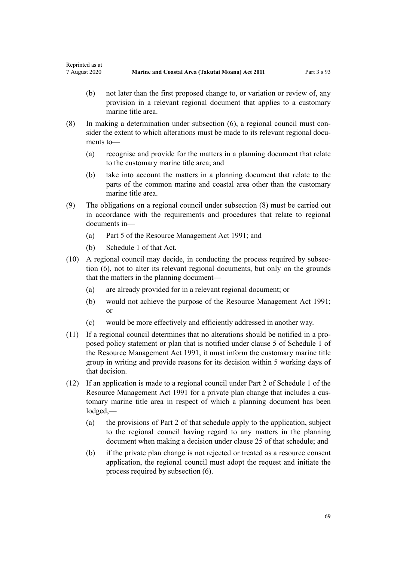- (b) not later than the first proposed change to, or variation or review of, any provision in a relevant regional document that applies to a customary marine title area.
- (8) In making a determination under subsection (6), a regional council must consider the extent to which alterations must be made to its relevant regional documents to—
	- (a) recognise and provide for the matters in a planning document that relate to the customary marine title area; and
	- (b) take into account the matters in a planning document that relate to the parts of the common marine and coastal area other than the customary marine title area.
- (9) The obligations on a regional council under subsection (8) must be carried out in accordance with the requirements and procedures that relate to regional documents in—
	- (a) [Part 5](http://legislation.govt.nz/pdflink.aspx?id=DLM233301) of the Resource Management Act 1991; and
	- (b) [Schedule 1](http://legislation.govt.nz/pdflink.aspx?id=DLM240686) of that Act.
- (10) A regional council may decide, in conducting the process required by subsection (6), not to alter its relevant regional documents, but only on the grounds that the matters in the planning document—
	- (a) are already provided for in a relevant regional document; or
	- (b) would not achieve the purpose of the [Resource Management Act 1991;](http://legislation.govt.nz/pdflink.aspx?id=DLM230264) or
	- (c) would be more effectively and efficiently addressed in another way.
- (11) If a regional council determines that no alterations should be notified in a proposed policy statement or plan that is notified under [clause 5](http://legislation.govt.nz/pdflink.aspx?id=DLM241213) of Schedule 1 of the Resource Management Act 1991, it must inform the customary marine title group in writing and provide reasons for its decision within 5 working days of that decision.
- (12) If an application is made to a regional council under [Part 2](http://legislation.govt.nz/pdflink.aspx?id=DLM241513) of Schedule 1 of the Resource Management Act 1991 for a private plan change that includes a customary marine title area in respect of which a planning document has been lodged,—
	- (a) the provisions of [Part 2](http://legislation.govt.nz/pdflink.aspx?id=DLM241513) of that schedule apply to the application, subject to the regional council having regard to any matters in the planning document when making a decision under [clause 25](http://legislation.govt.nz/pdflink.aspx?id=DLM241526) of that schedule; and
	- (b) if the private plan change is not rejected or treated as a resource consent application, the regional council must adopt the request and initiate the process required by subsection (6).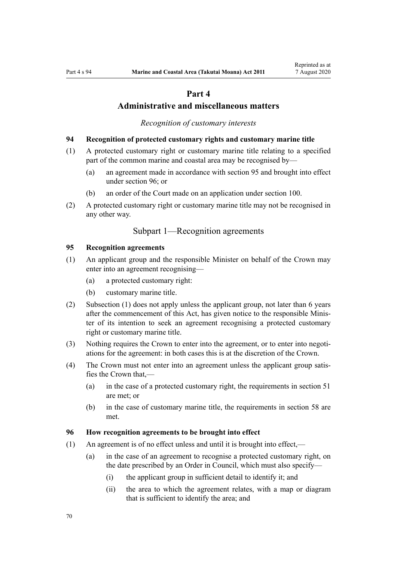# **Part 4**

## **Administrative and miscellaneous matters**

*Recognition of customary interests*

#### <span id="page-69-0"></span>**94 Recognition of protected customary rights and customary marine title**

- (1) A protected customary right or customary marine title relating to a specified part of the common marine and coastal area may be recognised by—
	- (a) an agreement made in accordance with section 95 and brought into effect under section 96; or
	- (b) an order of the Court made on an application under [section 100](#page-71-0).
- (2) A protected customary right or customary marine title may not be recognised in any other way.

## Subpart 1—Recognition agreements

## **95 Recognition agreements**

- (1) An applicant group and the responsible Minister on behalf of the Crown may enter into an agreement recognising—
	- (a) a protected customary right:
	- (b) customary marine title.
- (2) Subsection (1) does not apply unless the applicant group, not later than 6 years after the commencement of this Act, has given notice to the responsible Minister of its intention to seek an agreement recognising a protected customary right or customary marine title.
- (3) Nothing requires the Crown to enter into the agreement, or to enter into negotiations for the agreement: in both cases this is at the discretion of the Crown.
- (4) The Crown must not enter into an agreement unless the applicant group satisfies the Crown that,—
	- (a) in the case of a protected customary right, the requirements in [section 51](#page-39-0) are met; or
	- (b) in the case of customary marine title, the requirements in [section 58](#page-44-0) are met.

## **96 How recognition agreements to be brought into effect**

- (1) An agreement is of no effect unless and until it is brought into effect,—
	- (a) in the case of an agreement to recognise a protected customary right, on the date prescribed by an Order in Council, which must also specify—
		- (i) the applicant group in sufficient detail to identify it; and
		- (ii) the area to which the agreement relates, with a map or diagram that is sufficient to identify the area; and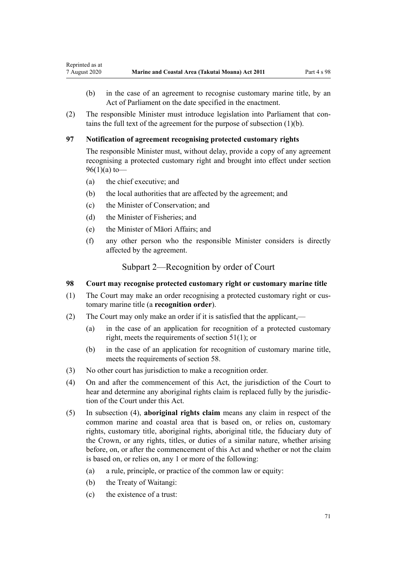- <span id="page-70-0"></span>(b) in the case of an agreement to recognise customary marine title, by an Act of Parliament on the date specified in the enactment.
- (2) The responsible Minister must introduce legislation into Parliament that contains the full text of the agreement for the purpose of subsection (1)(b).

## **97 Notification of agreement recognising protected customary rights**

The responsible Minister must, without delay, provide a copy of any agreement recognising a protected customary right and brought into effect under [section](#page-69-0) [96\(1\)\(a\)](#page-69-0) to-

- (a) the chief executive; and
- (b) the local authorities that are affected by the agreement; and
- (c) the Minister of Conservation; and
- (d) the Minister of Fisheries; and
- (e) the Minister of Māori Affairs; and
- (f) any other person who the responsible Minister considers is directly affected by the agreement.

Subpart 2—Recognition by order of Court

## **98 Court may recognise protected customary right or customary marine title**

- (1) The Court may make an order recognising a protected customary right or customary marine title (a **recognition order**).
- (2) The Court may only make an order if it is satisfied that the applicant,—
	- (a) in the case of an application for recognition of a protected customary right, meets the requirements of [section 51\(1\)](#page-39-0); or
	- (b) in the case of an application for recognition of customary marine title, meets the requirements of [section 58](#page-44-0).
- (3) No other court has jurisdiction to make a recognition order.
- (4) On and after the commencement of this Act, the jurisdiction of the Court to hear and determine any aboriginal rights claim is replaced fully by the jurisdiction of the Court under this Act.
- (5) In subsection (4), **aboriginal rights claim** means any claim in respect of the common marine and coastal area that is based on, or relies on, customary rights, customary title, aboriginal rights, aboriginal title, the fiduciary duty of the Crown, or any rights, titles, or duties of a similar nature, whether arising before, on, or after the commencement of this Act and whether or not the claim is based on, or relies on, any 1 or more of the following:
	- (a) a rule, principle, or practice of the common law or equity:
	- (b) the Treaty of Waitangi:
	- (c) the existence of a trust: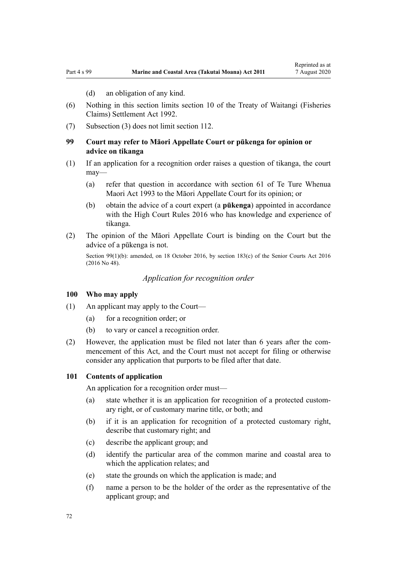(d) an obligation of any kind.

- <span id="page-71-0"></span>(6) Nothing in this section limits [section 10](http://legislation.govt.nz/pdflink.aspx?id=DLM281461) of the Treaty of Waitangi (Fisheries Claims) Settlement Act 1992.
- (7) Subsection (3) does not limit [section 112](#page-76-0).

## **99 Court may refer to Māori Appellate Court or pūkenga for opinion or advice on tikanga**

- (1) If an application for a recognition order raises a question of tikanga, the court may—
	- (a) refer that question in accordance with [section 61](http://legislation.govt.nz/pdflink.aspx?id=DLM290946) of Te Ture Whenua Maori Act 1993 to the Māori Appellate Court for its opinion; or
	- (b) obtain the advice of a court expert (a **pūkenga**) appointed in accordance with the [High Court Rules 2016](http://legislation.govt.nz/pdflink.aspx?id=DLM6959800) who has knowledge and experience of tikanga.
- (2) The opinion of the Māori Appellate Court is binding on the Court but the advice of a pūkenga is not.

Section 99(1)(b): amended, on 18 October 2016, by [section 183\(c\)](http://legislation.govt.nz/pdflink.aspx?id=DLM5759564) of the Senior Courts Act 2016 (2016 No 48).

*Application for recognition order*

#### **100 Who may apply**

- (1) An applicant may apply to the Court—
	- (a) for a recognition order; or
	- (b) to vary or cancel a recognition order.
- (2) However, the application must be filed not later than 6 years after the commencement of this Act, and the Court must not accept for filing or otherwise consider any application that purports to be filed after that date.

#### **101 Contents of application**

An application for a recognition order must—

- (a) state whether it is an application for recognition of a protected customary right, or of customary marine title, or both; and
- (b) if it is an application for recognition of a protected customary right, describe that customary right; and
- (c) describe the applicant group; and
- (d) identify the particular area of the common marine and coastal area to which the application relates; and
- (e) state the grounds on which the application is made; and
- (f) name a person to be the holder of the order as the representative of the applicant group; and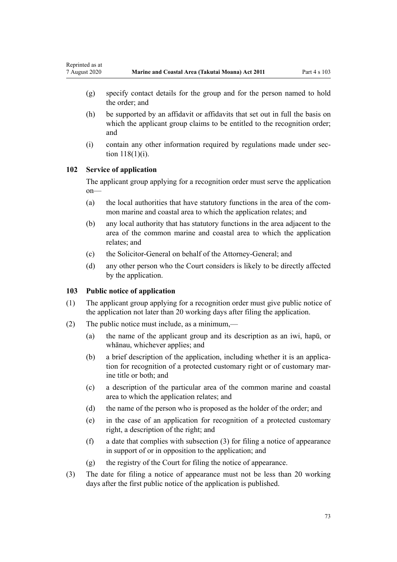- (g) specify contact details for the group and for the person named to hold the order; and
- (h) be supported by an affidavit or affidavits that set out in full the basis on which the applicant group claims to be entitled to the recognition order; and
- (i) contain any other information required by regulations made under [sec](#page-78-0)[tion 118\(1\)\(i\)](#page-78-0).

# **102 Service of application**

Reprinted as at

The applicant group applying for a recognition order must serve the application on—

- (a) the local authorities that have statutory functions in the area of the common marine and coastal area to which the application relates; and
- (b) any local authority that has statutory functions in the area adjacent to the area of the common marine and coastal area to which the application relates; and
- (c) the Solicitor-General on behalf of the Attorney-General; and
- (d) any other person who the Court considers is likely to be directly affected by the application.

# **103 Public notice of application**

- (1) The applicant group applying for a recognition order must give public notice of the application not later than 20 working days after filing the application.
- (2) The public notice must include, as a minimum,—
	- (a) the name of the applicant group and its description as an iwi, hapū, or whānau, whichever applies; and
	- (b) a brief description of the application, including whether it is an application for recognition of a protected customary right or of customary marine title or both; and
	- (c) a description of the particular area of the common marine and coastal area to which the application relates; and
	- (d) the name of the person who is proposed as the holder of the order; and
	- (e) in the case of an application for recognition of a protected customary right, a description of the right; and
	- (f) a date that complies with subsection (3) for filing a notice of appearance in support of or in opposition to the application; and
	- (g) the registry of the Court for filing the notice of appearance.
- (3) The date for filing a notice of appearance must not be less than 20 working days after the first public notice of the application is published.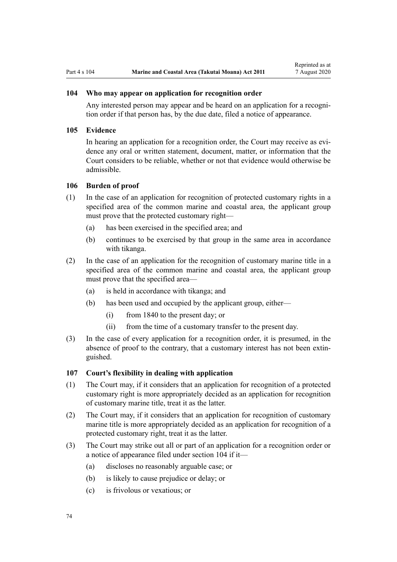## **104 Who may appear on application for recognition order**

Any interested person may appear and be heard on an application for a recognition order if that person has, by the due date, filed a notice of appearance.

#### **105 Evidence**

In hearing an application for a recognition order, the Court may receive as evidence any oral or written statement, document, matter, or information that the Court considers to be reliable, whether or not that evidence would otherwise be admissible.

#### **106 Burden of proof**

- (1) In the case of an application for recognition of protected customary rights in a specified area of the common marine and coastal area, the applicant group must prove that the protected customary right—
	- (a) has been exercised in the specified area; and
	- (b) continues to be exercised by that group in the same area in accordance with tikanga.
- (2) In the case of an application for the recognition of customary marine title in a specified area of the common marine and coastal area, the applicant group must prove that the specified area—
	- (a) is held in accordance with tikanga; and
	- (b) has been used and occupied by the applicant group, either—
		- (i) from 1840 to the present day; or
		- (ii) from the time of a customary transfer to the present day.
- (3) In the case of every application for a recognition order, it is presumed, in the absence of proof to the contrary, that a customary interest has not been extinguished.

# **107 Court's flexibility in dealing with application**

- (1) The Court may, if it considers that an application for recognition of a protected customary right is more appropriately decided as an application for recognition of customary marine title, treat it as the latter.
- (2) The Court may, if it considers that an application for recognition of customary marine title is more appropriately decided as an application for recognition of a protected customary right, treat it as the latter.
- (3) The Court may strike out all or part of an application for a recognition order or a notice of appearance filed under section 104 if it—
	- (a) discloses no reasonably arguable case; or
	- (b) is likely to cause prejudice or delay; or
	- (c) is frivolous or vexatious; or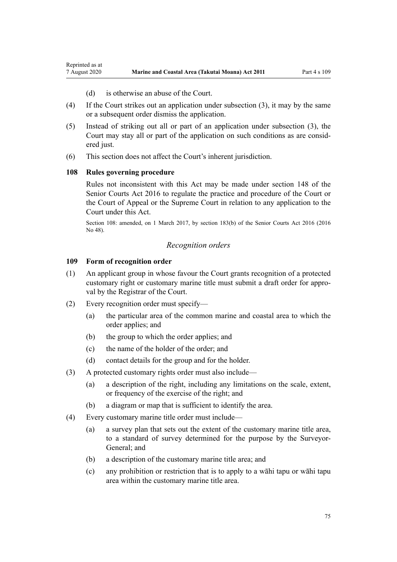- (d) is otherwise an abuse of the Court.
- <span id="page-74-0"></span>(4) If the Court strikes out an application under subsection (3), it may by the same or a subsequent order dismiss the application.
- (5) Instead of striking out all or part of an application under subsection (3), the Court may stay all or part of the application on such conditions as are considered just.
- (6) This section does not affect the Court's inherent jurisdiction.

# **108 Rules governing procedure**

Rules not inconsistent with this Act may be made under [section 148](http://legislation.govt.nz/pdflink.aspx?id=DLM5759504) of the Senior Courts Act 2016 to regulate the practice and procedure of the Court or the Court of Appeal or the Supreme Court in relation to any application to the Court under this Act.

Section 108: amended, on 1 March 2017, by [section 183\(b\)](http://legislation.govt.nz/pdflink.aspx?id=DLM5759564) of the Senior Courts Act 2016 (2016 No 48).

#### *Recognition orders*

#### **109 Form of recognition order**

- (1) An applicant group in whose favour the Court grants recognition of a protected customary right or customary marine title must submit a draft order for approval by the Registrar of the Court.
- (2) Every recognition order must specify—
	- (a) the particular area of the common marine and coastal area to which the order applies; and
	- (b) the group to which the order applies; and
	- (c) the name of the holder of the order; and
	- (d) contact details for the group and for the holder.
- (3) A protected customary rights order must also include—
	- (a) a description of the right, including any limitations on the scale, extent, or frequency of the exercise of the right; and
	- (b) a diagram or map that is sufficient to identify the area.
- (4) Every customary marine title order must include—
	- (a) a survey plan that sets out the extent of the customary marine title area, to a standard of survey determined for the purpose by the Surveyor-General; and
	- (b) a description of the customary marine title area; and
	- (c) any prohibition or restriction that is to apply to a wāhi tapu or wāhi tapu area within the customary marine title area.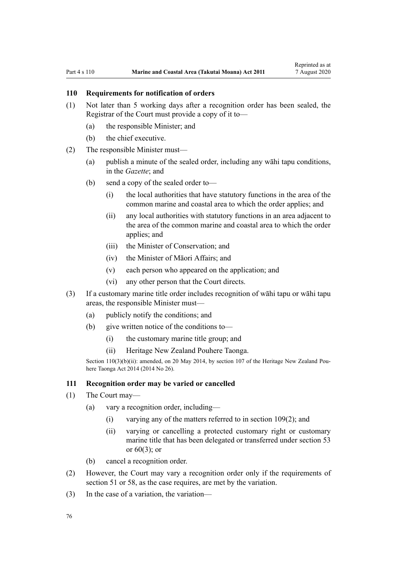# <span id="page-75-0"></span>**110 Requirements for notification of orders**

- (1) Not later than 5 working days after a recognition order has been sealed, the Registrar of the Court must provide a copy of it to—
	- (a) the responsible Minister; and
	- (b) the chief executive.
- (2) The responsible Minister must—
	- (a) publish a minute of the sealed order, including any wāhi tapu conditions, in the *Gazette*; and
	- (b) send a copy of the sealed order to—
		- (i) the local authorities that have statutory functions in the area of the common marine and coastal area to which the order applies; and
		- (ii) any local authorities with statutory functions in an area adjacent to the area of the common marine and coastal area to which the order applies; and
		- (iii) the Minister of Conservation; and
		- (iv) the Minister of Māori Affairs; and
		- (v) each person who appeared on the application; and
		- (vi) any other person that the Court directs.
- (3) If a customary marine title order includes recognition of wāhi tapu or wāhi tapu areas, the responsible Minister must—
	- (a) publicly notify the conditions; and
	- (b) give written notice of the conditions to—
		- (i) the customary marine title group; and
		- (ii) Heritage New Zealand Pouhere Taonga.

Section 110(3)(b)(ii): amended, on 20 May 2014, by [section 107](http://legislation.govt.nz/pdflink.aspx?id=DLM4005646) of the Heritage New Zealand Pouhere Taonga Act 2014 (2014 No 26).

#### **111 Recognition order may be varied or cancelled**

- (1) The Court may—
	- (a) vary a recognition order, including—
		- (i) varying any of the matters referred to in [section 109\(2\);](#page-74-0) and
		- (ii) varying or cancelling a protected customary right or customary marine title that has been delegated or transferred under [section 53](#page-41-0) or  $60(3)$ ; or
	- (b) cancel a recognition order.
- (2) However, the Court may vary a recognition order only if the requirements of [section 51](#page-39-0) or [58,](#page-44-0) as the case requires, are met by the variation.
- (3) In the case of a variation, the variation—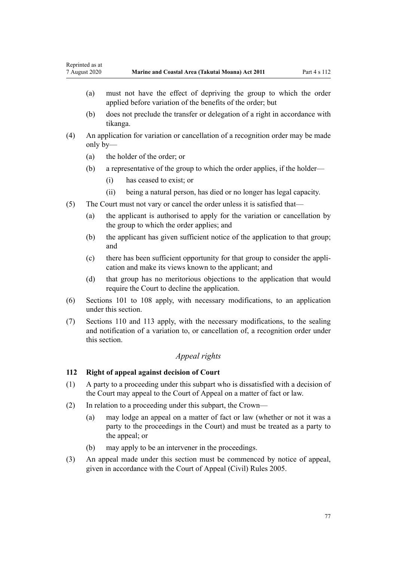- (a) must not have the effect of depriving the group to which the order applied before variation of the benefits of the order; but
- (b) does not preclude the transfer or delegation of a right in accordance with tikanga.
- (4) An application for variation or cancellation of a recognition order may be made only by—
	- (a) the holder of the order; or
	- (b) a representative of the group to which the order applies, if the holder—
		- (i) has ceased to exist; or
		- (ii) being a natural person, has died or no longer has legal capacity.
- (5) The Court must not vary or cancel the order unless it is satisfied that—
	- (a) the applicant is authorised to apply for the variation or cancellation by the group to which the order applies; and
	- (b) the applicant has given sufficient notice of the application to that group; and
	- (c) there has been sufficient opportunity for that group to consider the application and make its views known to the applicant; and
	- (d) that group has no meritorious objections to the application that would require the Court to decline the application.
- (6) [Sections 101 to 108](#page-71-0) apply, with necessary modifications, to an application under this section.
- (7) [Sections 110](#page-75-0) and [113](#page-77-0) apply, with the necessary modifications, to the sealing and notification of a variation to, or cancellation of, a recognition order under this section.

# *Appeal rights*

# **112 Right of appeal against decision of Court**

- (1) A party to a proceeding under this subpart who is dissatisfied with a decision of the Court may appeal to the Court of Appeal on a matter of fact or law.
- (2) In relation to a proceeding under this subpart, the Crown—
	- (a) may lodge an appeal on a matter of fact or law (whether or not it was a party to the proceedings in the Court) and must be treated as a party to the appeal; or
	- (b) may apply to be an intervener in the proceedings.
- (3) An appeal made under this section must be commenced by notice of appeal, given in accordance with the [Court of Appeal \(Civil\) Rules 2005](http://legislation.govt.nz/pdflink.aspx?id=DLM319745).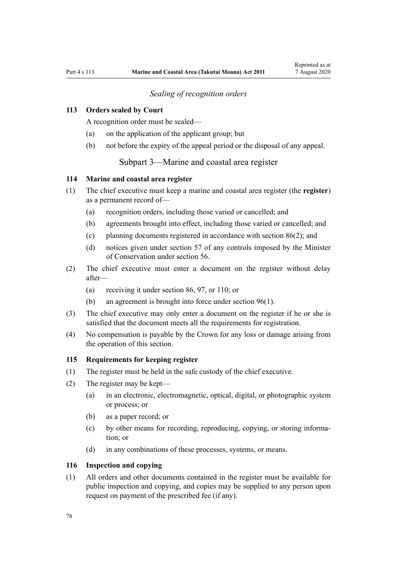# *Sealing of recognition orders*

# <span id="page-77-0"></span>**113 Orders sealed by Court**

A recognition order must be sealed—

- (a) on the application of the applicant group; but
- (b) not before the expiry of the appeal period or the disposal of any appeal.

Subpart 3—Marine and coastal area register

### **114 Marine and coastal area register**

- (1) The chief executive must keep a marine and coastal area register (the **register**) as a permanent record of—
	- (a) recognition orders, including those varied or cancelled; and
	- (b) agreements brought into effect, including those varied or cancelled; and
	- (c) planning documents registered in accordance with [section 86\(2\)](#page-64-0); and
	- (d) notices given under [section 57](#page-43-0) of any controls imposed by the Minister of Conservation under [section 56.](#page-43-0)
- (2) The chief executive must enter a document on the register without delay after—
	- (a) receiving it under [section 86](#page-64-0), [97](#page-70-0), or [110](#page-75-0); or
	- (b) an agreement is brought into force under [section 96\(1\).](#page-69-0)
- (3) The chief executive may only enter a document on the register if he or she is satisfied that the document meets all the requirements for registration.
- (4) No compensation is payable by the Crown for any loss or damage arising from the operation of this section.

#### **115 Requirements for keeping register**

- (1) The register must be held in the safe custody of the chief executive.
- (2) The register may be kept—
	- (a) in an electronic, electromagnetic, optical, digital, or photographic system or process; or
	- (b) as a paper record; or
	- (c) by other means for recording, reproducing, copying, or storing information; or
	- (d) in any combinations of these processes, systems, or means.

### **116 Inspection and copying**

(1) All orders and other documents contained in the register must be available for public inspection and copying, and copies may be supplied to any person upon request on payment of the prescribed fee (if any).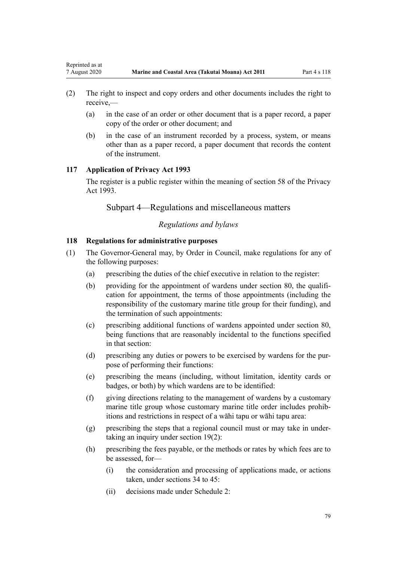- (2) The right to inspect and copy orders and other documents includes the right to receive,—
	- (a) in the case of an order or other document that is a paper record, a paper copy of the order or other document; and
	- (b) in the case of an instrument recorded by a process, system, or means other than as a paper record, a paper document that records the content of the instrument.

### **117 Application of Privacy Act 1993**

<span id="page-78-0"></span>Reprinted as at

The register is a public register within the meaning of [section 58](http://legislation.govt.nz/pdflink.aspx?id=DLM297424) of the Privacy Act 1993.

Subpart 4—Regulations and miscellaneous matters

# *Regulations and bylaws*

## **118 Regulations for administrative purposes**

- (1) The Governor-General may, by Order in Council, make regulations for any of the following purposes:
	- (a) prescribing the duties of the chief executive in relation to the register:
	- (b) providing for the appointment of wardens under [section 80,](#page-60-0) the qualification for appointment, the terms of those appointments (including the responsibility of the customary marine title group for their funding), and the termination of such appointments:
	- (c) prescribing additional functions of wardens appointed under [section 80](#page-60-0), being functions that are reasonably incidental to the functions specified in that section:
	- (d) prescribing any duties or powers to be exercised by wardens for the purpose of performing their functions:
	- (e) prescribing the means (including, without limitation, identity cards or badges, or both) by which wardens are to be identified:
	- (f) giving directions relating to the management of wardens by a customary marine title group whose customary marine title order includes prohibitions and restrictions in respect of a wāhi tapu or wāhi tapu area:
	- (g) prescribing the steps that a regional council must or may take in undertaking an inquiry under [section 19\(2\)](#page-20-0):
	- (h) prescribing the fees payable, or the methods or rates by which fees are to be assessed, for—
		- (i) the consideration and processing of applications made, or actions taken, under [sections 34 to 45:](#page-28-0)
		- (ii) decisions made under [Schedule 2:](#page-92-0)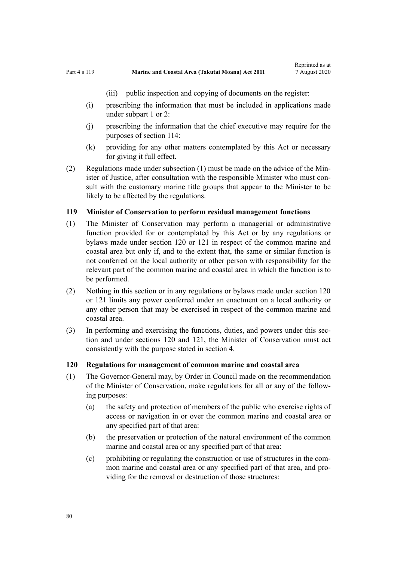(iii) public inspection and copying of documents on the register:

- <span id="page-79-0"></span>(i) prescribing the information that must be included in applications made under [subpart 1](#page-69-0) or [2:](#page-70-0)
- (j) prescribing the information that the chief executive may require for the purposes of [section 114:](#page-77-0)
- (k) providing for any other matters contemplated by this Act or necessary for giving it full effect.
- (2) Regulations made under subsection (1) must be made on the advice of the Minister of Justice, after consultation with the responsible Minister who must consult with the customary marine title groups that appear to the Minister to be likely to be affected by the regulations.

# **119 Minister of Conservation to perform residual management functions**

- (1) The Minister of Conservation may perform a managerial or administrative function provided for or contemplated by this Act or by any regulations or bylaws made under section 120 or [121](#page-80-0) in respect of the common marine and coastal area but only if, and to the extent that, the same or similar function is not conferred on the local authority or other person with responsibility for the relevant part of the common marine and coastal area in which the function is to be performed.
- (2) Nothing in this section or in any regulations or bylaws made under section 120 or [121](#page-80-0) limits any power conferred under an enactment on a local authority or any other person that may be exercised in respect of the common marine and coastal area.
- (3) In performing and exercising the functions, duties, and powers under this section and under sections 120 and [121,](#page-80-0) the Minister of Conservation must act consistently with the purpose stated in [section 4](#page-8-0).

### **120 Regulations for management of common marine and coastal area**

- (1) The Governor-General may, by Order in Council made on the recommendation of the Minister of Conservation, make regulations for all or any of the following purposes:
	- (a) the safety and protection of members of the public who exercise rights of access or navigation in or over the common marine and coastal area or any specified part of that area:
	- (b) the preservation or protection of the natural environment of the common marine and coastal area or any specified part of that area:
	- (c) prohibiting or regulating the construction or use of structures in the common marine and coastal area or any specified part of that area, and providing for the removal or destruction of those structures: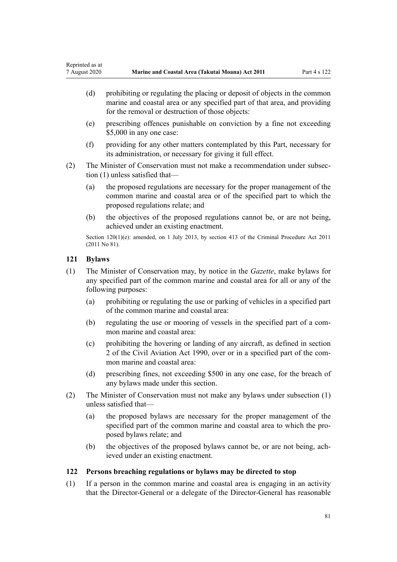- <span id="page-80-0"></span>(d) prohibiting or regulating the placing or deposit of objects in the common marine and coastal area or any specified part of that area, and providing for the removal or destruction of those objects:
- (e) prescribing offences punishable on conviction by a fine not exceeding \$5,000 in any one case:
- (f) providing for any other matters contemplated by this Part, necessary for its administration, or necessary for giving it full effect.
- (2) The Minister of Conservation must not make a recommendation under subsection (1) unless satisfied that—
	- (a) the proposed regulations are necessary for the proper management of the common marine and coastal area or of the specified part to which the proposed regulations relate; and
	- (b) the objectives of the proposed regulations cannot be, or are not being, achieved under an existing enactment.

Section 120(1)(e): amended, on 1 July 2013, by [section 413](http://legislation.govt.nz/pdflink.aspx?id=DLM3360714) of the Criminal Procedure Act 2011 (2011 No 81).

# **121 Bylaws**

- (1) The Minister of Conservation may, by notice in the *Gazette*, make bylaws for any specified part of the common marine and coastal area for all or any of the following purposes:
	- (a) prohibiting or regulating the use or parking of vehicles in a specified part of the common marine and coastal area:
	- (b) regulating the use or mooring of vessels in the specified part of a common marine and coastal area:
	- (c) prohibiting the hovering or landing of any aircraft, as defined in [section](http://legislation.govt.nz/pdflink.aspx?id=DLM214692) [2](http://legislation.govt.nz/pdflink.aspx?id=DLM214692) of the Civil Aviation Act 1990, over or in a specified part of the common marine and coastal area:
	- (d) prescribing fines, not exceeding \$500 in any one case, for the breach of any bylaws made under this section.
- (2) The Minister of Conservation must not make any bylaws under subsection (1) unless satisfied that—
	- (a) the proposed bylaws are necessary for the proper management of the specified part of the common marine and coastal area to which the proposed bylaws relate; and
	- (b) the objectives of the proposed bylaws cannot be, or are not being, achieved under an existing enactment.

# **122 Persons breaching regulations or bylaws may be directed to stop**

(1) If a person in the common marine and coastal area is engaging in an activity that the Director-General or a delegate of the Director-General has reasonable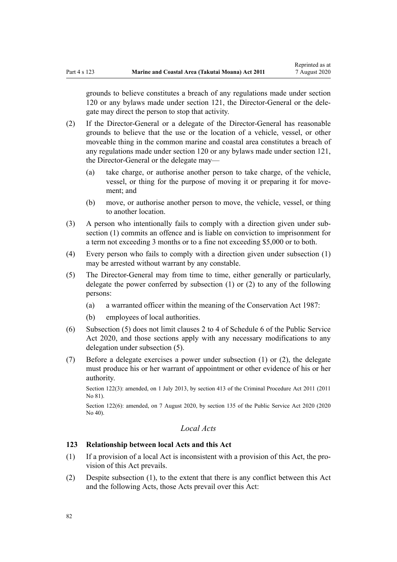grounds to believe constitutes a breach of any regulations made under [section](#page-79-0) [120](#page-79-0) or any bylaws made under [section 121](#page-80-0), the Director-General or the delegate may direct the person to stop that activity.

- (2) If the Director-General or a delegate of the Director-General has reasonable grounds to believe that the use or the location of a vehicle, vessel, or other moveable thing in the common marine and coastal area constitutes a breach of any regulations made under [section 120](#page-79-0) or any bylaws made under [section 121](#page-80-0), the Director-General or the delegate may—
	- (a) take charge, or authorise another person to take charge, of the vehicle, vessel, or thing for the purpose of moving it or preparing it for movement; and
	- (b) move, or authorise another person to move, the vehicle, vessel, or thing to another location.
- (3) A person who intentionally fails to comply with a direction given under subsection (1) commits an offence and is liable on conviction to imprisonment for a term not exceeding 3 months or to a fine not exceeding \$5,000 or to both.
- (4) Every person who fails to comply with a direction given under subsection (1) may be arrested without warrant by any constable.
- (5) The Director-General may from time to time, either generally or particularly, delegate the power conferred by subsection (1) or (2) to any of the following persons:
	- (a) a warranted officer within the meaning of the [Conservation Act 1987](http://legislation.govt.nz/pdflink.aspx?id=DLM103609):
	- (b) employees of local authorities.
- (6) Subsection (5) does not limit [clauses 2 to 4](http://legislation.govt.nz/pdflink.aspx?id=LMS356992) of Schedule 6 of the Public Service Act 2020, and those sections apply with any necessary modifications to any delegation under subsection (5).
- (7) Before a delegate exercises a power under subsection (1) or (2), the delegate must produce his or her warrant of appointment or other evidence of his or her authority.

Section 122(3): amended, on 1 July 2013, by [section 413](http://legislation.govt.nz/pdflink.aspx?id=DLM3360714) of the Criminal Procedure Act 2011 (2011 No 81).

Section 122(6): amended, on 7 August 2020, by [section 135](http://legislation.govt.nz/pdflink.aspx?id=LMS176959) of the Public Service Act 2020 (2020 No 40).

# *Local Acts*

# **123 Relationship between local Acts and this Act**

- (1) If a provision of a local Act is inconsistent with a provision of this Act, the provision of this Act prevails.
- (2) Despite subsection (1), to the extent that there is any conflict between this Act and the following Acts, those Acts prevail over this Act: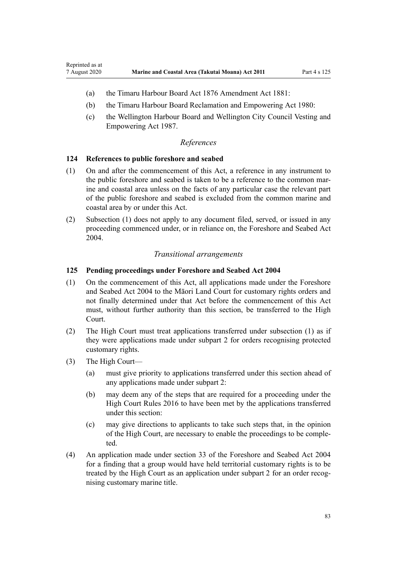- (a) the [Timaru Harbour Board Act 1876 Amendment Act 1881](http://legislation.govt.nz/pdflink.aspx?id=DLM15371):
- (b) the [Timaru Harbour Board Reclamation and Empowering Act 1980:](http://legislation.govt.nz/pdflink.aspx?id=DLM74774)
- (c) the [Wellington Harbour Board and Wellington City Council Vesting and](http://legislation.govt.nz/pdflink.aspx?id=DLM78106) [Empowering Act 1987.](http://legislation.govt.nz/pdflink.aspx?id=DLM78106)

### *References*

### **124 References to public foreshore and seabed**

- (1) On and after the commencement of this Act, a reference in any instrument to the public foreshore and seabed is taken to be a reference to the common marine and coastal area unless on the facts of any particular case the relevant part of the public foreshore and seabed is excluded from the common marine and coastal area by or under this Act.
- (2) Subsection (1) does not apply to any document filed, served, or issued in any proceeding commenced under, or in reliance on, the [Foreshore and Seabed Act](http://legislation.govt.nz/pdflink.aspx?id=DLM319838) [2004](http://legislation.govt.nz/pdflink.aspx?id=DLM319838).

### *Transitional arrangements*

# **125 Pending proceedings under Foreshore and Seabed Act 2004**

- (1) On the commencement of this Act, all applications made under the [Foreshore](http://legislation.govt.nz/pdflink.aspx?id=DLM319838) [and Seabed Act 2004](http://legislation.govt.nz/pdflink.aspx?id=DLM319838) to the Māori Land Court for customary rights orders and not finally determined under that Act before the commencement of this Act must, without further authority than this section, be transferred to the High Court.
- (2) The High Court must treat applications transferred under subsection (1) as if they were applications made under [subpart 2](#page-70-0) for orders recognising protected customary rights.
- (3) The High Court—

Reprinted as at

- (a) must give priority to applications transferred under this section ahead of any applications made under [subpart 2](#page-70-0):
- (b) may deem any of the steps that are required for a proceeding under the [High Court Rules 2016](http://legislation.govt.nz/pdflink.aspx?id=DLM6959800) to have been met by the applications transferred under this section:
- (c) may give directions to applicants to take such steps that, in the opinion of the High Court, are necessary to enable the proceedings to be completed.
- (4) An application made under [section 33](http://legislation.govt.nz/pdflink.aspx?id=DLM320263) of the Foreshore and Seabed Act 2004 for a finding that a group would have held territorial customary rights is to be treated by the High Court as an application under [subpart 2](#page-70-0) for an order recognising customary marine title.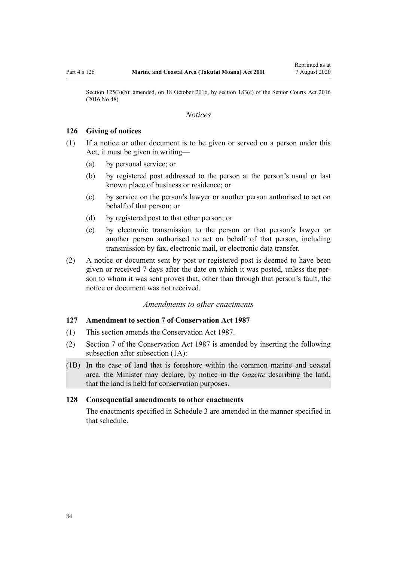<span id="page-83-0"></span>Section 125(3)(b): amended, on 18 October 2016, by [section 183\(c\)](http://legislation.govt.nz/pdflink.aspx?id=DLM5759564) of the Senior Courts Act 2016 (2016 No 48).

# *Notices*

#### **126 Giving of notices**

- (1) If a notice or other document is to be given or served on a person under this Act, it must be given in writing—
	- (a) by personal service; or
	- (b) by registered post addressed to the person at the person's usual or last known place of business or residence; or
	- (c) by service on the person's lawyer or another person authorised to act on behalf of that person; or
	- (d) by registered post to that other person; or
	- (e) by electronic transmission to the person or that person's lawyer or another person authorised to act on behalf of that person, including transmission by fax, electronic mail, or electronic data transfer.
- (2) A notice or document sent by post or registered post is deemed to have been given or received 7 days after the date on which it was posted, unless the person to whom it was sent proves that, other than through that person's fault, the notice or document was not received.

# *Amendments to other enactments*

#### **127 Amendment to section 7 of Conservation Act 1987**

- (1) This section amends the [Conservation Act 1987.](http://legislation.govt.nz/pdflink.aspx?id=DLM103609)
- (2) [Section 7](http://legislation.govt.nz/pdflink.aspx?id=DLM104251) of the Conservation Act 1987 is amended by inserting the following subsection after subsection (1A):
- (1B) In the case of land that is foreshore within the common marine and coastal area, the Minister may declare, by notice in the *Gazette* describing the land, that the land is held for conservation purposes.

### **128 Consequential amendments to other enactments**

The enactments specified in [Schedule 3 a](#page-98-0)re amended in the manner specified in that schedule.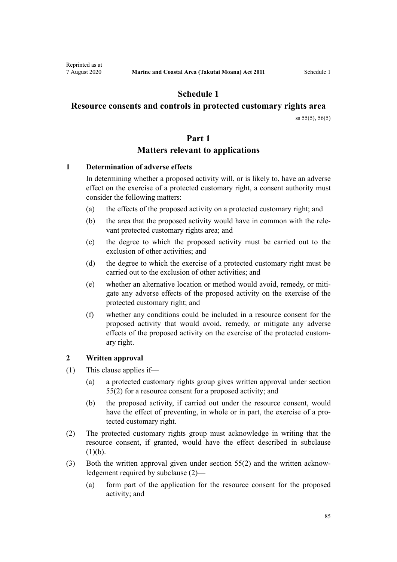# **Schedule 1**

# <span id="page-84-0"></span>**Resource consents and controls in protected customary rights area**

[ss 55\(5\)](#page-42-0), [56\(5\)](#page-43-0)

# **Part 1**

# **Matters relevant to applications**

# **1 Determination of adverse effects**

In determining whether a proposed activity will, or is likely to, have an adverse effect on the exercise of a protected customary right, a consent authority must consider the following matters:

- (a) the effects of the proposed activity on a protected customary right; and
- (b) the area that the proposed activity would have in common with the relevant protected customary rights area; and
- (c) the degree to which the proposed activity must be carried out to the exclusion of other activities; and
- (d) the degree to which the exercise of a protected customary right must be carried out to the exclusion of other activities; and
- (e) whether an alternative location or method would avoid, remedy, or mitigate any adverse effects of the proposed activity on the exercise of the protected customary right; and
- (f) whether any conditions could be included in a resource consent for the proposed activity that would avoid, remedy, or mitigate any adverse effects of the proposed activity on the exercise of the protected customary right.

# **2 Written approval**

- (1) This clause applies if—
	- (a) a protected customary rights group gives written approval under [section](#page-42-0) [55\(2\)](#page-42-0) for a resource consent for a proposed activity; and
	- (b) the proposed activity, if carried out under the resource consent, would have the effect of preventing, in whole or in part, the exercise of a protected customary right.
- (2) The protected customary rights group must acknowledge in writing that the resource consent, if granted, would have the effect described in subclause  $(1)(b)$ .
- (3) Both the written approval given under [section 55\(2\)](#page-42-0) and the written acknowledgement required by subclause (2)—
	- (a) form part of the application for the resource consent for the proposed activity; and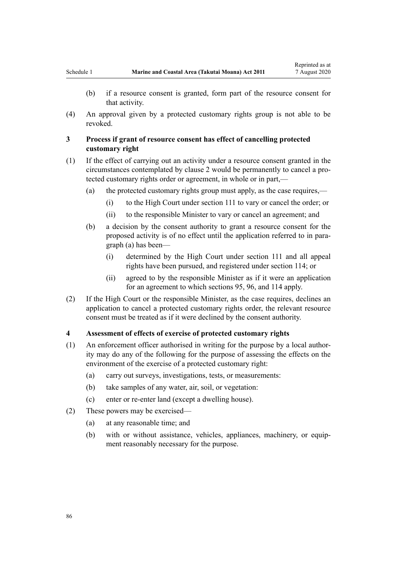(4) An approval given by a protected customary rights group is not able to be revoked.

# **3 Process if grant of resource consent has effect of cancelling protected customary right**

- (1) If the effect of carrying out an activity under a resource consent granted in the circumstances contemplated by [clause 2](#page-84-0) would be permanently to cancel a protected customary rights order or agreement, in whole or in part,—
	- (a) the protected customary rights group must apply, as the case requires,—
		- (i) to the High Court under [section 111](#page-75-0) to vary or cancel the order; or
		- (ii) to the responsible Minister to vary or cancel an agreement; and
	- (b) a decision by the consent authority to grant a resource consent for the proposed activity is of no effect until the application referred to in paragraph (a) has been—
		- (i) determined by the High Court under [section 111](#page-75-0) and all appeal rights have been pursued, and registered under [section 114;](#page-77-0) or
		- (ii) agreed to by the responsible Minister as if it were an application for an agreement to which [sections 95](#page-69-0), [96](#page-69-0), and [114](#page-77-0) apply.
- (2) If the High Court or the responsible Minister, as the case requires, declines an application to cancel a protected customary rights order, the relevant resource consent must be treated as if it were declined by the consent authority.

# **4 Assessment of effects of exercise of protected customary rights**

- (1) An enforcement officer authorised in writing for the purpose by a local authority may do any of the following for the purpose of assessing the effects on the environment of the exercise of a protected customary right:
	- (a) carry out surveys, investigations, tests, or measurements:
	- (b) take samples of any water, air, soil, or vegetation:
	- (c) enter or re-enter land (except a dwelling house).
- (2) These powers may be exercised—
	- (a) at any reasonable time; and
	- (b) with or without assistance, vehicles, appliances, machinery, or equipment reasonably necessary for the purpose.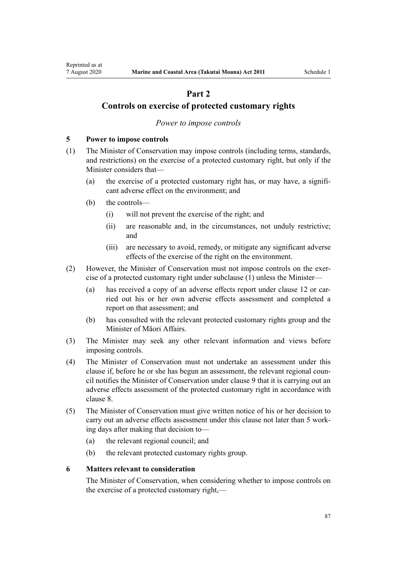# **Part 2**

# <span id="page-86-0"></span>**Controls on exercise of protected customary rights**

# *Power to impose controls*

## **5 Power to impose controls**

- (1) The Minister of Conservation may impose controls (including terms, standards, and restrictions) on the exercise of a protected customary right, but only if the Minister considers that—
	- (a) the exercise of a protected customary right has, or may have, a significant adverse effect on the environment; and
	- (b) the controls—
		- (i) will not prevent the exercise of the right; and
		- (ii) are reasonable and, in the circumstances, not unduly restrictive; and
		- (iii) are necessary to avoid, remedy, or mitigate any significant adverse effects of the exercise of the right on the environment.
- (2) However, the Minister of Conservation must not impose controls on the exercise of a protected customary right under subclause (1) unless the Minister—
	- (a) has received a copy of an adverse effects report under [clause 12](#page-90-0) or carried out his or her own adverse effects assessment and completed a report on that assessment; and
	- (b) has consulted with the relevant protected customary rights group and the Minister of Māori Affairs.
- (3) The Minister may seek any other relevant information and views before imposing controls.
- (4) The Minister of Conservation must not undertake an assessment under this clause if, before he or she has begun an assessment, the relevant regional council notifies the Minister of Conservation under [clause 9](#page-88-0) that it is carrying out an adverse effects assessment of the protected customary right in accordance with [clause 8.](#page-87-0)
- (5) The Minister of Conservation must give written notice of his or her decision to carry out an adverse effects assessment under this clause not later than 5 working days after making that decision to—
	- (a) the relevant regional council; and
	- (b) the relevant protected customary rights group.

#### **6 Matters relevant to consideration**

The Minister of Conservation, when considering whether to impose controls on the exercise of a protected customary right,—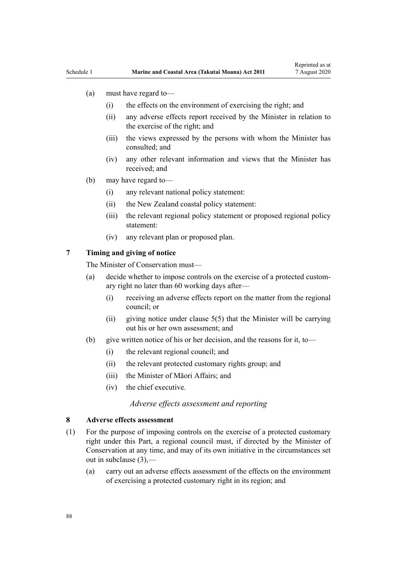- <span id="page-87-0"></span>(a) must have regard to—
	- (i) the effects on the environment of exercising the right; and
	- (ii) any adverse effects report received by the Minister in relation to the exercise of the right; and
	- (iii) the views expressed by the persons with whom the Minister has consulted; and
	- (iv) any other relevant information and views that the Minister has received; and
- (b) may have regard to—
	- (i) any relevant national policy statement:
	- (ii) the New Zealand coastal policy statement:
	- (iii) the relevant regional policy statement or proposed regional policy statement:
	- (iv) any relevant plan or proposed plan.

# **7 Timing and giving of notice**

The Minister of Conservation must—

- (a) decide whether to impose controls on the exercise of a protected customary right no later than 60 working days after—
	- (i) receiving an adverse effects report on the matter from the regional council; or
	- (ii) giving notice under clause  $5(5)$  that the Minister will be carrying out his or her own assessment; and
- (b) give written notice of his or her decision, and the reasons for it, to—
	- (i) the relevant regional council; and
	- (ii) the relevant protected customary rights group; and
	- (iii) the Minister of Māori Affairs; and
	- (iv) the chief executive.

## *Adverse effects assessment and reporting*

#### **8 Adverse effects assessment**

- (1) For the purpose of imposing controls on the exercise of a protected customary right under this Part, a regional council must, if directed by the Minister of Conservation at any time, and may of its own initiative in the circumstances set out in subclause (3),—
	- (a) carry out an adverse effects assessment of the effects on the environment of exercising a protected customary right in its region; and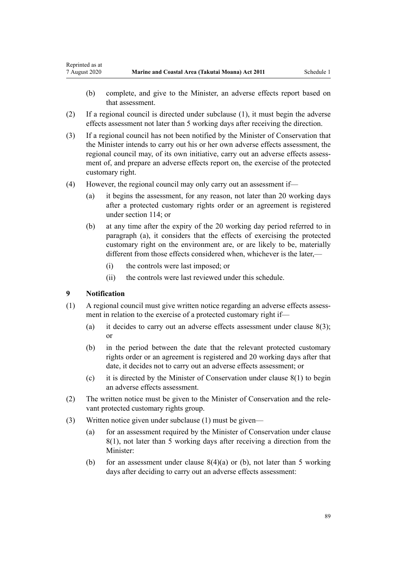- (b) complete, and give to the Minister, an adverse effects report based on that assessment.
- (2) If a regional council is directed under subclause (1), it must begin the adverse effects assessment not later than 5 working days after receiving the direction.
- (3) If a regional council has not been notified by the Minister of Conservation that the Minister intends to carry out his or her own adverse effects assessment, the regional council may, of its own initiative, carry out an adverse effects assessment of, and prepare an adverse effects report on, the exercise of the protected customary right.
- (4) However, the regional council may only carry out an assessment if—
	- (a) it begins the assessment, for any reason, not later than 20 working days after a protected customary rights order or an agreement is registered under [section 114;](#page-77-0) or
	- (b) at any time after the expiry of the 20 working day period referred to in paragraph (a), it considers that the effects of exercising the protected customary right on the environment are, or are likely to be, materially different from those effects considered when, whichever is the later,—
		- (i) the controls were last imposed; or
		- (ii) the controls were last reviewed under this schedule.

# **9 Notification**

<span id="page-88-0"></span>Reprinted as at

- (1) A regional council must give written notice regarding an adverse effects assessment in relation to the exercise of a protected customary right if—
	- (a) it decides to carry out an adverse effects assessment under clause  $8(3)$ ; or
	- (b) in the period between the date that the relevant protected customary rights order or an agreement is registered and 20 working days after that date, it decides not to carry out an adverse effects assessment; or
	- (c) it is directed by the Minister of Conservation under [clause 8\(1\)](#page-87-0) to begin an adverse effects assessment.
- (2) The written notice must be given to the Minister of Conservation and the relevant protected customary rights group.
- (3) Written notice given under subclause (1) must be given—
	- (a) for an assessment required by the Minister of Conservation under [clause](#page-87-0) [8\(1\)](#page-87-0), not later than 5 working days after receiving a direction from the Minister:
	- (b) for an assessment under clause  $8(4)(a)$  or (b), not later than 5 working days after deciding to carry out an adverse effects assessment: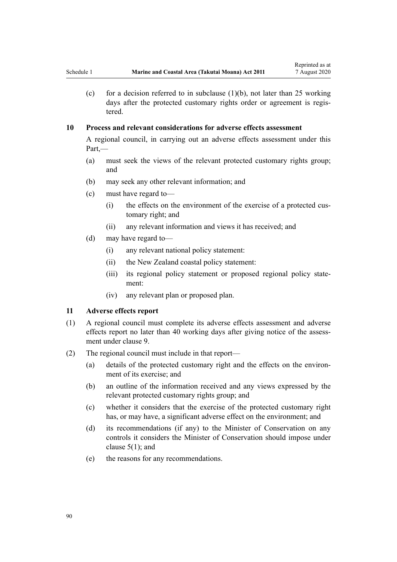(c) for a decision referred to in subclause  $(1)(b)$ , not later than 25 working days after the protected customary rights order or agreement is registered.

# **10 Process and relevant considerations for adverse effects assessment**

A regional council, in carrying out an adverse effects assessment under this Part,—

- (a) must seek the views of the relevant protected customary rights group; and
- (b) may seek any other relevant information; and
- (c) must have regard to—
	- (i) the effects on the environment of the exercise of a protected customary right; and
	- (ii) any relevant information and views it has received; and
- (d) may have regard to—
	- (i) any relevant national policy statement:
	- (ii) the New Zealand coastal policy statement:
	- (iii) its regional policy statement or proposed regional policy statement:
	- (iv) any relevant plan or proposed plan.

### **11 Adverse effects report**

- (1) A regional council must complete its adverse effects assessment and adverse effects report no later than 40 working days after giving notice of the assessment under [clause 9](#page-88-0).
- (2) The regional council must include in that report—
	- (a) details of the protected customary right and the effects on the environment of its exercise; and
	- (b) an outline of the information received and any views expressed by the relevant protected customary rights group; and
	- (c) whether it considers that the exercise of the protected customary right has, or may have, a significant adverse effect on the environment; and
	- (d) its recommendations (if any) to the Minister of Conservation on any controls it considers the Minister of Conservation should impose under [clause 5\(1\);](#page-86-0) and
	- (e) the reasons for any recommendations.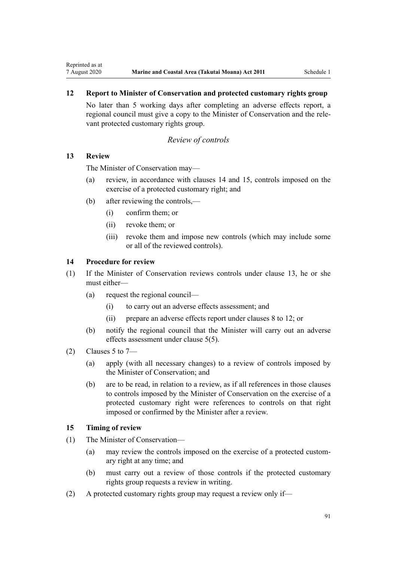# <span id="page-90-0"></span>**12 Report to Minister of Conservation and protected customary rights group**

No later than 5 working days after completing an adverse effects report, a regional council must give a copy to the Minister of Conservation and the relevant protected customary rights group.

# *Review of controls*

# **13 Review**

The Minister of Conservation may—

- (a) review, in accordance with clauses 14 and 15, controls imposed on the exercise of a protected customary right; and
- (b) after reviewing the controls,—
	- (i) confirm them; or
	- (ii) revoke them; or
	- (iii) revoke them and impose new controls (which may include some or all of the reviewed controls).

# **14 Procedure for review**

- (1) If the Minister of Conservation reviews controls under clause 13, he or she must either—
	- (a) request the regional council—
		- (i) to carry out an adverse effects assessment; and
		- (ii) prepare an adverse effects report under [clauses 8 to 12](#page-87-0); or
	- (b) notify the regional council that the Minister will carry out an adverse effects assessment under [clause 5\(5\)](#page-86-0).
- (2) Clauses 5 to  $7-$ 
	- (a) apply (with all necessary changes) to a review of controls imposed by the Minister of Conservation; and
	- (b) are to be read, in relation to a review, as if all references in those clauses to controls imposed by the Minister of Conservation on the exercise of a protected customary right were references to controls on that right imposed or confirmed by the Minister after a review.

# **15 Timing of review**

- (1) The Minister of Conservation—
	- (a) may review the controls imposed on the exercise of a protected customary right at any time; and
	- (b) must carry out a review of those controls if the protected customary rights group requests a review in writing.
- (2) A protected customary rights group may request a review only if—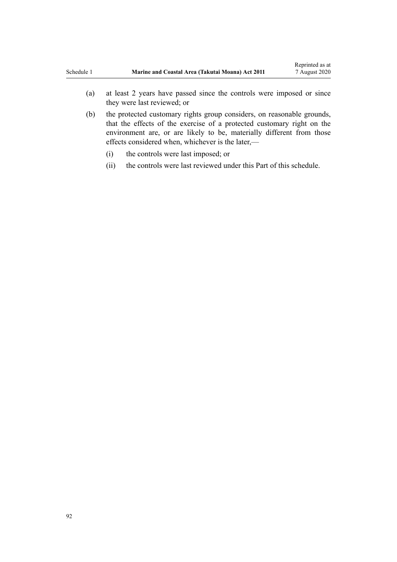- (a) at least 2 years have passed since the controls were imposed or since they were last reviewed; or
- (b) the protected customary rights group considers, on reasonable grounds, that the effects of the exercise of a protected customary right on the environment are, or are likely to be, materially different from those effects considered when, whichever is the later,—
	- (i) the controls were last imposed; or
	- (ii) the controls were last reviewed under this Part of this schedule.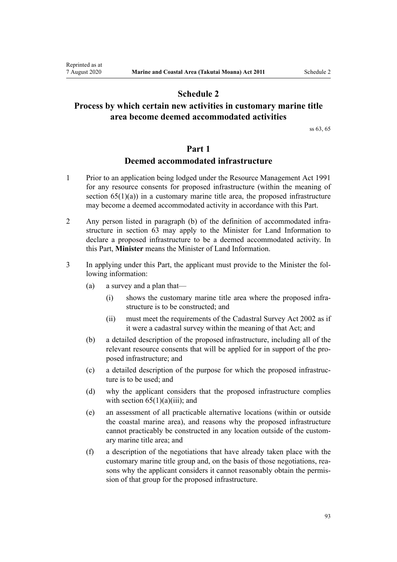# **Schedule 2**

# <span id="page-92-0"></span>**Process by which certain new activities in customary marine title area become deemed accommodated activities**

[ss 63,](#page-48-0) [65](#page-51-0)

# **Part 1**

# **Deemed accommodated infrastructure**

- 1 Prior to an application being lodged under the [Resource Management Act 1991](http://legislation.govt.nz/pdflink.aspx?id=DLM230264) for any resource consents for proposed infrastructure (within the meaning of section  $65(1)(a)$  in a customary marine title area, the proposed infrastructure may become a deemed accommodated activity in accordance with this Part.
- 2 Any person listed in paragraph (b) of the definition of accommodated infrastructure in [section 63](#page-48-0) may apply to the Minister for Land Information to declare a proposed infrastructure to be a deemed accommodated activity. In this Part, **Minister** means the Minister of Land Information.
- 3 In applying under this Part, the applicant must provide to the Minister the following information:
	- (a) a survey and a plan that—
		- (i) shows the customary marine title area where the proposed infrastructure is to be constructed; and
		- (ii) must meet the requirements of the [Cadastral Survey Act 2002](http://legislation.govt.nz/pdflink.aspx?id=DLM141994) as if it were a cadastral survey within the meaning of that Act; and
	- (b) a detailed description of the proposed infrastructure, including all of the relevant resource consents that will be applied for in support of the proposed infrastructure; and
	- (c) a detailed description of the purpose for which the proposed infrastructure is to be used; and
	- (d) why the applicant considers that the proposed infrastructure complies with section  $65(1)(a)(iii)$ ; and
	- (e) an assessment of all practicable alternative locations (within or outside the coastal marine area), and reasons why the proposed infrastructure cannot practicably be constructed in any location outside of the customary marine title area; and
	- (f) a description of the negotiations that have already taken place with the customary marine title group and, on the basis of those negotiations, reasons why the applicant considers it cannot reasonably obtain the permission of that group for the proposed infrastructure.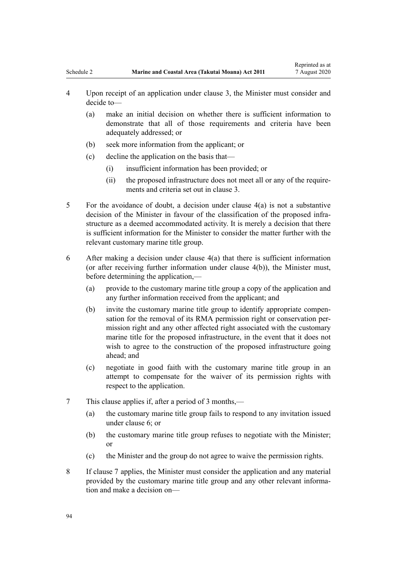- <span id="page-93-0"></span>4 Upon receipt of an application under clause 3, the Minister must consider and decide to—
	- (a) make an initial decision on whether there is sufficient information to demonstrate that all of those requirements and criteria have been adequately addressed; or
	- (b) seek more information from the applicant; or
	- (c) decline the application on the basis that—
		- (i) insufficient information has been provided; or
		- (ii) the proposed infrastructure does not meet all or any of the requirements and criteria set out in [clause 3.](#page-92-0)
- 5 For the avoidance of doubt, a decision under clause 4(a) is not a substantive decision of the Minister in favour of the classification of the proposed infrastructure as a deemed accommodated activity. It is merely a decision that there is sufficient information for the Minister to consider the matter further with the relevant customary marine title group.
- 6 After making a decision under clause 4(a) that there is sufficient information (or after receiving further information under clause 4(b)), the Minister must, before determining the application,—
	- (a) provide to the customary marine title group a copy of the application and any further information received from the applicant; and
	- (b) invite the customary marine title group to identify appropriate compensation for the removal of its RMA permission right or conservation permission right and any other affected right associated with the customary marine title for the proposed infrastructure, in the event that it does not wish to agree to the construction of the proposed infrastructure going ahead; and
	- (c) negotiate in good faith with the customary marine title group in an attempt to compensate for the waiver of its permission rights with respect to the application.
- 7 This clause applies if, after a period of 3 months,—
	- (a) the customary marine title group fails to respond to any invitation issued under clause 6; or
	- (b) the customary marine title group refuses to negotiate with the Minister; or
	- (c) the Minister and the group do not agree to waive the permission rights.
- 8 If clause 7 applies, the Minister must consider the application and any material provided by the customary marine title group and any other relevant information and make a decision on—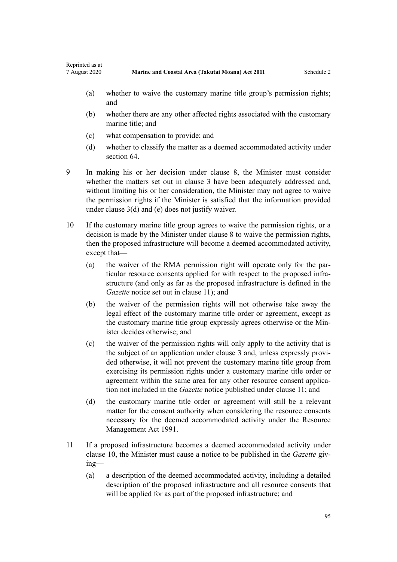- (a) whether to waive the customary marine title group's permission rights; and
- (b) whether there are any other affected rights associated with the customary marine title; and
- (c) what compensation to provide; and

Reprinted as at

- (d) whether to classify the matter as a deemed accommodated activity under [section 64](#page-50-0).
- 9 In making his or her decision under [clause 8,](#page-93-0) the Minister must consider whether the matters set out in [clause 3](#page-92-0) have been adequately addressed and, without limiting his or her consideration, the Minister may not agree to waive the permission rights if the Minister is satisfied that the information provided under [clause 3\(d\) and \(e\)](#page-92-0) does not justify waiver.
- 10 If the customary marine title group agrees to waive the permission rights, or a decision is made by the Minister under [clause 8](#page-93-0) to waive the permission rights, then the proposed infrastructure will become a deemed accommodated activity, except that—
	- (a) the waiver of the RMA permission right will operate only for the particular resource consents applied for with respect to the proposed infrastructure (and only as far as the proposed infrastructure is defined in the *Gazette* notice set out in clause 11); and
	- (b) the waiver of the permission rights will not otherwise take away the legal effect of the customary marine title order or agreement, except as the customary marine title group expressly agrees otherwise or the Minister decides otherwise; and
	- (c) the waiver of the permission rights will only apply to the activity that is the subject of an application under [clause 3](#page-92-0) and, unless expressly provided otherwise, it will not prevent the customary marine title group from exercising its permission rights under a customary marine title order or agreement within the same area for any other resource consent application not included in the *Gazette* notice published under clause 11; and
	- (d) the customary marine title order or agreement will still be a relevant matter for the consent authority when considering the resource consents necessary for the deemed accommodated activity under the [Resource](http://legislation.govt.nz/pdflink.aspx?id=DLM230264) [Management Act 1991.](http://legislation.govt.nz/pdflink.aspx?id=DLM230264)
- 11 If a proposed infrastructure becomes a deemed accommodated activity under clause 10, the Minister must cause a notice to be published in the *Gazette* giving—
	- (a) a description of the deemed accommodated activity, including a detailed description of the proposed infrastructure and all resource consents that will be applied for as part of the proposed infrastructure; and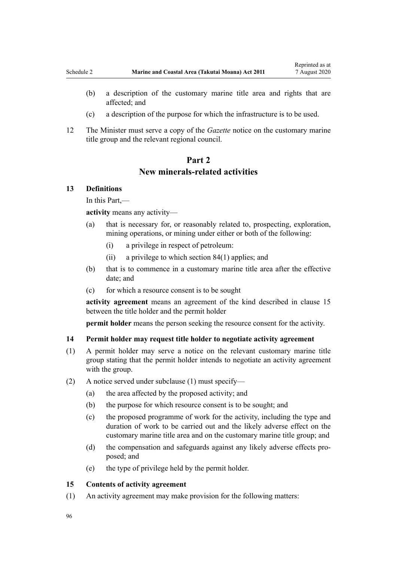- <span id="page-95-0"></span>(b) a description of the customary marine title area and rights that are affected; and
- (c) a description of the purpose for which the infrastructure is to be used.
- 12 The Minister must serve a copy of the *Gazette* notice on the customary marine title group and the relevant regional council.

# **Part 2 New minerals-related activities**

# **13 Definitions**

In this Part,—

**activity** means any activity—

- (a) that is necessary for, or reasonably related to, prospecting, exploration, mining operations, or mining under either or both of the following:
	- (i) a privilege in respect of petroleum:
	- (ii) a privilege to which [section 84\(1\)](#page-63-0) applies; and
- (b) that is to commence in a customary marine title area after the effective date; and
- (c) for which a resource consent is to be sought

**activity agreement** means an agreement of the kind described in clause 15 between the title holder and the permit holder

**permit holder** means the person seeking the resource consent for the activity.

# **14 Permit holder may request title holder to negotiate activity agreement**

- (1) A permit holder may serve a notice on the relevant customary marine title group stating that the permit holder intends to negotiate an activity agreement with the group.
- (2) A notice served under subclause (1) must specify—
	- (a) the area affected by the proposed activity; and
	- (b) the purpose for which resource consent is to be sought; and
	- (c) the proposed programme of work for the activity, including the type and duration of work to be carried out and the likely adverse effect on the customary marine title area and on the customary marine title group; and
	- (d) the compensation and safeguards against any likely adverse effects proposed; and
	- (e) the type of privilege held by the permit holder.

### **15 Contents of activity agreement**

(1) An activity agreement may make provision for the following matters: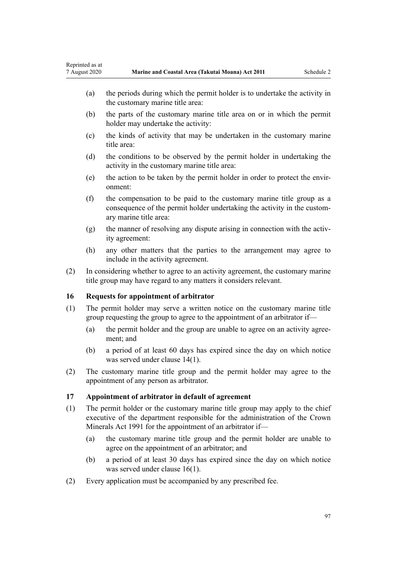- <span id="page-96-0"></span>(a) the periods during which the permit holder is to undertake the activity in the customary marine title area:
- (b) the parts of the customary marine title area on or in which the permit holder may undertake the activity:
- (c) the kinds of activity that may be undertaken in the customary marine title area:
- (d) the conditions to be observed by the permit holder in undertaking the activity in the customary marine title area:
- (e) the action to be taken by the permit holder in order to protect the environment:
- (f) the compensation to be paid to the customary marine title group as a consequence of the permit holder undertaking the activity in the customary marine title area:
- (g) the manner of resolving any dispute arising in connection with the activity agreement:
- (h) any other matters that the parties to the arrangement may agree to include in the activity agreement.
- (2) In considering whether to agree to an activity agreement, the customary marine title group may have regard to any matters it considers relevant.

# **16 Requests for appointment of arbitrator**

- (1) The permit holder may serve a written notice on the customary marine title group requesting the group to agree to the appointment of an arbitrator if—
	- (a) the permit holder and the group are unable to agree on an activity agreement; and
	- (b) a period of at least 60 days has expired since the day on which notice was served under [clause 14\(1\)](#page-95-0).
- (2) The customary marine title group and the permit holder may agree to the appointment of any person as arbitrator.

# **17 Appointment of arbitrator in default of agreement**

- (1) The permit holder or the customary marine title group may apply to the chief executive of the department responsible for the administration of the [Crown](http://legislation.govt.nz/pdflink.aspx?id=DLM242535) [Minerals Act 1991](http://legislation.govt.nz/pdflink.aspx?id=DLM242535) for the appointment of an arbitrator if—
	- (a) the customary marine title group and the permit holder are unable to agree on the appointment of an arbitrator; and
	- (b) a period of at least 30 days has expired since the day on which notice was served under clause 16(1).
- (2) Every application must be accompanied by any prescribed fee.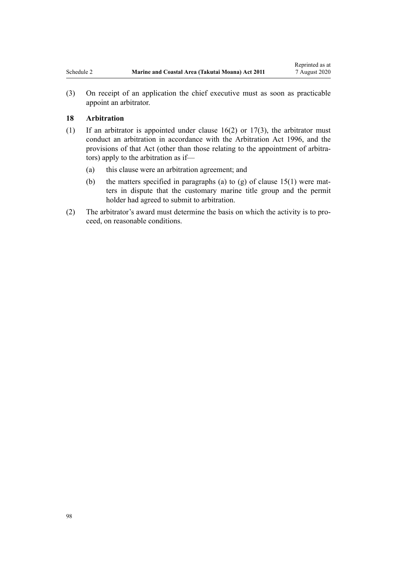(3) On receipt of an application the chief executive must as soon as practicable appoint an arbitrator.

### **18 Arbitration**

- (1) If an arbitrator is appointed under [clause 16\(2\)](#page-96-0) or [17\(3\),](#page-96-0) the arbitrator must conduct an arbitration in accordance with the [Arbitration Act 1996](http://legislation.govt.nz/pdflink.aspx?id=DLM403276), and the provisions of that Act (other than those relating to the appointment of arbitrators) apply to the arbitration as if—
	- (a) this clause were an arbitration agreement; and
	- (b) the matters specified in paragraphs (a) to (g) of clause  $15(1)$  were matters in dispute that the customary marine title group and the permit holder had agreed to submit to arbitration.
- (2) The arbitrator's award must determine the basis on which the activity is to proceed, on reasonable conditions.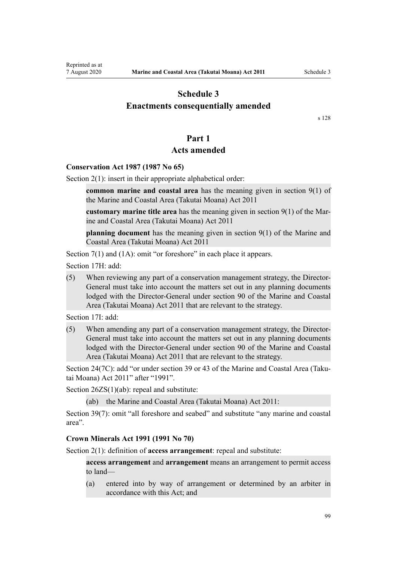# <span id="page-98-0"></span>**Schedule 3 Enactments consequentially amended**

[s 128](#page-83-0)

# **Part 1**

# **Acts amended**

### **Conservation Act 1987 (1987 No 65)**

[Section 2\(1\):](http://legislation.govt.nz/pdflink.aspx?id=DLM103616) insert in their appropriate alphabetical order:

**common marine and coastal area** has the meaning given in section 9(1) of the Marine and Coastal Area (Takutai Moana) Act 2011

**customary marine title area** has the meaning given in section 9(1) of the Marine and Coastal Area (Takutai Moana) Act 2011

**planning document** has the meaning given in section 9(1) of the Marine and Coastal Area (Takutai Moana) Act 2011

[Section 7\(1\)](http://legislation.govt.nz/pdflink.aspx?id=DLM104251) and (1A): omit "or foreshore" in each place it appears.

[Section 17H](http://legislation.govt.nz/pdflink.aspx?id=DLM104613): add:

(5) When reviewing any part of a conservation management strategy, the Director-General must take into account the matters set out in any planning documents lodged with the Director-General under section 90 of the Marine and Coastal Area (Takutai Moana) Act 2011 that are relevant to the strategy.

[Section 17I:](http://legislation.govt.nz/pdflink.aspx?id=DLM104615) add:

(5) When amending any part of a conservation management strategy, the Director-General must take into account the matters set out in any planning documents lodged with the Director-General under section 90 of the Marine and Coastal Area (Takutai Moana) Act 2011 that are relevant to the strategy.

[Section 24\(7C\)](http://legislation.govt.nz/pdflink.aspx?id=DLM104699): add "or under section 39 or 43 of the Marine and Coastal Area (Takutai Moana) Act 2011" after "1991".

[Section 26ZS\(1\)\(ab\)](http://legislation.govt.nz/pdflink.aspx?id=DLM106043): repeal and substitute:

(ab) the Marine and Coastal Area (Takutai Moana) Act 2011:

[Section 39\(7\):](http://legislation.govt.nz/pdflink.aspx?id=DLM106641) omit "all foreshore and seabed" and substitute "any marine and coastal area".

#### **Crown Minerals Act 1991 (1991 No 70)**

[Section 2\(1\):](http://legislation.govt.nz/pdflink.aspx?id=DLM242543) definition of **access arrangement**: repeal and substitute:

**access arrangement** and **arrangement** means an arrangement to permit access to land—

(a) entered into by way of arrangement or determined by an arbiter in accordance with this Act; and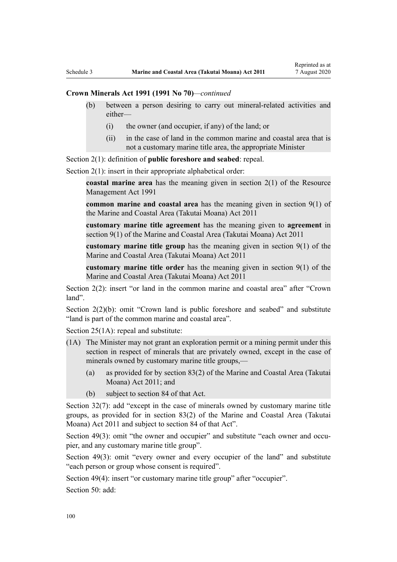## **Crown Minerals Act 1991 (1991 No 70)***—continued*

- (b) between a person desiring to carry out mineral-related activities and either—
	- (i) the owner (and occupier, if any) of the land; or
	- (ii) in the case of land in the common marine and coastal area that is not a customary marine title area, the appropriate Minister

[Section 2\(1\):](http://legislation.govt.nz/pdflink.aspx?id=DLM242543) definition of **public foreshore and seabed**: repeal.

[Section 2\(1\):](http://legislation.govt.nz/pdflink.aspx?id=DLM242543) insert in their appropriate alphabetical order:

**coastal marine area** has the meaning given in section 2(1) of the Resource Management Act 1991

**common marine and coastal area** has the meaning given in section 9(1) of the Marine and Coastal Area (Takutai Moana) Act 2011

**customary marine title agreement** has the meaning given to **agreement** in section 9(1) of the Marine and Coastal Area (Takutai Moana) Act 2011

**customary marine title group** has the meaning given in section 9(1) of the Marine and Coastal Area (Takutai Moana) Act 2011

**customary marine title order** has the meaning given in section 9(1) of the Marine and Coastal Area (Takutai Moana) Act 2011

[Section 2\(2\)](http://legislation.govt.nz/pdflink.aspx?id=DLM242543): insert "or land in the common marine and coastal area" after "Crown land".

[Section 2\(2\)\(b\)](http://legislation.govt.nz/pdflink.aspx?id=DLM242543): omit "Crown land is public foreshore and seabed" and substitute "land is part of the common marine and coastal area".

[Section 25\(1A\):](http://legislation.govt.nz/pdflink.aspx?id=DLM246328) repeal and substitute:

- (1A) The Minister may not grant an exploration permit or a mining permit under this section in respect of minerals that are privately owned, except in the case of minerals owned by customary marine title groups,—
	- (a) as provided for by section 83(2) of the Marine and Coastal Area (Takutai Moana) Act 2011; and
	- (b) subject to section 84 of that Act.

[Section 32\(7\):](http://legislation.govt.nz/pdflink.aspx?id=DLM246341) add "except in the case of minerals owned by customary marine title groups, as provided for in section 83(2) of the Marine and Coastal Area (Takutai Moana) Act 2011 and subject to section 84 of that Act".

[Section 49\(3\)](http://legislation.govt.nz/pdflink.aspx?id=DLM246396): omit "the owner and occupier" and substitute "each owner and occupier, and any customary marine title group".

[Section 49\(3\):](http://legislation.govt.nz/pdflink.aspx?id=DLM246396) omit "every owner and every occupier of the land" and substitute "each person or group whose consent is required".

[Section 49\(4\)](http://legislation.govt.nz/pdflink.aspx?id=DLM246396): insert "or customary marine title group" after "occupier".

[Section 50](http://legislation.govt.nz/pdflink.aspx?id=DLM246397): add: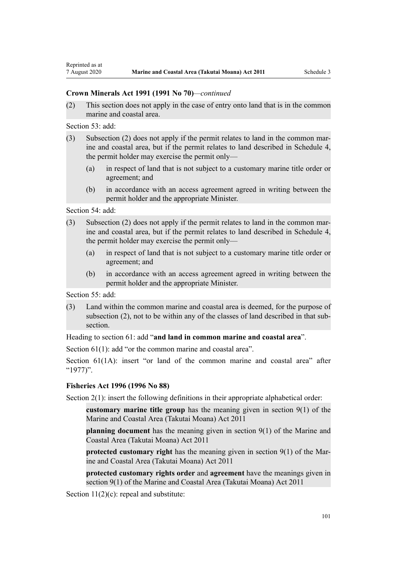### **Crown Minerals Act 1991 (1991 No 70)***—continued*

(2) This section does not apply in the case of entry onto land that is in the common marine and coastal area.

[Section 53](http://legislation.govt.nz/pdflink.aspx?id=DLM246703): add:

- (3) Subsection (2) does not apply if the permit relates to land in the common marine and coastal area, but if the permit relates to land described in Schedule 4, the permit holder may exercise the permit only—
	- (a) in respect of land that is not subject to a customary marine title order or agreement; and
	- (b) in accordance with an access agreement agreed in writing between the permit holder and the appropriate Minister.

[Section 54](http://legislation.govt.nz/pdflink.aspx?id=DLM246704): add:

- (3) Subsection (2) does not apply if the permit relates to land in the common marine and coastal area, but if the permit relates to land described in Schedule 4, the permit holder may exercise the permit only—
	- (a) in respect of land that is not subject to a customary marine title order or agreement; and
	- (b) in accordance with an access agreement agreed in writing between the permit holder and the appropriate Minister.

[Section 55](http://legislation.govt.nz/pdflink.aspx?id=DLM246706): add:

(3) Land within the common marine and coastal area is deemed, for the purpose of subsection (2), not to be within any of the classes of land described in that subsection.

Heading to [section 61:](http://legislation.govt.nz/pdflink.aspx?id=DLM246714) add "**and land in common marine and coastal area**".

[Section 61\(1\)](http://legislation.govt.nz/pdflink.aspx?id=DLM246714): add "or the common marine and coastal area".

[Section 61\(1A\)](http://legislation.govt.nz/pdflink.aspx?id=DLM246714): insert "or land of the common marine and coastal area" after "1977)".

### **Fisheries Act 1996 (1996 No 88)**

[Section 2\(1\):](http://legislation.govt.nz/pdflink.aspx?id=DLM394199) insert the following definitions in their appropriate alphabetical order:

**customary marine title group** has the meaning given in section 9(1) of the Marine and Coastal Area (Takutai Moana) Act 2011

**planning document** has the meaning given in section 9(1) of the Marine and Coastal Area (Takutai Moana) Act 2011

**protected customary right** has the meaning given in section 9(1) of the Marine and Coastal Area (Takutai Moana) Act 2011

**protected customary rights order** and **agreement** have the meanings given in section 9(1) of the Marine and Coastal Area (Takutai Moana) Act 2011

[Section 11\(2\)\(c\):](http://legislation.govt.nz/pdflink.aspx?id=DLM395397) repeal and substitute: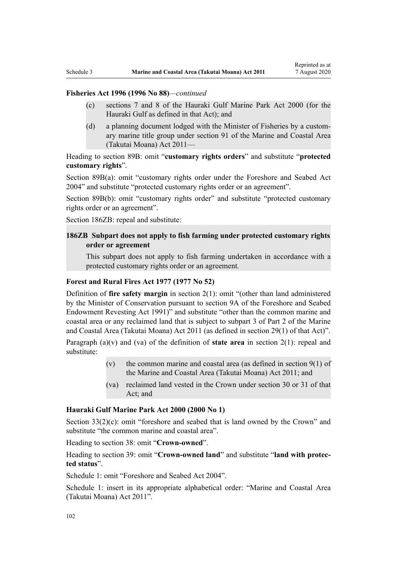# **Fisheries Act 1996 (1996 No 88)***—continued*

- (c) sections 7 and 8 of the Hauraki Gulf Marine Park Act 2000 (for the Hauraki Gulf as defined in that Act); and
- (d) a planning document lodged with the Minister of Fisheries by a customary marine title group under section 91 of the Marine and Coastal Area (Takutai Moana) Act 2011—

Heading to [section 89B](http://legislation.govt.nz/pdflink.aspx?id=DLM396920): omit "**customary rights orders**" and substitute "**protected customary rights**".

[Section 89B\(a\)](http://legislation.govt.nz/pdflink.aspx?id=DLM396920): omit "customary rights order under the Foreshore and Seabed Act 2004" and substitute "protected customary rights order or an agreement".

[Section 89B\(b\):](http://legislation.govt.nz/pdflink.aspx?id=DLM396920) omit "customary rights order" and substitute "protected customary rights order or an agreement".

[Section 186ZB:](http://legislation.govt.nz/pdflink.aspx?id=DLM398342) repeal and substitute:

# **186ZB Subpart does not apply to fish farming under protected customary rights order or agreement**

This subpart does not apply to fish farming undertaken in accordance with a protected customary rights order or an agreement.

## **Forest and Rural Fires Act 1977 (1977 No 52)**

Definition of **fire safety margin** in [section 2\(1\):](http://legislation.govt.nz/pdflink.aspx?id=DLM442952) omit "(other than land administered by the Minister of Conservation pursuant to section 9A of the Foreshore and Seabed Endowment Revesting Act 1991)" and substitute "other than the common marine and coastal area or any reclaimed land that is subject to subpart 3 of Part 2 of the Marine and Coastal Area (Takutai Moana) Act 2011 (as defined in section 29(1) of that Act)".

Paragraph (a)(v) and (va) of the definition of **state area** in [section 2\(1\):](http://legislation.govt.nz/pdflink.aspx?id=DLM442952) repeal and substitute:

- (v) the common marine and coastal area (as defined in section  $9(1)$  of the Marine and Coastal Area (Takutai Moana) Act 2011; and
- (va) reclaimed land vested in the Crown under section 30 or 31 of that Act; and

#### **Hauraki Gulf Marine Park Act 2000 (2000 No 1)**

[Section 33\(2\)\(c\)](http://legislation.govt.nz/pdflink.aspx?id=DLM53174): omit "foreshore and seabed that is land owned by the Crown" and substitute "the common marine and coastal area".

Heading to [section 38:](http://legislation.govt.nz/pdflink.aspx?id=DLM53180) omit "**Crown-owned**".

Heading to [section 39:](http://legislation.govt.nz/pdflink.aspx?id=DLM53181) omit "**Crown-owned land**" and substitute "**land with protected status**".

[Schedule 1:](http://legislation.govt.nz/pdflink.aspx?id=DLM53199) omit "Foreshore and Seabed Act 2004".

[Schedule 1:](http://legislation.govt.nz/pdflink.aspx?id=DLM53199) insert in its appropriate alphabetical order: "Marine and Coastal Area (Takutai Moana) Act 2011".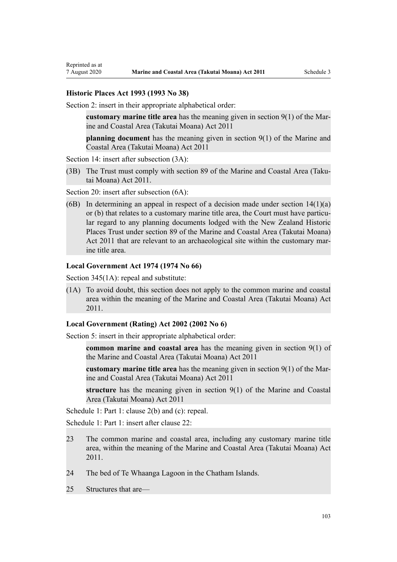#### **Historic Places Act 1993 (1993 No 38)**

[Section 2](http://legislation.govt.nz/pdflink.aspx?id=DLM300516): insert in their appropriate alphabetical order:

**customary marine title area** has the meaning given in section 9(1) of the Marine and Coastal Area (Takutai Moana) Act 2011

**planning document** has the meaning given in section 9(1) of the Marine and Coastal Area (Takutai Moana) Act 2011

[Section 14](http://legislation.govt.nz/pdflink.aspx?id=DLM300610): insert after subsection  $(3A)$ :

(3B) The Trust must comply with section 89 of the Marine and Coastal Area (Takutai Moana) Act 2011.

[Section 20](http://legislation.govt.nz/pdflink.aspx?id=DLM300622): insert after subsection  $(6A)$ :

(6B) In determining an appeal in respect of a decision made under section  $14(1)(a)$ or (b) that relates to a customary marine title area, the Court must have particular regard to any planning documents lodged with the New Zealand Historic Places Trust under section 89 of the Marine and Coastal Area (Takutai Moana) Act 2011 that are relevant to an archaeological site within the customary marine title area.

#### **Local Government Act 1974 (1974 No 66)**

[Section 345\(1A\):](http://legislation.govt.nz/pdflink.aspx?id=DLM420626) repeal and substitute:

(1A) To avoid doubt, this section does not apply to the common marine and coastal area within the meaning of the Marine and Coastal Area (Takutai Moana) Act 2011.

## **Local Government (Rating) Act 2002 (2002 No 6)**

[Section 5](http://legislation.govt.nz/pdflink.aspx?id=DLM132004): insert in their appropriate alphabetical order:

**common marine and coastal area** has the meaning given in section 9(1) of the Marine and Coastal Area (Takutai Moana) Act 2011

**customary marine title area** has the meaning given in section 9(1) of the Marine and Coastal Area (Takutai Moana) Act 2011

**structure** has the meaning given in section 9(1) of the Marine and Coastal Area (Takutai Moana) Act 2011

[Schedule 1:](http://legislation.govt.nz/pdflink.aspx?id=DLM133512) Part 1: clause 2(b) and (c): repeal.

[Schedule 1:](http://legislation.govt.nz/pdflink.aspx?id=DLM133512) Part 1: insert after clause 22:

- 23 The common marine and coastal area, including any customary marine title area, within the meaning of the Marine and Coastal Area (Takutai Moana) Act 2011.
- 24 The bed of Te Whaanga Lagoon in the Chatham Islands.
- 25 Structures that are—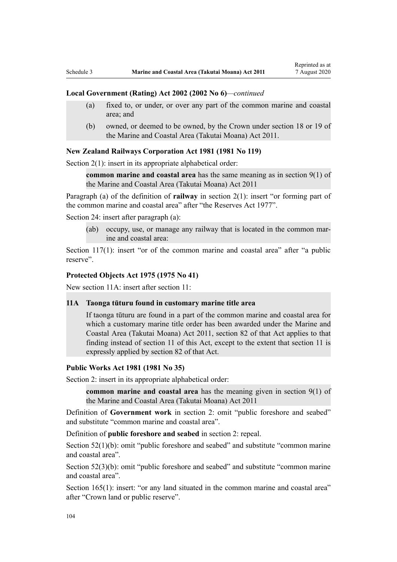#### **Local Government (Rating) Act 2002 (2002 No 6)***—continued*

- (a) fixed to, or under, or over any part of the common marine and coastal area; and
- (b) owned, or deemed to be owned, by the Crown under section 18 or 19 of the Marine and Coastal Area (Takutai Moana) Act 2011.

# **New Zealand Railways Corporation Act 1981 (1981 No 119)**

[Section 2\(1\):](http://legislation.govt.nz/pdflink.aspx?id=DLM57011) insert in its appropriate alphabetical order:

**common marine and coastal area** has the same meaning as in section 9(1) of the Marine and Coastal Area (Takutai Moana) Act 2011

Paragraph (a) of the definition of **railway** in section 2(1): insert "or forming part of the common marine and coastal area" after "the Reserves Act 1977".

[Section 24](http://legislation.govt.nz/pdflink.aspx?id=DLM57642): insert after paragraph (a):

(ab) occupy, use, or manage any railway that is located in the common marine and coastal area:

[Section 117\(1\):](http://legislation.govt.nz/pdflink.aspx?id=DLM58268) insert "or of the common marine and coastal area" after "a public reserve".

### **Protected Objects Act 1975 (1975 No 41)**

New section 11A: insert after [section 11:](http://legislation.govt.nz/pdflink.aspx?id=DLM432422)

# **11A Taonga tūturu found in customary marine title area**

If taonga tūturu are found in a part of the common marine and coastal area for which a customary marine title order has been awarded under the Marine and Coastal Area (Takutai Moana) Act 2011, section 82 of that Act applies to that finding instead of section 11 of this Act, except to the extent that section 11 is expressly applied by section 82 of that Act.

#### **Public Works Act 1981 (1981 No 35)**

[Section 2](http://legislation.govt.nz/pdflink.aspx?id=DLM45433): insert in its appropriate alphabetical order:

**common marine and coastal area** has the meaning given in section 9(1) of the Marine and Coastal Area (Takutai Moana) Act 2011

Definition of **Government work** in section 2: omit "public foreshore and seabed" and substitute "common marine and coastal area".

Definition of **public foreshore and seabed** in section 2: repeal.

[Section 52\(1\)\(b\)](http://legislation.govt.nz/pdflink.aspx?id=DLM46307): omit "public foreshore and seabed" and substitute "common marine" and coastal area".

[Section 52\(3\)\(b\)](http://legislation.govt.nz/pdflink.aspx?id=DLM46307): omit "public foreshore and seabed" and substitute "common marine and coastal area".

[Section 165\(1\):](http://legislation.govt.nz/pdflink.aspx?id=DLM47750) insert: "or any land situated in the common marine and coastal area" after "Crown land or public reserve".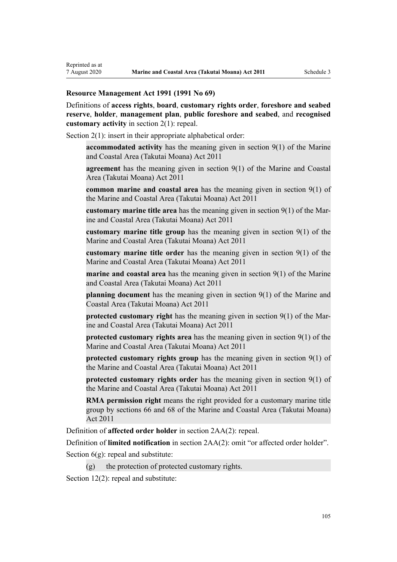# **Resource Management Act 1991 (1991 No 69)**

Definitions of **access rights**, **board**, **customary rights order**, **foreshore and seabed reserve**, **holder**, **management plan**, **public foreshore and seabed**, and **recognised customary activity** in [section 2\(1\):](http://legislation.govt.nz/pdflink.aspx?id=DLM230272) repeal.

[Section 2\(1\):](http://legislation.govt.nz/pdflink.aspx?id=DLM230272) insert in their appropriate alphabetical order:

**accommodated activity** has the meaning given in section 9(1) of the Marine and Coastal Area (Takutai Moana) Act 2011

**agreement** has the meaning given in section 9(1) of the Marine and Coastal Area (Takutai Moana) Act 2011

**common marine and coastal area** has the meaning given in section 9(1) of the Marine and Coastal Area (Takutai Moana) Act 2011

**customary marine title area** has the meaning given in section 9(1) of the Marine and Coastal Area (Takutai Moana) Act 2011

**customary marine title group** has the meaning given in section 9(1) of the Marine and Coastal Area (Takutai Moana) Act 2011

**customary marine title order** has the meaning given in section 9(1) of the Marine and Coastal Area (Takutai Moana) Act 2011

**marine and coastal area** has the meaning given in section 9(1) of the Marine and Coastal Area (Takutai Moana) Act 2011

**planning document** has the meaning given in section 9(1) of the Marine and Coastal Area (Takutai Moana) Act 2011

**protected customary right** has the meaning given in section 9(1) of the Marine and Coastal Area (Takutai Moana) Act 2011

**protected customary rights area** has the meaning given in section 9(1) of the Marine and Coastal Area (Takutai Moana) Act 2011

**protected customary rights group** has the meaning given in section 9(1) of the Marine and Coastal Area (Takutai Moana) Act 2011

**protected customary rights order** has the meaning given in section 9(1) of the Marine and Coastal Area (Takutai Moana) Act 2011

**RMA permission right** means the right provided for a customary marine title group by sections 66 and 68 of the Marine and Coastal Area (Takutai Moana) Act 2011

Definition of **affected order holder** in [section 2AA\(2\):](http://legislation.govt.nz/pdflink.aspx?id=DLM2408220) repeal.

Definition of **limited notification** in [section 2AA\(2\)](http://legislation.govt.nz/pdflink.aspx?id=DLM2408220): omit "or affected order holder".

Section  $6(g)$ : repeal and substitute:

 $(g)$  the protection of protected customary rights.

[Section 12\(2\)](http://legislation.govt.nz/pdflink.aspx?id=DLM231949): repeal and substitute: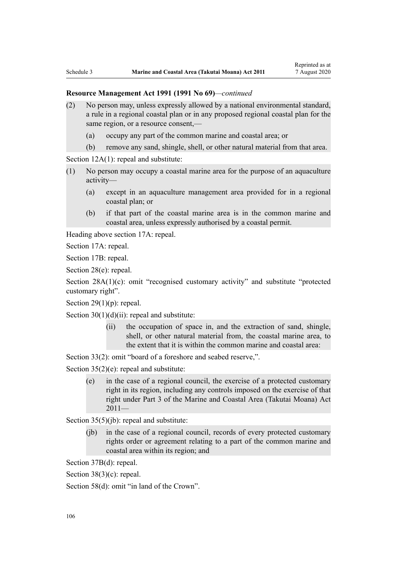- (2) No person may, unless expressly allowed by a national environmental standard, a rule in a regional coastal plan or in any proposed regional coastal plan for the same region, or a resource consent,—
	- (a) occupy any part of the common marine and coastal area; or
	- (b) remove any sand, shingle, shell, or other natural material from that area.

[Section 12A\(1\):](http://legislation.govt.nz/pdflink.aspx?id=DLM231965) repeal and substitute:

- (1) No person may occupy a coastal marine area for the purpose of an aquaculture activity—
	- (a) except in an aquaculture management area provided for in a regional coastal plan; or
	- (b) if that part of the coastal marine area is in the common marine and coastal area, unless expressly authorised by a coastal permit.

Heading above [section 17A:](http://legislation.govt.nz/pdflink.aspx?id=DLM232508) repeal.

[Section 17A](http://legislation.govt.nz/pdflink.aspx?id=DLM232508): repeal.

[Section 17B:](http://legislation.govt.nz/pdflink.aspx?id=DLM232510) repeal.

[Section 28\(e\):](http://legislation.govt.nz/pdflink.aspx?id=DLM232548) repeal.

[Section 28A\(1\)\(c\):](http://legislation.govt.nz/pdflink.aspx?id=DLM232552) omit "recognised customary activity" and substitute "protected customary right".

Section  $29(1)(p)$ : repeal.

Section  $30(1)(d)(ii)$ : repeal and substitute:

(ii) the occupation of space in, and the extraction of sand, shingle, shell, or other natural material from, the coastal marine area, to the extent that it is within the common marine and coastal area:

[Section 33\(2\)](http://legislation.govt.nz/pdflink.aspx?id=DLM232593): omit "board of a foreshore and seabed reserve,".

[Section 35\(2\)\(e\)](http://legislation.govt.nz/pdflink.aspx?id=DLM233009): repeal and substitute:

(e) in the case of a regional council, the exercise of a protected customary right in its region, including any controls imposed on the exercise of that right under Part 3 of the Marine and Coastal Area (Takutai Moana) Act  $2011-$ 

[Section 35\(5\)\(jb\)](http://legislation.govt.nz/pdflink.aspx?id=DLM233009): repeal and substitute:

(jb) in the case of a regional council, records of every protected customary rights order or agreement relating to a part of the common marine and coastal area within its region; and

[Section 37B\(d\)](http://legislation.govt.nz/pdflink.aspx?id=DLM233052): repeal.

[Section 38\(3\)\(c\)](http://legislation.govt.nz/pdflink.aspx?id=DLM233057): repeal.

[Section 58\(d\)](http://legislation.govt.nz/pdflink.aspx?id=DLM233381): omit "in land of the Crown".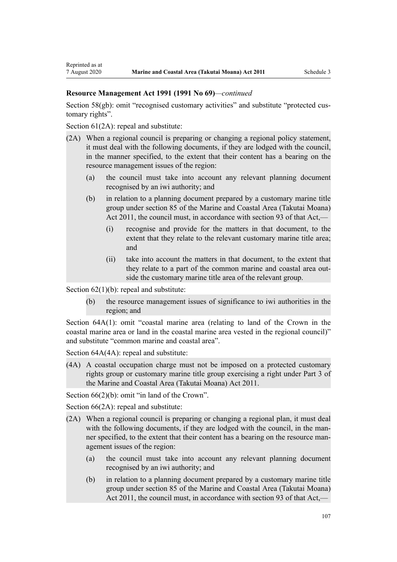### **Resource Management Act 1991 (1991 No 69)***—continued*

[Section 58\(gb\):](http://legislation.govt.nz/pdflink.aspx?id=DLM233381) omit "recognised customary activities" and substitute "protected customary rights".

[Section 61\(2A\):](http://legislation.govt.nz/pdflink.aspx?id=DLM233389) repeal and substitute:

- (2A) When a regional council is preparing or changing a regional policy statement, it must deal with the following documents, if they are lodged with the council, in the manner specified, to the extent that their content has a bearing on the resource management issues of the region:
	- (a) the council must take into account any relevant planning document recognised by an iwi authority; and
	- (b) in relation to a planning document prepared by a customary marine title group under section 85 of the Marine and Coastal Area (Takutai Moana) Act 2011, the council must, in accordance with section 93 of that Act,—
		- (i) recognise and provide for the matters in that document, to the extent that they relate to the relevant customary marine title area; and
		- (ii) take into account the matters in that document, to the extent that they relate to a part of the common marine and coastal area outside the customary marine title area of the relevant group.

Section  $62(1)(b)$ : repeal and substitute:

(b) the resource management issues of significance to iwi authorities in the region; and

[Section 64A\(1\)](http://legislation.govt.nz/pdflink.aspx?id=DLM233610): omit "coastal marine area (relating to land of the Crown in the coastal marine area or land in the coastal marine area vested in the regional council)" and substitute "common marine and coastal area".

[Section 64A\(4A\)](http://legislation.govt.nz/pdflink.aspx?id=DLM233610): repeal and substitute:

(4A) A coastal occupation charge must not be imposed on a protected customary rights group or customary marine title group exercising a right under Part 3 of the Marine and Coastal Area (Takutai Moana) Act 2011.

[Section 66\(2\)\(b\):](http://legislation.govt.nz/pdflink.aspx?id=DLM233620) omit "in land of the Crown".

[Section 66\(2A\):](http://legislation.govt.nz/pdflink.aspx?id=DLM233620) repeal and substitute:

- (2A) When a regional council is preparing or changing a regional plan, it must deal with the following documents, if they are lodged with the council, in the manner specified, to the extent that their content has a bearing on the resource management issues of the region:
	- (a) the council must take into account any relevant planning document recognised by an iwi authority; and
	- (b) in relation to a planning document prepared by a customary marine title group under section 85 of the Marine and Coastal Area (Takutai Moana) Act 2011, the council must, in accordance with section 93 of that Act,—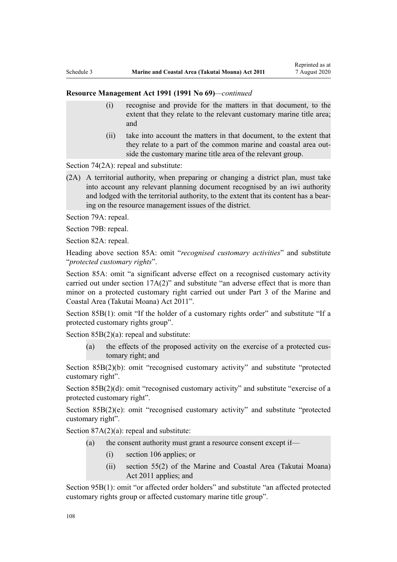#### **Resource Management Act 1991 (1991 No 69)***—continued*

- (i) recognise and provide for the matters in that document, to the extent that they relate to the relevant customary marine title area; and
- (ii) take into account the matters in that document, to the extent that they relate to a part of the common marine and coastal area outside the customary marine title area of the relevant group.

[Section 74\(2A\):](http://legislation.govt.nz/pdflink.aspx?id=DLM233671) repeal and substitute:

(2A) A territorial authority, when preparing or changing a district plan, must take into account any relevant planning document recognised by an iwi authority and lodged with the territorial authority, to the extent that its content has a bearing on the resource management issues of the district.

[Section 79A](http://legislation.govt.nz/pdflink.aspx?id=DLM233815): repeal.

[Section 79B:](http://legislation.govt.nz/pdflink.aspx?id=DLM233818) repeal.

[Section 82A](http://legislation.govt.nz/pdflink.aspx?id=DLM233827): repeal.

Heading above [section 85A](http://legislation.govt.nz/pdflink.aspx?id=DLM233840): omit "*recognised customary activities*" and substitute "*protected customary rights*".

[Section 85A](http://legislation.govt.nz/pdflink.aspx?id=DLM233840): omit "a significant adverse effect on a recognised customary activity carried out under section 17A(2)" and substitute "an adverse effect that is more than minor on a protected customary right carried out under Part 3 of the Marine and Coastal Area (Takutai Moana) Act 2011".

[Section 85B\(1\)](http://legislation.govt.nz/pdflink.aspx?id=DLM233842): omit "If the holder of a customary rights order" and substitute "If a protected customary rights group".

[Section 85B\(2\)\(a\):](http://legislation.govt.nz/pdflink.aspx?id=DLM233842) repeal and substitute:

(a) the effects of the proposed activity on the exercise of a protected customary right; and

[Section 85B\(2\)\(b\):](http://legislation.govt.nz/pdflink.aspx?id=DLM233842) omit "recognised customary activity" and substitute "protected customary right".

[Section 85B\(2\)\(d\):](http://legislation.govt.nz/pdflink.aspx?id=DLM233842) omit "recognised customary activity" and substitute "exercise of a protected customary right".

[Section 85B\(2\)\(e\)](http://legislation.govt.nz/pdflink.aspx?id=DLM233842): omit "recognised customary activity" and substitute "protected customary right".

Section  $87A(2)(a)$ : repeal and substitute:

- (a) the consent authority must grant a resource consent except if—
	- (i) section 106 applies; or
	- (ii) section 55(2) of the Marine and Coastal Area (Takutai Moana) Act 2011 applies; and

[Section 95B\(1\)](http://legislation.govt.nz/pdflink.aspx?id=DLM2416410): omit "or affected order holders" and substitute "an affected protected customary rights group or affected customary marine title group".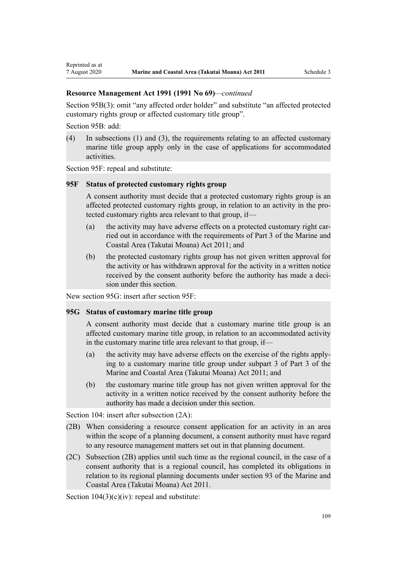[Section 95B\(3\)](http://legislation.govt.nz/pdflink.aspx?id=DLM2416410): omit "any affected order holder" and substitute "an affected protected customary rights group or affected customary title group".

[Section 95B:](http://legislation.govt.nz/pdflink.aspx?id=DLM2416410) add:

Reprinted as at

(4) In subsections (1) and (3), the requirements relating to an affected customary marine title group apply only in the case of applications for accommodated activities.

[Section 95F](http://legislation.govt.nz/pdflink.aspx?id=DLM2416414): repeal and substitute:

### **95F Status of protected customary rights group**

A consent authority must decide that a protected customary rights group is an affected protected customary rights group, in relation to an activity in the protected customary rights area relevant to that group, if—

- (a) the activity may have adverse effects on a protected customary right carried out in accordance with the requirements of Part 3 of the Marine and Coastal Area (Takutai Moana) Act 2011; and
- (b) the protected customary rights group has not given written approval for the activity or has withdrawn approval for the activity in a written notice received by the consent authority before the authority has made a decision under this section.

New section 95G: insert after [section 95F:](http://legislation.govt.nz/pdflink.aspx?id=DLM2416414)

## **95G Status of customary marine title group**

A consent authority must decide that a customary marine title group is an affected customary marine title group, in relation to an accommodated activity in the customary marine title area relevant to that group, if—

- (a) the activity may have adverse effects on the exercise of the rights applying to a customary marine title group under subpart 3 of Part 3 of the Marine and Coastal Area (Takutai Moana) Act 2011; and
- (b) the customary marine title group has not given written approval for the activity in a written notice received by the consent authority before the authority has made a decision under this section.

[Section 104:](http://legislation.govt.nz/pdflink.aspx?id=DLM234355) insert after subsection  $(2A)$ :

- (2B) When considering a resource consent application for an activity in an area within the scope of a planning document, a consent authority must have regard to any resource management matters set out in that planning document.
- (2C) Subsection (2B) applies until such time as the regional council, in the case of a consent authority that is a regional council, has completed its obligations in relation to its regional planning documents under section 93 of the Marine and Coastal Area (Takutai Moana) Act 2011.

Section  $104(3)(c)(iv)$ : repeal and substitute: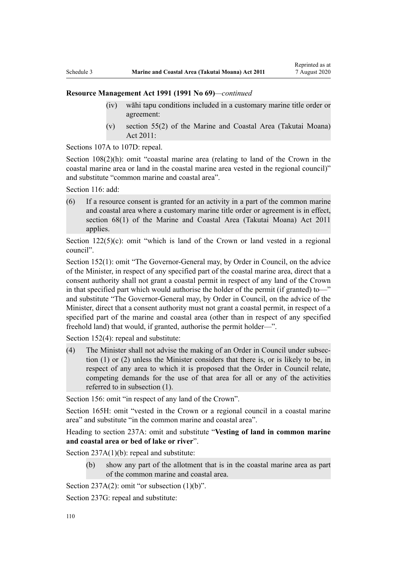- (iv) wāhi tapu conditions included in a customary marine title order or agreement:
- (v) section 55(2) of the Marine and Coastal Area (Takutai Moana) Act 2011:

[Sections 107A to 107D:](http://legislation.govt.nz/pdflink.aspx?id=DLM234801) repeal.

[Section 108\(2\)\(h\)](http://legislation.govt.nz/pdflink.aspx?id=DLM234810): omit "coastal marine area (relating to land of the Crown in the coastal marine area or land in the coastal marine area vested in the regional council)" and substitute "common marine and coastal area".

[Section 116](http://legislation.govt.nz/pdflink.aspx?id=DLM234865): add:

(6) If a resource consent is granted for an activity in a part of the common marine and coastal area where a customary marine title order or agreement is in effect, section 68(1) of the Marine and Coastal Area (Takutai Moana) Act 2011 applies.

Section  $122(5)(c)$ : omit "which is land of the Crown or land vested in a regional council".

[Section 152\(1\)](http://legislation.govt.nz/pdflink.aspx?id=DLM235468): omit "The Governor-General may, by Order in Council, on the advice of the Minister, in respect of any specified part of the coastal marine area, direct that a consent authority shall not grant a coastal permit in respect of any land of the Crown in that specified part which would authorise the holder of the permit (if granted) to—" and substitute "The Governor-General may, by Order in Council, on the advice of the Minister, direct that a consent authority must not grant a coastal permit, in respect of a specified part of the marine and coastal area (other than in respect of any specified freehold land) that would, if granted, authorise the permit holder—".

[Section 152\(4\)](http://legislation.govt.nz/pdflink.aspx?id=DLM235468): repeal and substitute:

(4) The Minister shall not advise the making of an Order in Council under subsection (1) or (2) unless the Minister considers that there is, or is likely to be, in respect of any area to which it is proposed that the Order in Council relate, competing demands for the use of that area for all or any of the activities referred to in subsection (1).

[Section 156:](http://legislation.govt.nz/pdflink.aspx?id=DLM235484) omit "in respect of any land of the Crown".

[Section 165H:](http://legislation.govt.nz/pdflink.aspx?id=DLM236036) omit "vested in the Crown or a regional council in a coastal marine area" and substitute "in the common marine and coastal area".

Heading to section 237A: omit and substitute "**Vesting of land in common marine and coastal area or bed of lake or river**".

[Section 237A\(1\)\(b\):](http://legislation.govt.nz/pdflink.aspx?id=DLM237276) repeal and substitute:

(b) show any part of the allotment that is in the coastal marine area as part of the common marine and coastal area.

Section  $237A(2)$ : omit "or subsection  $(1)(b)$ ".

[Section 237G](http://legislation.govt.nz/pdflink.aspx?id=DLM237291): repeal and substitute: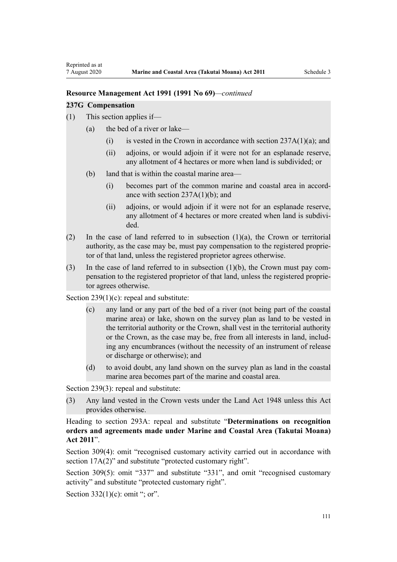#### **237G Compensation**

- (1) This section applies if—
	- (a) the bed of a river or lake—
		- (i) is vested in the Crown in accordance with section  $237A(1)(a)$ ; and
		- (ii) adjoins, or would adjoin if it were not for an esplanade reserve, any allotment of 4 hectares or more when land is subdivided; or
	- (b) land that is within the coastal marine area—
		- (i) becomes part of the common marine and coastal area in accordance with section  $237A(1)(b)$ ; and
		- (ii) adjoins, or would adjoin if it were not for an esplanade reserve, any allotment of 4 hectares or more created when land is subdivided.
- (2) In the case of land referred to in subsection (1)(a), the Crown or territorial authority, as the case may be, must pay compensation to the registered proprietor of that land, unless the registered proprietor agrees otherwise.
- (3) In the case of land referred to in subsection (1)(b), the Crown must pay compensation to the registered proprietor of that land, unless the registered proprietor agrees otherwise.

[Section 239\(1\)\(c\):](http://legislation.govt.nz/pdflink.aspx?id=DLM237600) repeal and substitute:

- (c) any land or any part of the bed of a river (not being part of the coastal marine area) or lake, shown on the survey plan as land to be vested in the territorial authority or the Crown, shall vest in the territorial authority or the Crown, as the case may be, free from all interests in land, including any encumbrances (without the necessity of an instrument of release or discharge or otherwise); and
- (d) to avoid doubt, any land shown on the survey plan as land in the coastal marine area becomes part of the marine and coastal area.

[Section 239\(3\)](http://legislation.govt.nz/pdflink.aspx?id=DLM237600): repeal and substitute:

(3) Any land vested in the Crown vests under the Land Act 1948 unless this Act provides otherwise.

Heading to [section 293A:](http://legislation.govt.nz/pdflink.aspx?id=DLM238254) repeal and substitute "**Determinations on recognition orders and agreements made under Marine and Coastal Area (Takutai Moana) Act 2011**".

[Section 309\(4\):](http://legislation.govt.nz/pdflink.aspx?id=DLM238505) omit "recognised customary activity carried out in accordance with section  $17A(2)$ " and substitute "protected customary right".

[Section 309\(5\)](http://legislation.govt.nz/pdflink.aspx?id=DLM238505): omit "337" and substitute "331", and omit "recognised customary activity" and substitute "protected customary right".

Section  $332(1)(c)$ : omit "; or".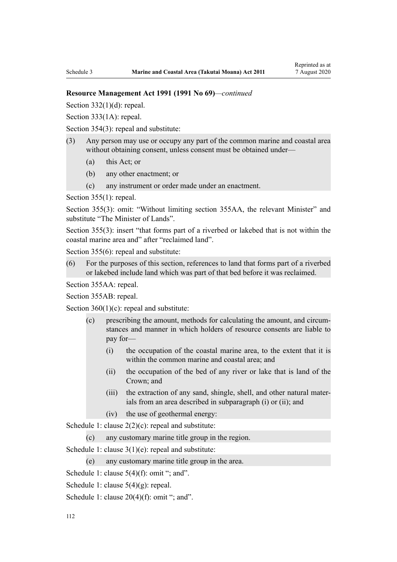Section  $332(1)(d)$ : repeal.

[Section 333\(1A\):](http://legislation.govt.nz/pdflink.aspx?id=DLM239027) repeal.

[Section 354\(3\)](http://legislation.govt.nz/pdflink.aspx?id=DLM239318): repeal and substitute:

- (3) Any person may use or occupy any part of the common marine and coastal area without obtaining consent, unless consent must be obtained under—
	- (a) this Act; or
	- (b) any other enactment; or
	- (c) any instrument or order made under an enactment.

[Section 355\(1\)](http://legislation.govt.nz/pdflink.aspx?id=DLM239322): repeal.

[Section 355\(3\):](http://legislation.govt.nz/pdflink.aspx?id=DLM239322) omit: "Without limiting section 355AA, the relevant Minister" and substitute "The Minister of Lands".

[Section 355\(3\)](http://legislation.govt.nz/pdflink.aspx?id=DLM239322): insert "that forms part of a riverbed or lakebed that is not within the coastal marine area and" after "reclaimed land".

[Section 355\(6\)](http://legislation.govt.nz/pdflink.aspx?id=DLM239322): repeal and substitute:

(6) For the purposes of this section, references to land that forms part of a riverbed or lakebed include land which was part of that bed before it was reclaimed.

[Section 355AA](http://legislation.govt.nz/pdflink.aspx?id=DLM239326): repeal.

[Section 355AB:](http://legislation.govt.nz/pdflink.aspx?id=DLM239328) repeal.

Section  $360(1)(c)$ : repeal and substitute:

- (c) prescribing the amount, methods for calculating the amount, and circumstances and manner in which holders of resource consents are liable to pay for—
	- (i) the occupation of the coastal marine area, to the extent that it is within the common marine and coastal area; and
	- (ii) the occupation of the bed of any river or lake that is land of the Crown; and
	- (iii) the extraction of any sand, shingle, shell, and other natural materials from an area described in subparagraph (i) or (ii); and
	- (iv) the use of geothermal energy:

[Schedule 1:](http://legislation.govt.nz/pdflink.aspx?id=DLM240686) clause  $2(2)(c)$ : repeal and substitute:

(c) any customary marine title group in the region.

[Schedule 1:](http://legislation.govt.nz/pdflink.aspx?id=DLM240686) clause 3(1)(e): repeal and substitute:

(e) any customary marine title group in the area.

[Schedule 1:](http://legislation.govt.nz/pdflink.aspx?id=DLM240686) clause  $5(4)(f)$ : omit "; and".

[Schedule 1:](http://legislation.govt.nz/pdflink.aspx?id=DLM240686) clause 5(4)(g): repeal.

[Schedule 1:](http://legislation.govt.nz/pdflink.aspx?id=DLM240686) clause  $20(4)(f)$ : omit "; and".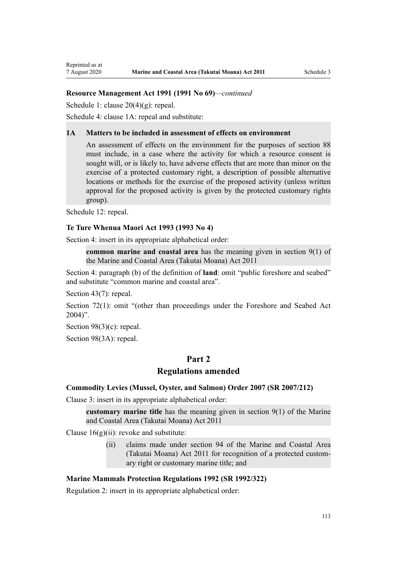[Schedule 1:](http://legislation.govt.nz/pdflink.aspx?id=DLM240686) clause 20(4)(g): repeal.

[Schedule 4:](http://legislation.govt.nz/pdflink.aspx?id=DLM242008) clause 1A: repeal and substitute:

#### **1A Matters to be included in assessment of effects on environment**

An assessment of effects on the environment for the purposes of section 88 must include, in a case where the activity for which a resource consent is sought will, or is likely to, have adverse effects that are more than minor on the exercise of a protected customary right, a description of possible alternative locations or methods for the exercise of the proposed activity (unless written approval for the proposed activity is given by the protected customary rights group).

[Schedule 12:](http://legislation.govt.nz/pdflink.aspx?id=DLM242515) repeal.

### **Te Ture Whenua Maori Act 1993 (1993 No 4)**

[Section 4](http://legislation.govt.nz/pdflink.aspx?id=DLM289897): insert in its appropriate alphabetical order:

**common marine and coastal area** has the meaning given in section 9(1) of the Marine and Coastal Area (Takutai Moana) Act 2011

[Section 4:](http://legislation.govt.nz/pdflink.aspx?id=DLM289897) paragraph (b) of the definition of **land**: omit "public foreshore and seabed" and substitute "common marine and coastal area".

[Section 43\(7\)](http://legislation.govt.nz/pdflink.aspx?id=DLM290907): repeal.

[Section 72\(1\)](http://legislation.govt.nz/pdflink.aspx?id=DLM290961): omit "(other than proceedings under the Foreshore and Seabed Act  $2004$ ".

[Section 98\(3\)\(c\)](http://legislation.govt.nz/pdflink.aspx?id=DLM291203): repeal.

[Section 98\(3A\):](http://legislation.govt.nz/pdflink.aspx?id=DLM291203) repeal.

# **Part 2**

## **Regulations amended**

## **Commodity Levies (Mussel, Oyster, and Salmon) Order 2007 (SR 2007/212)**

[Clause 3](http://legislation.govt.nz/pdflink.aspx?id=DLM443990): insert in its appropriate alphabetical order:

**customary marine title** has the meaning given in section 9(1) of the Marine and Coastal Area (Takutai Moana) Act 2011

Clause  $16(g)(ii)$ : revoke and substitute:

(ii) claims made under section 94 of the Marine and Coastal Area (Takutai Moana) Act 2011 for recognition of a protected customary right or customary marine title; and

### **Marine Mammals Protection Regulations 1992 (SR 1992/322)**

[Regulation 2](http://legislation.govt.nz/pdflink.aspx?id=DLM168290): insert in its appropriate alphabetical order: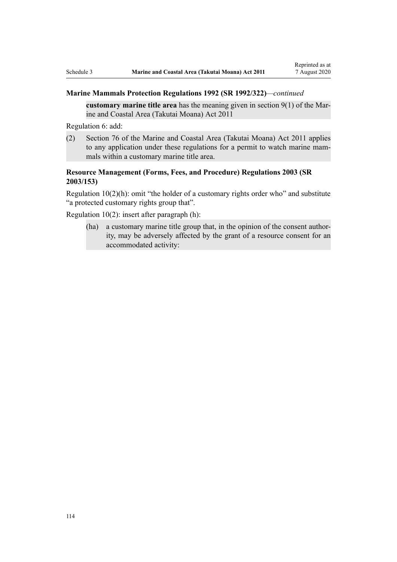## **Marine Mammals Protection Regulations 1992 (SR 1992/322)***—continued*

**customary marine title area** has the meaning given in section 9(1) of the Marine and Coastal Area (Takutai Moana) Act 2011

[Regulation 6](http://legislation.govt.nz/pdflink.aspx?id=DLM168824): add:

(2) Section 76 of the Marine and Coastal Area (Takutai Moana) Act 2011 applies to any application under these regulations for a permit to watch marine mammals within a customary marine title area.

# **Resource Management (Forms, Fees, and Procedure) Regulations 2003 (SR 2003/153)**

[Regulation 10\(2\)\(h\)](http://legislation.govt.nz/pdflink.aspx?id=DLM168828): omit "the holder of a customary rights order who" and substitute "a protected customary rights group that".

[Regulation 10\(2\)](http://legislation.govt.nz/pdflink.aspx?id=DLM168828): insert after paragraph (h):

(ha) a customary marine title group that, in the opinion of the consent authority, may be adversely affected by the grant of a resource consent for an accommodated activity: